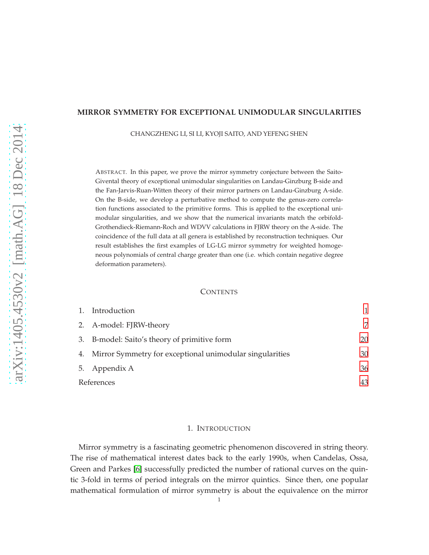### **MIRROR SYMMETRY FOR EXCEPTIONAL UNIMODULAR SINGULARITIES**

CHANGZHENG LI, SI LI, KYOJI SAITO, AND YEFENG SHEN

ABSTRACT. In this paper, we prove the mirror symmetry conjecture between the Saito-Givental theory of exceptional unimodular singularities on Landau-Ginzburg B-side and the Fan-Jarvis-Ruan-Witten theory of their mirror partners on Landau-Ginzburg A-side. On the B-side, we develop a perturbative method to compute the genus-zero correlation functions associated to the primitive forms. This is applied to the exceptional unimodular singularities, and we show that the numerical invariants match the orbifold-Grothendieck-Riemann-Roch and WDVV calculations in FJRW theory on the A-side. The coincidence of the full data at all genera is established by reconstruction techniques. Our result establishes the first examples of LG-LG mirror symmetry for weighted homogeneous polynomials of central charge greater than one (i.e. which contain negative degree deformation parameters).

## **CONTENTS**

|    | Introduction                                             |    |
|----|----------------------------------------------------------|----|
|    | 2. A-model: FJRW-theory                                  | 7  |
|    | 3. B-model: Saito's theory of primitive form             | 20 |
| 4. | Mirror Symmetry for exceptional unimodular singularities | 30 |
|    | 5. Appendix A                                            | 36 |
|    | References                                               | 43 |

## 1. INTRODUCTION

<span id="page-0-0"></span>Mirror symmetry is a fascinating geometric phenomenon discovered in string theory. The rise of mathematical interest dates back to the early 1990s, when Candelas, Ossa, Green and Parkes [\[6\]](#page-42-1) successfully predicted the number of rational curves on the quintic 3-fold in terms of period integrals on the mirror quintics. Since then, one popular mathematical formulation of mirror symmetry is about the equivalence on the mirror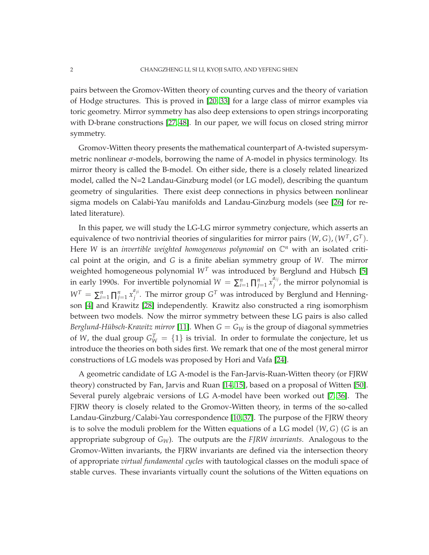pairs between the Gromov-Witten theory of counting curves and the theory of variation of Hodge structures. This is proved in [\[20,](#page-43-0) [33\]](#page-43-1) for a large class of mirror examples via toric geometry. Mirror symmetry has also deep extensions to open strings incorporating with D-brane constructions [\[27,](#page-43-2) [48\]](#page-44-0). In our paper, we will focus on closed string mirror symmetry.

Gromov-Witten theory presents the mathematical counterpart of A-twisted supersymmetric nonlinear  $\sigma$ -models, borrowing the name of A-model in physics terminology. Its mirror theory is called the B-model. On either side, there is a closely related linearized model, called the N=2 Landau-Ginzburg model (or LG model), describing the quantum geometry of singularities. There exist deep connections in physics between nonlinear sigma models on Calabi-Yau manifolds and Landau-Ginzburg models (see [\[26\]](#page-43-3) for related literature).

In this paper, we will study the LG-LG mirror symmetry conjecture, which asserts an equivalence of two nontrivial theories of singularities for mirror pairs  $(W, G)$ ,  $(W<sup>T</sup>, G<sup>T</sup>)$ . Here *W* is an *invertible weighted homogeneous polynomial* on  $\mathbb{C}^n$  with an isolated critical point at the origin, and *G* is a finite abelian symmetry group of *W*. The mirror weighted homogeneous polynomial  $W<sup>T</sup>$  was introduced by Berglund and Hübsch [\[5\]](#page-42-2) in early 1990s. For invertible polynomial  $W = \sum_{i=1}^{n} \prod_{j=1}^{n} x_j^{\tilde{a}_{ij}}$  $j$ <sup>*i*</sup>, the mirror polynomial is  $W^T = \sum_{i=1}^n \prod_{j=1}^n x_j^{a_{ji}}$  $j^{\mu_{ji}}$ . The mirror group  $G^T$  was introduced by Berglund and Henningson [\[4\]](#page-42-3) and Krawitz [\[28\]](#page-43-4) independently. Krawitz also constructed a ring isomorphism between two models. Now the mirror symmetry between these LG pairs is also called *Berglund-Hübsch-Krawitz mirror* [\[11\]](#page-42-4). When  $G = G_W$  is the group of diagonal symmetries of *W*, the dual group  $G_W^T = \{1\}$  is trivial. In order to formulate the conjecture, let us introduce the theories on both sides first. We remark that one of the most general mirror constructions of LG models was proposed by Hori and Vafa [\[24\]](#page-43-5).

A geometric candidate of LG A-model is the Fan-Jarvis-Ruan-Witten theory (or FJRW theory) constructed by Fan, Jarvis and Ruan [\[14,](#page-42-5) [15\]](#page-42-6), based on a proposal of Witten [\[50\]](#page-44-1). Several purely algebraic versions of LG A-model have been worked out [\[7,](#page-42-7) [36\]](#page-43-6). The FJRW theory is closely related to the Gromov-Witten theory, in terms of the so-called Landau-Ginzburg/Calabi-Yau correspondence [\[10,](#page-42-8) [37\]](#page-43-7). The purpose of the FJRW theory is to solve the moduli problem for the Witten equations of a LG model (*W*, *G*) (*G* is an appropriate subgroup of *GW*). The outputs are the *FJRW invariants*. Analogous to the Gromov-Witten invariants, the FJRW invariants are defined via the intersection theory of appropriate *virtual fundamental cycles* with tautological classes on the moduli space of stable curves. These invariants virtually count the solutions of the Witten equations on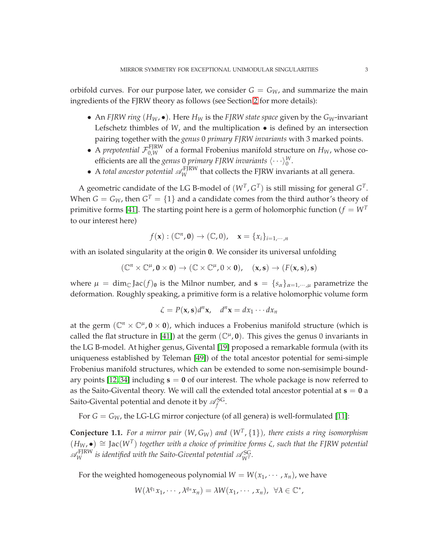orbifold curves. For our purpose later, we consider  $G = G_W$ , and summarize the main ingredients of the FJRW theory as follows (see Section [2](#page-6-0) for more details):

- An *FJRW ring* ( $H_W$ , •). Here  $H_W$  is the *FJRW state space* given by the  $G_W$ -invariant Lefschetz thimbles of *W*, and the multiplication • is defined by an intersection pairing together with the *genus* 0 *primary FJRW invariants* with 3 marked points.
- A *prepotential*  $\mathcal{F}_{0,W}^{FJRW}$  of a formal Frobenius manifold structure on  $H_W$ , whose coefficients are all the *genus* 0 *primary FJRW invariants*  $\langle \cdot \cdot \cdot \rangle_{0}^{W}$ .
- A *total ancestor potential*  $\mathscr{A}_{W}^{\text{FJRW}}$  that collects the FJRW invariants at all genera.

A geometric candidate of the LG B-model of  $(W<sup>T</sup>, G<sup>T</sup>)$  is still missing for general  $G<sup>T</sup>$ . When  $G = G_W$ , then  $G<sup>T</sup> = \{1\}$  and a candidate comes from the third author's theory of primitive forms [\[41\]](#page-43-8). The starting point here is a germ of holomorphic function ( $f = W<sup>T</sup>$ to our interest here)

$$
f(\mathbf{x}): (\mathbb{C}^n, \mathbf{0}) \to (\mathbb{C}, 0), \quad \mathbf{x} = \{x_i\}_{i=1,\cdots,n}
$$

with an isolated singularity at the origin **0**. We consider its universal unfolding

$$
(\mathbb{C}^n \times \mathbb{C}^\mu, \mathbf{0} \times \mathbf{0}) \to (\mathbb{C} \times \mathbb{C}^\mu, 0 \times \mathbf{0}), \quad (\mathbf{x}, \mathbf{s}) \to (F(\mathbf{x}, \mathbf{s}), \mathbf{s})
$$

where  $\mu = \dim_{\mathbb{C}} \text{Jac}(f)_{0}$  is the Milnor number, and  $\mathbf{s} = \{s_{\alpha}\}_{\alpha=1,\dots,\mu}$  parametrize the deformation. Roughly speaking, a primitive form is a relative holomorphic volume form

$$
\zeta = P(\mathbf{x}, \mathbf{s})d^n\mathbf{x}, \quad d^n\mathbf{x} = dx_1 \cdots dx_n
$$

at the germ  $(\mathbb{C}^n \times \mathbb{C}^{\mu}, \mathbf{0} \times \mathbf{0})$ , which induces a Frobenius manifold structure (which is called the flat structure in [\[41\]](#page-43-8)) at the germ  $(\mathbb{C}^{\mu}, \mathbf{0})$ . This gives the genus 0 invariants in the LG B-model. At higher genus, Givental [\[19\]](#page-43-9) proposed a remarkable formula (with its uniqueness established by Teleman [\[49\]](#page-44-2)) of the total ancestor potential for semi-simple Frobenius manifold structures, which can be extended to some non-semisimple boundary points [\[12,](#page-42-9) [34\]](#page-43-10) including **s** = **0** of our interest. The whole package is now referred to as the Saito-Givental theory. We will call the extended total ancestor potential at  $s = 0$  a Saito-Givental potential and denote it by  $\mathscr{A}_f^{\rm SG}$ .

For  $G = G_W$ , the LG-LG mirror conjecture (of all genera) is well-formulated [\[11\]](#page-42-4):

<span id="page-2-0"></span>**Conjecture 1.1.** *For a mirror pair* (*W*, *GW*) *and* (*W<sup>T</sup>* , {1})*, there exists a ring isomorphism*  $(H_W, ◂)$   $\cong$  Jac( $W^T$ ) together with a choice of primitive forms  $\zeta$ , such that the FJRW potential  $\mathscr{A}_{W}^{\text{FJRW}}$  is identified with the Saito-Givental potential  $\mathscr{A}_{W^T}^{\text{SG}}$ .

For the weighted homogeneous polynomial  $W = W(x_1, \dots, x_n)$ , we have

$$
W(\lambda^{q_1}x_1,\cdots,\lambda^{q_n}x_n)=\lambda W(x_1,\cdots,x_n),\ \forall \lambda\in\mathbb{C}^*,
$$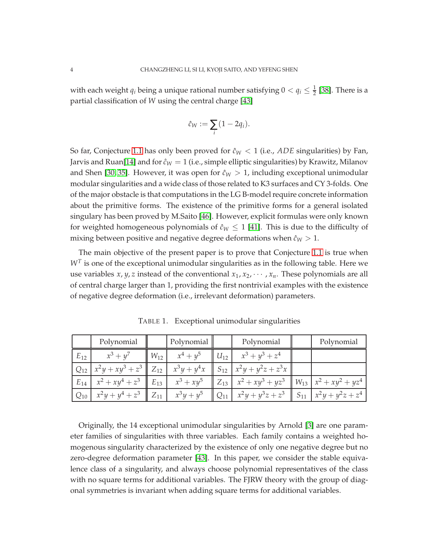with each weight  $q_i$  being a unique rational number satisfying  $0 < q_i \leq \frac{1}{2}$  [\[38\]](#page-43-11). There is a partial classification of *W* using the central charge [\[43\]](#page-43-12)

$$
\hat{c}_W := \sum_i (1 - 2q_i).
$$

So far, Conjecture [1.1](#page-2-0) has only been proved for  $\hat{c}_W < 1$  (i.e., *ADE* singularities) by Fan, Jarvis and Ruan[\[14\]](#page-42-5) and for  $\hat{c}_W = 1$  (i.e., simple elliptic singularities) by Krawitz, Milanov and Shen [\[30,](#page-43-13) [35\]](#page-43-14). However, it was open for  $\hat{c}_W > 1$ , including exceptional unimodular modular singularities and a wide class of those related to K3 surfaces and CY 3-folds. One of the major obstacle is that computations in the LG B-model require concrete information about the primitive forms. The existence of the primitive forms for a general isolated singulary has been proved by M.Saito [\[46\]](#page-44-3). However, explicit formulas were only known for weighted homogeneous polynomials of  $\hat{c}_W \leq 1$  [\[41\]](#page-43-8). This is due to the difficulty of mixing between positive and negative degree deformations when  $\hat{c}_W > 1$ .

The main objective of the present paper is to prove that Conjecture [1.1](#page-2-0) is true when  $W<sup>T</sup>$  is one of the exceptional unimodular singularities as in the following table. Here we use variables *x*, *y*, *z* instead of the conventional  $x_1, x_2, \cdots, x_n$ . These polynomials are all of central charge larger than 1, providing the first nontrivial examples with the existence of negative degree deformation (i.e., irrelevant deformation) parameters.

|          | Polynomial  | Polynomial           | Polynomial                                                                                                  | Polynomial |
|----------|-------------|----------------------|-------------------------------------------------------------------------------------------------------------|------------|
| $E_{12}$ | $x^3 + y^7$ | $W_{12}$ $x^4 + y^5$ | $ U_{12} $ $x^3 + y^3 + z^4$                                                                                |            |
|          |             |                      | $ Q_{12}  x^2 y + xy^3 + z^3  Z_{12}  x^3 y + y^4 x  S_{12}  x^2 y + y^2 z + z^3 x$                         |            |
|          |             |                      | $E_{14}$ $x^2 + xy^4 + z^3$ $E_{13}$ $x^3 + xy^5$ $E_{13}$ $x^2 + xy^3 + yz^3$ $W_{13}$ $x^2 + xy^2 + yz^4$ |            |
|          |             |                      |                                                                                                             |            |

<span id="page-3-0"></span>TABLE 1. Exceptional unimodular singularities

Originally, the 14 exceptional unimodular singularities by Arnold [\[3\]](#page-42-10) are one parameter families of singularities with three variables. Each family contains a weighted homogenous singularity characterized by the existence of only one negative degree but no zero-degree deformation parameter [\[43\]](#page-43-12). In this paper, we consider the stable equivalence class of a singularity, and always choose polynomial representatives of the class with no square terms for additional variables. The FJRW theory with the group of diagonal symmetries is invariant when adding square terms for additional variables.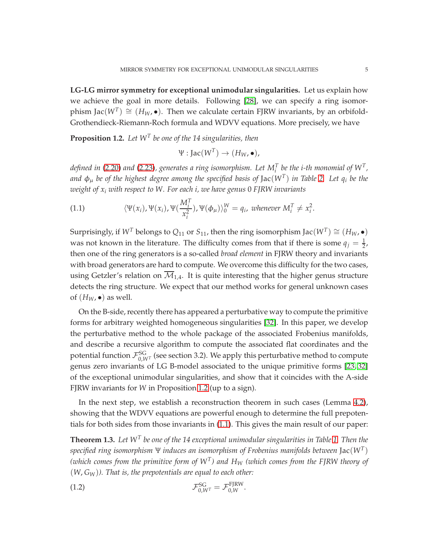**LG-LG mirror symmetry for exceptional unimodular singularities.** Let us explain how we achieve the goal in more details. Following [\[28\]](#page-43-4), we can specify a ring isomorphism Jac $(W^T) \cong (H_W, \bullet)$ . Then we calculate certain FJRW invariants, by an orbifold-Grothendieck-Riemann-Roch formula and WDVV equations. More precisely, we have

<span id="page-4-0"></span>**Proposition 1.2.** *Let W<sup>T</sup> be one of the 14 singularities, then*

$$
\Psi : \text{Jac}(W^T) \to (H_W, \bullet),
$$

*defined in [\(2.20\)](#page-11-0) and [\(2.23\)](#page-12-0), generates a ring isomorphism. Let*  $M_i^T$  *be the i-th monomial of*  $W^T$ *, and* φ<sup>µ</sup> *be of the highest degree among the specified basis of* Jac(*W<sup>T</sup>* ) *in Table [2.](#page-10-0) Let q<sup>i</sup> be the weight of x<sup>i</sup> with respect to W. For each i, we have genus* 0 *FJRW invariants*

<span id="page-4-1"></span>(1.1) 
$$
\langle \Psi(x_i), \Psi(x_i), \Psi(\frac{M_i^T}{x_i^2}), \Psi(\phi_\mu) \rangle_0^W = q_i, \text{ whenever } M_i^T \neq x_i^2.
$$

Surprisingly, if  $W^T$  belongs to  $Q_{11}$  or  $S_{11}$ , then the ring isomorphism Jac $(W^T) \cong (H_W, \bullet)$ was not known in the literature. The difficulty comes from that if there is some  $q_j = \frac{1}{2}$ , then one of the ring generators is a so-called *broad element* in FJRW theory and invariants with broad generators are hard to compute. We overcome this difficulty for the two cases, using Getzler's relation on  $\overline{M}_{1,4}$ . It is quite interesting that the higher genus structure detects the ring structure. We expect that our method works for general unknown cases of  $(H_W, \bullet)$  as well.

On the B-side, recently there has appeared a perturbative way to compute the primitive forms for arbitrary weighted homogeneous singularities [\[32\]](#page-43-15). In this paper, we develop the perturbative method to the whole package of the associated Frobenius manifolds, and describe a recursive algorithm to compute the associated flat coordinates and the potential function  $\mathcal{F}_{0,W^T}^{\rm SG}$  (see section 3.2). We apply this perturbative method to compute genus zero invariants of LG B-model associated to the unique primitive forms [\[23,](#page-43-16) [32\]](#page-43-15) of the exceptional unimodular singularities, and show that it coincides with the A-side FJRW invariants for *W* in Proposition [1.2](#page-4-0) (up to a sign).

In the next step, we establish a reconstruction theorem in such cases (Lemma [4.2\)](#page-30-0), showing that the WDVV equations are powerful enough to determine the full prepotentials for both sides from those invariants in [\(1.1\)](#page-4-1). This gives the main result of our paper:

<span id="page-4-2"></span> $\bf{Theorem~1.3.}$  Let  $W^T$  be one of the 14 exceptional unimodular singularities in Table [1.](#page-3-0) Then the *specified ring isomorphism* Ψ *induces an isomorphism of Frobenius manifolds between* Jac(*W<sup>T</sup>* ) *(which comes from the primitive form of W<sup>T</sup> ) and H<sup>W</sup> (which comes from the FJRW theory of* (*W*, *GW*)*). That is, the prepotentials are equal to each other:*

$$
\mathcal{F}_{0,W^T}^{\text{SG}} = \mathcal{F}_{0,W}^{\text{FJRW}}.
$$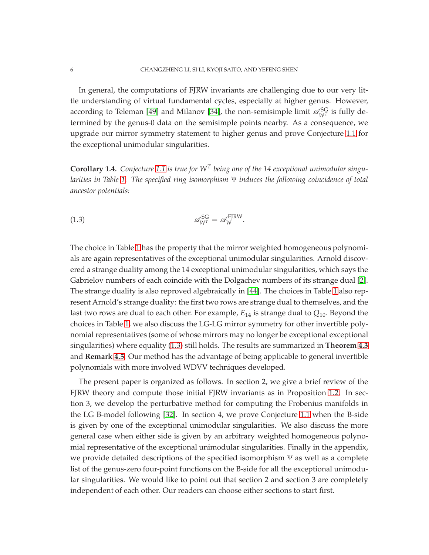In general, the computations of FJRW invariants are challenging due to our very little understanding of virtual fundamental cycles, especially at higher genus. However, according to Teleman [\[49\]](#page-44-2) and Milanov [\[34\]](#page-43-10), the non-semisimple limit  $\mathscr{A}_{W^T}^{SG}$  is fully determined by the genus-0 data on the semisimple points nearby. As a consequence, we upgrade our mirror symmetry statement to higher genus and prove Conjecture [1.1](#page-2-0) for the exceptional unimodular singularities.

<span id="page-5-1"></span>**Corollary 1.4.** *Conjecture [1.1](#page-2-0) is true for W<sup>T</sup> being one of the 14 exceptional unimodular singularities in Table [1.](#page-3-0) The specified ring isomorphism* Ψ *induces the following coincidence of total ancestor potentials:*

<span id="page-5-0"></span>
$$
\mathscr{A}_{W^T}^{\rm SG} = \mathscr{A}_{W}^{\rm FJRW}.
$$

The choice in Table [1](#page-3-0) has the property that the mirror weighted homogeneous polynomials are again representatives of the exceptional unimodular singularities. Arnold discovered a strange duality among the 14 exceptional unimodular singularities, which says the Gabrielov numbers of each coincide with the Dolgachev numbers of its strange dual [\[2\]](#page-42-11). The strange duality is also reproved algebraically in [\[44\]](#page-43-17). The choices in Table [1](#page-3-0) also represent Arnold's strange duality: the first two rows are strange dual to themselves, and the last two rows are dual to each other. For example, *E*<sup>14</sup> is strange dual to *Q*10. Beyond the choices in Table [1,](#page-3-0) we also discuss the LG-LG mirror symmetry for other invertible polynomial representatives (some of whose mirrors may no longer be exceptional exceptional singularities) where equality [\(1.3\)](#page-5-0) still holds. The results are summarized in **Theorem [4.3](#page-34-0)** and **Remark 4.5**. Our method has the advantage of being applicable to general invertible polynomials with more involved WDVV techniques developed.

The present paper is organized as follows. In section 2, we give a brief review of the FJRW theory and compute those initial FJRW invariants as in Proposition [1.2.](#page-4-0) In section 3, we develop the perturbative method for computing the Frobenius manifolds in the LG B-model following [\[32\]](#page-43-15). In section 4, we prove Conjecture [1.1](#page-2-0) when the B-side is given by one of the exceptional unimodular singularities. We also discuss the more general case when either side is given by an arbitrary weighted homogeneous polynomial representative of the exceptional unimodular singularities. Finally in the appendix, we provide detailed descriptions of the specified isomorphism Ψ as well as a complete list of the genus-zero four-point functions on the B-side for all the exceptional unimodular singularities. We would like to point out that section 2 and section 3 are completely independent of each other. Our readers can choose either sections to start first.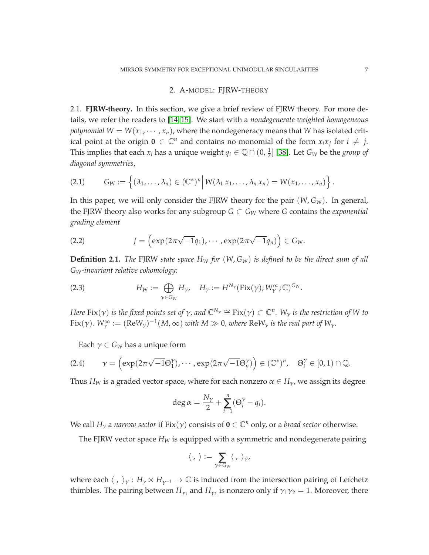## 2. A-MODEL: FJRW-THEORY

<span id="page-6-0"></span>2.1. **FJRW-theory.** In this section, we give a brief review of FJRW theory. For more details, we refer the readers to [\[14,](#page-42-5) [15\]](#page-42-6). We start with a *nondegenerate weighted homogeneous polynomial*  $W = W(x_1, \dots, x_n)$ , where the nondegeneracy means that *W* has isolated critical point at the origin  $\mathbf{0} \in \mathbb{C}^n$  and contains no monomial of the form  $x_i x_j$  for  $i \neq j$ . This implies that each  $x_i$  has a unique weight  $q_i \in \mathbb{Q} \cap (0, \frac{1}{2}]$  [\[38\]](#page-43-11). Let  $G_W$  be the *group of diagonal symmetries*,

$$
(2.1) \tG_W := \left\{ (\lambda_1, \ldots, \lambda_n) \in (\mathbb{C}^*)^n \middle| W(\lambda_1 x_1, \ldots, \lambda_n x_n) = W(x_1, \ldots, x_n) \right\}.
$$

In this paper, we will only consider the FJRW theory for the pair  $(W, G_W)$ . In general, the FJRW theory also works for any subgroup  $G \subset G_W$  where *G* contains the *exponential grading element*

<span id="page-6-1"></span>(2.2) 
$$
J = \left(\exp(2\pi\sqrt{-1}q_1), \cdots, \exp(2\pi\sqrt{-1}q_n)\right) \in G_W.
$$

**Definition 2.1.** *The* FJRW *state space H<sup>W</sup> for* (*W*, *GW*) *is defined to be the direct sum of all GW-invariant relative cohomology:*

(2.3) 
$$
H_W := \bigoplus_{\gamma \in G_W} H_{\gamma}, \quad H_{\gamma} := H^{N_{\gamma}}(\text{Fix}(\gamma); W^{\infty}_{\gamma}; \mathbb{C})^{G_W}.
$$

*Here Fix(* $\gamma$ *) is the fixed points set of*  $\gamma$ *, and*  $\mathbb{C}^{N_\gamma}\cong$  *Fix(* $\gamma) \subset \mathbb{C}^n$ *. W<sub>* $\gamma$ *</sub> is the restriction of W to*  $Fix(\gamma)$ .  $W_\gamma^\infty := (\text{Re}W_\gamma)^{-1}(M,\infty)$  *with*  $M \gg 0$ *, where*  $\text{Re}W_\gamma$  *is the real part of*  $W_\gamma$ *.* 

Each  $\gamma \in G_W$  has a unique form

(2.4) 
$$
\gamma = \left(\exp(2\pi\sqrt{-1}\Theta_1^{\gamma}), \cdots, \exp(2\pi\sqrt{-1}\Theta_n^{\gamma})\right) \in (\mathbb{C}^*)^n, \quad \Theta_i^{\gamma} \in [0,1) \cap \mathbb{Q}.
$$

Thus  $H_W$  is a graded vector space, where for each nonzero  $\alpha \in H_\gamma$ , we assign its degree

$$
\deg \alpha = \frac{N_{\gamma}}{2} + \sum_{i=1}^{n} (\Theta_i^{\gamma} - q_i).
$$

We call  $H_{\gamma}$  a *narrow sector* if  $Fix(\gamma)$  consists of  $\mathbf{0} \in \mathbb{C}^n$  only, or a *broad sector* otherwise.

The FJRW vector space *H<sup>W</sup>* is equipped with a symmetric and nondegenerate pairing

$$
\langle \, , \, \rangle := \sum_{\gamma \in G_W} \langle \, , \, \rangle_{\gamma},
$$

where each  $\langle , \rangle_{\gamma} : H_{\gamma} \times H_{\gamma^{-1}} \to \mathbb{C}$  is induced from the intersection pairing of Lefchetz thimbles. The pairing between  $H_{\gamma_1}$  and  $H_{\gamma_2}$  is nonzero only if  $\gamma_1\gamma_2=1$ . Moreover, there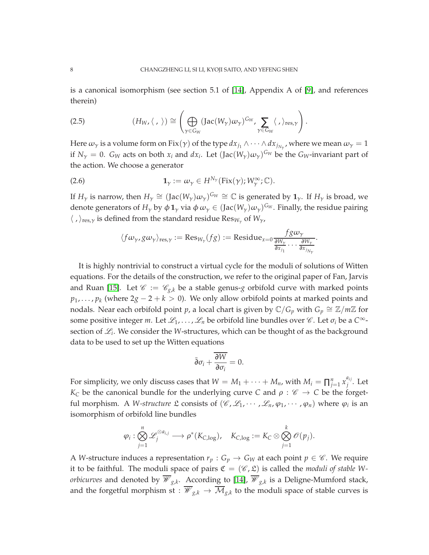is a canonical isomorphism (see section 5.1 of [\[14\]](#page-42-5), Appendix A of [\[9\]](#page-42-12), and references therein)

<span id="page-7-0"></span>(2.5) 
$$
(H_W, \langle \, , \, \rangle) \cong \left( \bigoplus_{\gamma \in G_W} (\text{Jac}(W_{\gamma}) \omega_{\gamma})^{G_W}, \sum_{\gamma \in G_W} \langle \, , \rangle_{\text{res}, \gamma} \right).
$$

Here  $\omega_\gamma$  is a volume form on  $Fix(\gamma)$  of the type  $dx_{j_1}\wedge\cdots\wedge dx_{j_{N_\gamma}}$ , where we mean  $\omega_\gamma=1$ if  $N_\gamma = 0$ .  $G_W$  acts on both  $x_i$  and  $dx_i$ . Let  $(\text{Jac}(W_\gamma)\omega_\gamma)^{G_W}$  be the  $G_W$ -invariant part of the action. We choose a generator

(2.6) 
$$
\mathbf{1}_{\gamma} := \omega_{\gamma} \in H^{N_{\gamma}}(\text{Fix}(\gamma); W_{\gamma}^{\infty}; \mathbb{C}).
$$

If  $H_\gamma$  is narrow, then  $H_\gamma\cong (\mathrm{Jac}(W_\gamma)\omega_\gamma)^{G_W}\cong \mathbb{C}$  is generated by  $\mathbf{1}_\gamma$ . If  $H_\gamma$  is broad, we denote generators of  $H_\gamma$  by  $\phi \mathbf{1}_\gamma$  via  $\phi \omega_\gamma \in (\text{Jac}(W_\gamma)\omega_\gamma)^{G_W}$ . Finally, the residue pairing  $\langle , \rangle_{\text{res}, \gamma}$  is defined from the standard residue Res<sub>*W*γ</sub> of *W*<sub>γ</sub>,

$$
\langle f\omega_{\gamma}, g\omega_{\gamma} \rangle_{\text{res},\gamma} := \text{Res}_{W_{\gamma}}(fg) := \text{Residue}_{x=0} \frac{fg\omega_{\gamma}}{\frac{\partial W_{\gamma}}{\partial x_{j_1}} \cdots \frac{\partial W_{\gamma}}{\partial x_{j_{N_{\gamma}}}}}.
$$

It is highly nontrivial to construct a virtual cycle for the moduli of solutions of Witten equations. For the details of the construction, we refer to the original paper of Fan, Jarvis and Ruan [\[15\]](#page-42-6). Let  $\mathcal{C} := \mathcal{C}_{g,k}$  be a stable genus-*g* orbifold curve with marked points *p*<sub>1</sub>, ..., *p*<sub>*k*</sub> (where 2*g* − 2 + *k* > 0). We only allow orbifold points at marked points and nodals. Near each orbifold point  $p$ , a local chart is given by  $\mathbb{C}/G_p$  with  $G_p \cong \mathbb{Z}/m\mathbb{Z}$  for some positive integer *m*. Let  $\mathcal{L}_1, \ldots, \mathcal{L}_n$  be orbifold line bundles over  $\mathcal{C}$ . Let  $\sigma_i$  be a  $C^{\infty}$ section of  $\mathcal{L}_i$ . We consider the *W*-structures, which can be thought of as the background data to be used to set up the Witten equations

$$
\bar{\partial}\sigma_i + \frac{\overline{\partial W}}{\overline{\partial}\sigma_i} = 0.
$$

For simplicity, we only discuss cases that  $W = M_1 + \cdots + M_n$ , with  $M_i = \prod_{j=1}^n x_j^{a_{ij}}$ *j* . Let *K*<sub>*C*</sub> be the canonical bundle for the underlying curve *C* and  $\rho$  :  $\mathscr{C} \to C$  be the forgetful morphism. A *W-structure*  $\mathfrak L$  consists of  $(\mathscr C, \mathscr L_1, \cdots, \mathscr L_n, \varphi_1, \cdots, \varphi_n)$  where  $\varphi_i$  is an isomorphism of orbifold line bundles

$$
\varphi_i:\bigotimes_{j=1}^n\mathscr{L}_j^{\otimes a_{i,j}}\longrightarrow \rho^*(K_{C,\log}),\quad K_{C,\log}:=K_C\otimes\bigotimes_{j=1}^k\mathscr{O}(p_j).
$$

A *W*-structure induces a representation  $r_p$  :  $G_p \rightarrow G_W$  at each point  $p \in \mathscr{C}$ . We require it to be faithful. The moduli space of pairs  $\mathfrak{C} = (\mathscr{C}, \mathfrak{L})$  is called the *moduli of stable Worbicurves* and denoted by  $\overline{\mathscr{W}}_{g,k}.$  According to [\[14\]](#page-42-5),  $\overline{\mathscr{W}}_{g,k}$  is a Deligne-Mumford stack, and the forgetful morphism st :  $\overline{\mathscr{W}}_{g,k}\to \overline{\mathcal{M}}_{g,k}$  to the moduli space of stable curves is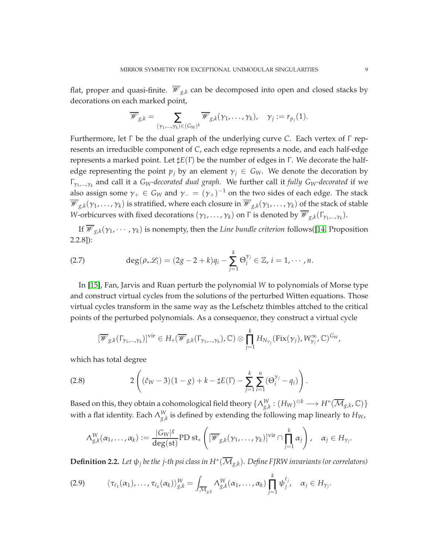flat, proper and quasi-finite.  $\overline{\mathcal{W}}_{g,k}$  can be decomposed into open and closed stacks by decorations on each marked point,

$$
\overline{\mathscr{W}}_{g,k} = \sum_{(\gamma_1,\ldots,\gamma_k) \in (G_W)^k} \overline{\mathscr{W}}_{g,k}(\gamma_1,\ldots,\gamma_k), \quad \gamma_j := r_{p_j}(1).
$$

Furthermore, let Γ be the dual graph of the underlying curve *C*. Each vertex of Γ represents an irreducible component of *C*, each edge represents a node, and each half-edge represents a marked point. Let ♯*E*(Γ) be the number of edges in Γ . We decorate the halfedge representing the point  $p_j$  by an element  $\gamma_j \in G_W$ . We denote the decoration by Γ<sup>γ</sup>1,...,<sup>γ</sup>*<sup>k</sup>* and call it a *GW-decorated dual graph*. We further call it *fully GW-decorated* if we also assign some  $\gamma_+ \in G_W$  and  $\gamma_- = (\gamma_+)^{-1}$  on the two sides of each edge. The stack  $\overline{\mathscr{W}}_{g,k}(\gamma_1,\ldots,\gamma_k)$  is stratified, where each closure in  $\overline{\mathscr{W}}_{g,k}(\gamma_1,\ldots,\gamma_k)$  of the stack of stable *W*-orbicurves with fixed decorations  $(\gamma_1, \ldots, \gamma_k)$  on  $\Gamma$  is denoted by  $\overline{\mathscr{W}}_{g,k}(\Gamma_{\gamma_1,\ldots,\gamma_k})$ .

If  $\overline{\mathscr{W}}_{g,k}(\gamma_1,\cdots,\gamma_k)$  is nonempty, then the *Line bundle criterion* follows([\[14,](#page-42-5) Proposition 2.2.8]):

<span id="page-8-2"></span>(2.7) 
$$
\deg(\rho_* \mathscr{L}_i) = (2g-2+k)q_i - \sum_{j=1}^k \Theta_i^{\gamma_j} \in \mathbb{Z}, i = 1, \cdots, n.
$$

In [\[15\]](#page-42-6), Fan, Jarvis and Ruan perturb the polynomial *W* to polynomials of Morse type and construct virtual cycles from the solutions of the perturbed Witten equations. Those virtual cycles transform in the same way as the Lefschetz thimbles attched to the critical points of the perturbed polynomials. As a consequence, they construct a virtual cycle

<span id="page-8-1"></span>
$$
[\overline{\mathscr{W}}_{g,k}(\Gamma_{\gamma_1,\ldots,\gamma_k})]^{\text{vir}} \in H_*(\overline{\mathscr{W}}_{g,k}(\Gamma_{\gamma_1,\ldots,\gamma_k}),\mathbb{C}) \otimes \prod_{j=1}^k H_{N_{\gamma_j}}(\text{Fix}(\gamma_j),W_{\gamma_j}^{\infty},\mathbb{C})^{G_W},
$$

which has total degree

(2.8) 
$$
2\left((\hat{c}_W - 3)(1-g) + k - \sharp E(\Gamma) - \sum_{j=1}^k \sum_{i=1}^n (\Theta_i^{\gamma_j} - q_i)\right).
$$

 $\Delta B$  Based on this, they obtain a cohomological field theory  $\{\Lambda^W_{g,k}: (H_W)^{\otimes k}\longrightarrow H^*(\overline{\mathcal M}_{g,k}, \mathbb C)\}$ with a flat identity. Each  $\Lambda^W_{g,k}$  is defined by extending the following map linearly to  $H_W$ ,

$$
\Lambda^W_{g,k}(\alpha_1,\ldots,\alpha_k):=\frac{|G_W|^g}{\deg(\textup{st})}\textup{PD}\textup{ st}_*\left([\overline{\mathscr{W}}_{g,k}(\gamma_1,\ldots,\gamma_k)]^{\textup{vir}}\cap\prod_{j=1}^k\alpha_j\right),\quad \alpha_j\in H_{\gamma_j}.
$$

 $\bf{Definition 2.2.}$  *Let*  $\psi_j$  *be the*  $j$ *-th psi class in*  $H^*(\mathcal{M}_{g,k})$ *. Define FJRW invariants (or correlators)* 

<span id="page-8-0"></span>
$$
(2.9) \qquad \langle \tau_{\ell_1}(\alpha_1),\ldots,\tau_{\ell_k}(\alpha_k)\rangle_{g,k}^W = \int_{\overline{\mathcal{M}}_{g,k}} \Lambda_{g,k}^W(\alpha_1,\ldots,\alpha_k) \prod_{j=1}^k \psi_j^{\ell_j}, \quad \alpha_j \in H_{\gamma_j}.
$$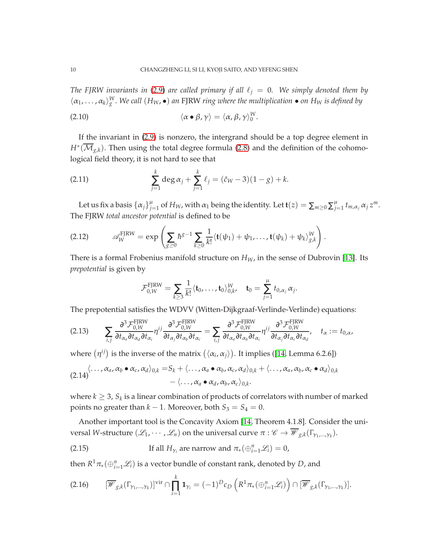*The FJRW invariants in* [\(2.9\)](#page-8-0) *are called primary if all*  $\ell_j = 0$ *. We simply denoted them by*  $\langle \alpha_1, \ldots, \alpha_k \rangle_g^W$ . We call  $(H_W, \bullet)$  an FJRW ring where the multiplication  $\bullet$  on  $H_W$  is defined by

<span id="page-9-5"></span>(2.10) 
$$
\langle \alpha \bullet \beta, \gamma \rangle = \langle \alpha, \beta, \gamma \rangle_0^W.
$$

If the invariant in [\(2.9\)](#page-8-0) is nonzero, the intergrand should be a top degree element in *H*<sup>∗</sup>( $\mathcal{M}_{g,k}$ ). Then using the total degree formula [\(2.8\)](#page-8-1) and the definition of the cohomological field theory, it is not hard to see that

<span id="page-9-1"></span>(2.11) 
$$
\sum_{j=1}^{k} \deg \alpha_j + \sum_{j=1}^{k} \ell_j = (\hat{c}_W - 3)(1 - g) + k.
$$

Let us fix a basis  $\{\alpha_j\}_{j=1}^{\mu}$  of  $H_W$ , with  $\alpha_1$  being the identity. Let  $\mathbf{t}(z) = \sum_{m\geq 0} \sum_{j=1}^{\mu} t_{m,\alpha_j} \alpha_j z^m$ . The FJRW *total ancestor potential* is defined to be

(2.12) 
$$
\mathscr{A}_{W}^{\text{FJRW}} = \exp \left( \sum_{g \geq 0} \hbar^{g-1} \sum_{k \geq 0} \frac{1}{k!} \langle \mathbf{t}(\psi_1) + \psi_1, \ldots, \mathbf{t}(\psi_k) + \psi_k \rangle_{g,k}^{W} \right).
$$

There is a formal Frobenius manifold structure on  $H_W$ , in the sense of Dubrovin [\[13\]](#page-42-13). Its *prepotential* is given by

$$
\mathcal{F}_{0,W}^{\text{FJRW}} = \sum_{k \geq 3} \frac{1}{k!} \langle \mathbf{t}_0, \ldots, \mathbf{t}_0 \rangle_{0,k}^W, \quad \mathbf{t}_0 = \sum_{j=1}^{\mu} t_{0,\alpha_j} \alpha_j.
$$

The prepotential satisfies the WDVV (Witten-Dijkgraaf-Verlinde-Verlinde) equations:

<span id="page-9-3"></span>
$$
(2.13) \qquad \sum_{i,j} \frac{\partial^3 \mathcal{F}_{0,W}^{\text{FJRW}}}{\partial t_{\alpha_a} \partial t_{\alpha_d} \partial t_{\alpha_i}} \eta^{ij} \frac{\partial^3 \mathcal{F}_{0,W}^{\text{FJRW}}}{\partial t_{\alpha_j} \partial t_{\alpha_b} \partial t_{\alpha_c}} = \sum_{i,j} \frac{\partial^3 \mathcal{F}_{0,W}^{\text{FJRW}}}{\partial t_{\alpha_a} \partial t_{\alpha_b} \partial t_{\alpha_i}} \eta^{ij} \frac{\partial^3 \mathcal{F}_{0,W}^{\text{FJRW}}}{\partial t_{\alpha_j} \partial t_{\alpha_c} \partial t_{\alpha_d}}, \quad t_{\alpha} := t_{0,\alpha},
$$

where  $(\eta^{ij})$  is the inverse of the matrix  $(\langle \alpha_i, \alpha_j \rangle)$ . It implies ([\[14,](#page-42-5) Lemma 6.2.6])

<span id="page-9-4"></span>
$$
(2.14) \langle \ldots, \alpha_a, \alpha_b \bullet \alpha_c, \alpha_d \rangle_{0,k} = S_k + \langle \ldots, \alpha_a \bullet \alpha_b, \alpha_c, \alpha_d \rangle_{0,k} + \langle \ldots, \alpha_a, \alpha_b, \alpha_c \bullet \alpha_d \rangle_{0,k} - \langle \ldots, \alpha_a \bullet \alpha_d, \alpha_b, \alpha_c \rangle_{0,k}.
$$

where  $k\geq 3$ ,  $S_k$  is a linear combination of products of correlators with number of marked points no greater than  $k - 1$ . Moreover, both  $S_3 = S_4 = 0$ .

Another important tool is the Concavity Axiom [\[14,](#page-42-5) Theorem 4.1.8]. Consider the universal *W*-structure  $(\mathscr{L}_1, \cdots, \mathscr{L}_n)$  on the universal curve  $\pi : \mathscr{C} \to \overline{\mathscr{W}}_{g,k}(\Gamma_{\gamma_1,\dots,\gamma_k})$ .

<span id="page-9-0"></span>(2.15) If all 
$$
H_{\gamma_i}
$$
 are narrow and  $\pi_*(\bigoplus_{i=1}^n \mathcal{L}_i) = 0$ ,

then  $R^1\pi_*(\oplus_{i=1}^n \mathscr{L}_i)$  is a vector bundle of constant rank, denoted by  $D$ , and

<span id="page-9-2"></span>
$$
(2.16) \qquad [\overline{\mathscr{W}}_{g,k}(\Gamma_{\gamma_1,\dots,\gamma_k})]^{\text{vir}} \cap \prod_{i=1}^k \mathbf{1}_{\gamma_i} = (-1)^D c_D \left( R^1 \pi_* \left( \bigoplus_{i=1}^n \mathscr{L}_i \right) \right) \cap [\overline{\mathscr{W}}_{g,k}(\Gamma_{\gamma_1,\dots,\gamma_k})].
$$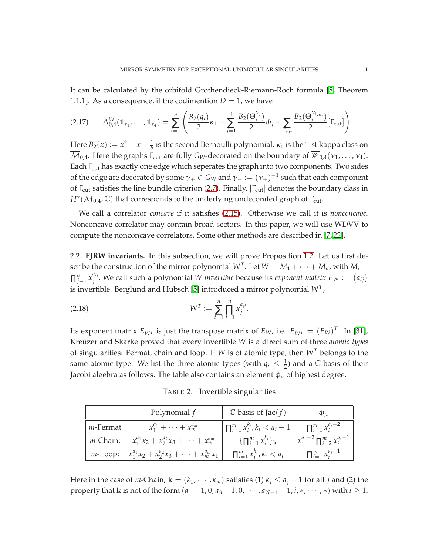It can be calculated by the orbifold Grothendieck-Riemann-Roch formula [\[8,](#page-42-14) Theorem 1.1.1]. As a consequence, if the codimention  $D = 1$ , we have

<span id="page-10-1"></span>
$$
(2.17) \qquad \Lambda_{0,4}^W(\mathbf{1}_{\gamma_1},\ldots,\mathbf{1}_{\gamma_4}) = \sum_{i=1}^n \left( \frac{B_2(q_i)}{2} \kappa_1 - \sum_{j=1}^4 \frac{B_2(\Theta_i^{\gamma_j})}{2} \psi_j + \sum_{\Gamma_{\text{cut}}} \frac{B_2(\Theta_i^{\gamma_{\Gamma_{\text{cut}}}})}{2} [\Gamma_{\text{cut}}] \right).
$$

Here  $B_2(x) := x^2 - x + \frac{1}{6}$  is the second Bernoulli polynomial.  $\kappa_1$  is the 1-st kappa class on  $\overline{\mathcal{M}}_{0,4}$ . Here the graphs  $\Gamma_{\text{cut}}$  are fully  $G_W$ -decorated on the boundary of  $\overline{\mathcal{W}}_{0,4}(\gamma_1,\ldots,\gamma_4)$ . Each Γ<sub>cut</sub> has exactly one edge which seperates the graph into two components. Two sides of the edge are decorated by some  $\gamma_+ \in G_W$  and  $\gamma_- := (\gamma_+)^{-1}$  such that each component of Γ<sub>cut</sub> satisfies the line bundle criterion [\(2.7\)](#page-8-2). Finally, [Γ<sub>cut</sub>] denotes the boundary class in  $H^*(\overline{\mathcal M}_{0,4}, \mathbb C)$  that corresponds to the underlying undecorated graph of  $\Gamma_{\rm cut}$ .

We call a correlator *concave* if it satisfies [\(2.15\)](#page-9-0). Otherwise we call it is *nonconcave*. Nonconcave correlator may contain broad sectors. In this paper, we will use WDVV to compute the nonconcave correlators. Some other methods are described in [\[7,](#page-42-7) [22\]](#page-43-18).

2.2. **FJRW invariants.** In this subsection, we will prove Proposition [1.2.](#page-4-0) Let us first describe the construction of the mirror polynomial  $W<sup>T</sup>$ . Let  $W = M_1 + \cdots + M_n$ , with  $M_i =$  $\prod_{j=1}^{n} x_j^{a_{ij}}$  $j^{a_{ij}}$ . We call such a polynomial *W invertible* because its *exponent matrix*  $E_W := (a_{ij})^T$ is invertible. Berglund and Hübsch [\[5\]](#page-42-2) introduced a mirror polynomial  $W^T$ *,* 

(2.18) 
$$
W^T := \sum_{i=1}^n \prod_{j=1}^n x_j^{a_{ji}}.
$$

Its exponent matrix  $E_{W^T}$  is just the transpose matrix of  $E_W$ , i.e.  $E_{W^T} = (E_W)^T$ . In [\[31\]](#page-43-19), Kreuzer and Skarke proved that every invertible *W* is a direct sum of three *atomic types* of singularities: Fermat, chain and loop. If *W* is of atomic type, then *W<sup>T</sup>* belongs to the same atomic type. We list the three atomic types (with  $q_i \leq \frac{1}{2}$ ) and a  $\mathbb C$ -basis of their Jacobi algebra as follows. The table also contains an element  $\phi_{\mu}$  of highest degree.

Polynomial  $f$   $\qquad$   $\qquad$   $\qquad$   $\qquad$   $\qquad$   $\qquad$   $\qquad$   $\qquad$   $\qquad$   $\qquad$   $\qquad$   $\qquad$   $\qquad$   $\qquad$   $\qquad$   $\qquad$   $\qquad$   $\qquad$   $\qquad$   $\qquad$   $\qquad$   $\qquad$   $\qquad$   $\qquad$   $\qquad$   $\qquad$   $\qquad$   $\qquad$   $\qquad$   $\qquad$   $\qquad$   $\qquad$   $\qquad$   $\qquad$   $\$ *m*-Fermat *x*  $\frac{a_1}{1} + \cdots + \frac{x_m}{m}$  $\prod_{i=1}^{a_m} x_i^{k_i}$  $\left| \sum_{i}^{k_i} k_i < a_i - 1 \right|$  ∏  $\sum_{i=1}^{m} x_i^{a_i-2}$ *m*-Chain: *x*  $x_1^{a_1}x_2 + x_2^{a_2}x_3 + \cdots + x_m^{a_m}$ *m* { $\prod_{i=1}^{m} x_i^{k_i}$  $\begin{array}{c} \n\kappa_i \\ \n\tilde{i} \n\end{array}$ **x** *a*1−2  $\frac{u_1 - 2}{1} \prod$ *m i*=2 *x ai*−1 *i m*-Loop: *x*  $\int_1^{a_1} x_2 + x_2^{a_2} x_3 + \cdots + x_m^{a_m} x_1 \quad \prod$  $\lim_{i=1}^{m} x_i^{k_i}, k_i < a_i$  ∏ *m i*=1 *x ai*−1 *i*

<span id="page-10-0"></span>TABLE 2. Invertible singularities

Here in the case of *m*-Chain,  $\mathbf{k} = (k_1, \dots, k_m)$  satisfies (1)  $k_i \le a_j - 1$  for all *j* and (2) the property that **k** is not of the form  $(a_1 - 1, 0, a_3 - 1, 0, \dots, a_{2l-1} - 1, i, *, \dots, *)$  with  $i \ge 1$ .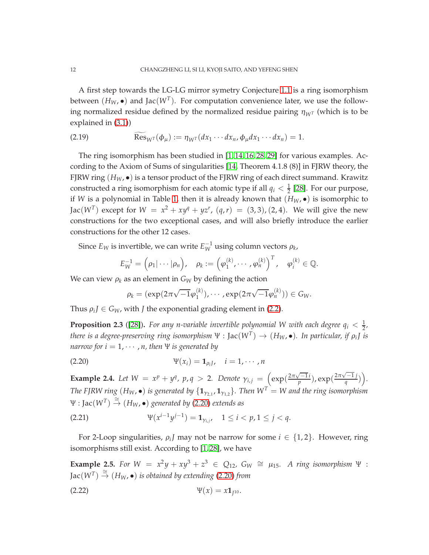A first step towards the LG-LG mirror symetry Conjecture [1.1](#page-2-0) is a ring isomorphism between  $(H_W, \bullet)$  and Jac $(W^T)$ . For computation convenience later, we use the following normalized residue defined by the normalized residue pairing  $\eta_{W^T}$  (which is to be explained in [\(3.1\)](#page-21-0))

(2.19) 
$$
\operatorname{Res}_{W^T}(\phi_\mu) := \eta_{W^T}(dx_1 \cdots dx_n, \phi_\mu dx_1 \cdots dx_n) = 1.
$$

The ring isomorphism has been studied in [\[1,](#page-42-15) [14,](#page-42-5) [16,](#page-42-16) [28,](#page-43-4) [29\]](#page-43-20) for various examples. According to the Axiom of Sums of singularities [\[14,](#page-42-5) Theorem 4.1.8 (8)] in FJRW theory, the FJRW ring (*HW*, •) is a tensor product of the FJRW ring of each direct summand. Krawitz constructed a ring isomorphism for each atomic type if all  $q_i < \frac{1}{2}$  [\[28\]](#page-43-4). For our purpose, if *W* is a polynomial in Table [1,](#page-3-0) then it is already known that (*HW*, •) is isomorphic to Jac( $W^T$ ) except for  $W = x^2 + xy^q + yz^r$ ,  $(q, r) = (3, 3)$ ,  $(2, 4)$ . We will give the new constructions for the two exceptional cases, and will also briefly introduce the earlier constructions for the other 12 cases.

Since  $E_W$  is invertible, we can write  $E_W^{-1}$  using column vectors  $\rho_k$ ,

$$
E_W^{-1} = (\rho_1 | \cdots | \rho_n), \quad \rho_k := (\varphi_1^{(k)}, \cdots, \varphi_n^{(k)})^T, \quad \varphi_i^{(k)} \in \mathbb{Q}.
$$

We can view  $\rho_k$  as an element in  $G_W$  by defining the action

<span id="page-11-0"></span>
$$
\rho_k = (\exp(2\pi\sqrt{-1}\varphi_1^{(k)}), \cdots, \exp(2\pi\sqrt{-1}\varphi_n^{(k)})) \in G_W.
$$

Thus  $\rho_i J \in G_W$ , with *J* the exponential grading element in [\(2.2\)](#page-6-1).

**Proposition 2.3** ([\[28\]](#page-43-4)). For any n-variable invertible polynomial W with each degree  $q_i < \frac{1}{2}$ , *there is a degree-preserving ring isomorphism*  $\Psi : \text{Jac}(W^T) \to (H_W, \bullet)$ *. In particular, if*  $\rho_i$ *J is narrow for*  $i = 1, \dots, n$ *, then*  $\Psi$  *is generated by* 

$$
\Psi(x_i) = \mathbf{1}_{\rho_i J}, \quad i = 1, \cdots, n
$$

**Example 2.4.** Let  $W = x^p + y^q$ ,  $p, q > 2$ . Denote  $\gamma_{i,j} = \left( \exp(\frac{2\pi\sqrt{-1}i}{p}), \exp(\frac{2\pi\sqrt{-1}j}{q}) \right)$ . *The FJRW ring*  $(H_W, \bullet)$  *is generated by*  $\{ \mathbf{1}_{\gamma_{2,1}}, \mathbf{1}_{\gamma_{1,2}} \}$ *. Then*  $W^T = W$  *and the ring isomorphism*  $\Psi : \text{Jac}(W^T) \stackrel{\cong}{\rightarrow} (H_W, \bullet)$  generated by [\(2.20\)](#page-11-0) extends as

$$
\Psi(x^{i-1}y^{j-1}) = \mathbf{1}_{\gamma_{i,j}}, \quad 1 \le i < p, 1 \le j < q.
$$

For 2-Loop singularities,  $\rho_i$ *J* may not be narrow for some  $i \in \{1,2\}$ . However, ring isomorphisms still exist. According to [\[1,](#page-42-15) [28\]](#page-43-4), we have

**Example 2.5.** *For*  $W = x^2y + xy^3 + z^3$  ∈  $Q_{12}$ ,  $G_W ≅ μ_{15}$ . *A ring isomorphism* Ψ :  $Jac(W^T) \stackrel{\cong}{\rightarrow} (H_W, \bullet)$  *is obtained by extending* [\(2.20\)](#page-11-0) *from* 

(2.22) 
$$
\Psi(x) = x \mathbf{1}_{I^{10}}.
$$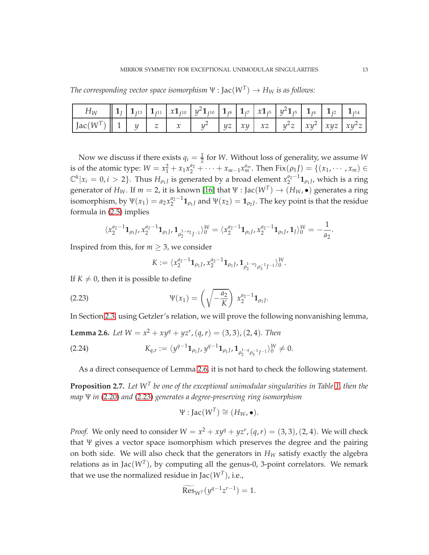*The corresponding vector space isomorphism*  $\Psi$  :  $Jac(W^T) \rightarrow H_W$  *is as follows:* 

| $H_W = \left[ \begin{array}{c c c c c} 1_{J} & 1_{J^{13}} & 1_{J^{11}} & x1_{J^{10}} & y^21_{J^{10}} & 1_{J^8} & 1_{J^7} & x1_{J^5} & y^21_{J^5} & 1_{J^4} & 1_{J^2} & 1_{J^{14}} \end{array} \right]$                                                             |  |  |  |  |  |  |
|--------------------------------------------------------------------------------------------------------------------------------------------------------------------------------------------------------------------------------------------------------------------|--|--|--|--|--|--|
| $\left  \int \text{Jac}(W^T) \right  \left  1 \right  \left  y \right  \left  z \right  \left  x \right  \left  y^2 \right  \left  yz \right  \left  xy \right  \left  xz \right  \left  y^2z \right  \left  xy^2 \right  \left  xyz \right  \left  xy^2z \right $ |  |  |  |  |  |  |

Now we discuss if there exists  $q_i = \frac{1}{2}$  for *W*. Without loss of generality, we assume *W* is of the atomic type:  $W = x_1^2 + x_1 x_2^{a_2} + \cdots + x_{m-1} x_m^{a_m}$ . Then  $Fix(\rho_1 f) = \{(x_1, \dots, x_m) \in$  $\mathbb{C}^k | x_i = 0, i > 2$ . Thus  $H_{\rho_1}$  is generated by a broad element  $x_2^{a_2-1} \mathbf{1}_{\rho_1}$ , which is a ring generator of  $H_W$ . If  $m = 2$ , it is known [\[16\]](#page-42-16) that  $\Psi : \text{Jac}(W^T) \to (H_W, \bullet)$  generates a ring isomorphism, by  $\Psi(x_1) = a_2 x_2^{a_2-1} \mathbf{1}_{\rho_1}$  and  $\Psi(x_2) = \mathbf{1}_{\rho_2}$ . The key point is that the residue formula in [\(2.5\)](#page-7-0) implies

$$
\langle x_2^{a_2-1} \mathbf{1}_{\rho_1 J}, x_2^{a_2-1} \mathbf{1}_{\rho_1 J}, \mathbf{1}_{\rho_2^{1-a_2} J^{-1}} \rangle_0^W = \langle x_2^{a_2-1} \mathbf{1}_{\rho_1 J}, x_2^{a_2-1} \mathbf{1}_{\rho_1 J}, \mathbf{1}_J \rangle_0^W = -\frac{1}{a_2}.
$$

Inspired from this, for  $m \geq 3$ , we consider

<span id="page-12-0"></span>
$$
K:=\langle x_2^{a_2-1}\mathbf{1}_{\rho_1J}, x_2^{a_2-1}\mathbf{1}_{\rho_1J}, \mathbf{1}_{\rho_2^{1-a_2}\rho_3^{-1}J^{-1}}\rangle_0^W.
$$

If  $K \neq 0$ , then it is possible to define

(2.23) 
$$
\Psi(x_1) = \left(\sqrt{-\frac{a_2}{K}}\right) x_2^{a_2 - 1} \mathbf{1}_{\rho_1 J}
$$

In Section [2.3,](#page-17-0) using Getzler's relation, we will prove the following nonvanishing lemma,

.

<span id="page-12-1"></span>**Lemma 2.6.** *Let*  $W = x^2 + xy^q + yz^r$ ,  $(q, r) = (3, 3)$ ,  $(2, 4)$ *. Then* 

$$
(2.24) \t K_{q,r} := \langle y^{q-1} \mathbf{1}_{\rho_1 J}, y^{q-1} \mathbf{1}_{\rho_1 J}, \mathbf{1}_{\rho_2^{1-q} \rho_3^{-1} J^{-1}} \rangle_0^W \neq 0.
$$

<span id="page-12-2"></span>As a direct consequence of Lemma [2.6,](#page-12-1) it is not hard to check the following statement.

<span id="page-12-3"></span>**Proposition 2.7.** *Let W<sup>T</sup> be one of the exceptional unimodular singularities in Table [1,](#page-3-0) then the map* Ψ *in* [\(2.20\)](#page-11-0) *and* [\(2.23\)](#page-12-0) *generates a degree-preserving ring isomorphism*

$$
\Psi : \text{Jac}(W^T) \cong (H_W, \bullet).
$$

*Proof.* We only need to consider  $W = x^2 + xy^q + yz^r$ ,  $(q, r) = (3, 3)$ ,  $(2, 4)$ . We will check that Ψ gives a vector space isomorphism which preserves the degree and the pairing on both side. We will also check that the generators in  $H_W$  satisfy exactly the algebra relations as in Jac $(W^T)$ , by computing all the genus-0, 3-point correlators. We remark that we use the normalized residue in Jac $(W^T)$ , i.e.,

$$
\widetilde{\mathrm{Res}}_{W^T}(y^{q-1}z^{r-1})=1.
$$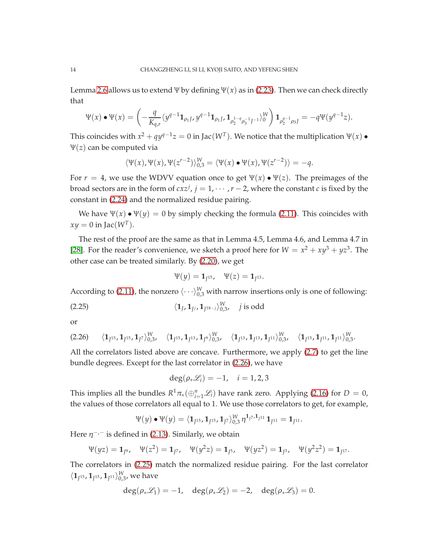Lemma [2.6](#page-12-1) allows us to extend Ψ by defining  $\Psi(x)$  as in [\(2.23\)](#page-12-0). Then we can check directly that

$$
\Psi(x) \bullet \Psi(x) = \left( -\frac{q}{K_{q,r}} \langle y^{q-1} \mathbf{1}_{\rho_1 J}, y^{q-1} \mathbf{1}_{\rho_1 J}, \mathbf{1}_{\rho_2^{1-q} \rho_3^{-1} J^{-1}} \rangle_0^W \right) \mathbf{1}_{\rho_2^{q-1} \rho_3 J} = -q \Psi(y^{q-1} z).
$$

This coincides with  $x^2 + qy^{q-1}z = 0$  in Jac( $W^T$ ). We notice that the multiplication  $Ψ(x)$   $\bullet$ Ψ(*z*) can be computed via

$$
\langle \Psi(x), \Psi(x), \Psi(z^{r-2}) \rangle_{0,3}^W = \langle \Psi(x) \bullet \Psi(x), \Psi(z^{r-2}) \rangle = -q.
$$

For  $r = 4$ , we use the WDVV equation once to get  $\Psi(x) \bullet \Psi(z)$ . The preimages of the broad sectors are in the form of  $c x z^j$ ,  $j = 1, \dots, r-2$ , where the constant *c* is fixed by the constant in [\(2.24\)](#page-12-2) and the normalized residue pairing.

We have  $\Psi(x) \bullet \Psi(y) = 0$  by simply checking the formula [\(2.11\)](#page-9-1). This coincides with  $xy = 0$  in Jac( $W<sup>T</sup>$ ).

The rest of the proof are the same as that in Lemma 4.5, Lemma 4.6, and Lemma 4.7 in [\[28\]](#page-43-4). For the reader's convenience, we sketch a proof here for  $W = x^2 + xy^3 + yz^3$ . The other case can be treated similarly. By [\(2.20\)](#page-11-0), we get

<span id="page-13-1"></span>
$$
\Psi(y) = \mathbf{1}_{J^{15}}, \quad \Psi(z) = \mathbf{1}_{J^{13}}.
$$

According to [\(2.11\)](#page-9-1), the nonzero  $\langle \cdot \cdot \cdot \rangle_{0,3}^W$  with narrow insertions only is one of following:

(2.25) 
$$
\langle 1_J, 1_{J^{1}}, 1_{J^{18-j}} \rangle_{0,3}^W
$$
, j is odd

or

<span id="page-13-0"></span>
$$
(2.26) \qquad \langle \mathbf{1}_{J^{15}}, \mathbf{1}_{J^{15}}, \mathbf{1}_{J^7} \rangle_{0,3}^W, \quad \langle \mathbf{1}_{J^{15}}, \mathbf{1}_{J^{13}}, \mathbf{1}_{J^9} \rangle_{0,3}^W, \quad \langle \mathbf{1}_{J^{13}}, \mathbf{1}_{J^{13}}, \mathbf{1}_{J^{11}} \rangle_{0,3}^W, \quad \langle \mathbf{1}_{J^{15}}, \mathbf{1}_{J^{11}}, \mathbf{1}_{J^{11}} \rangle_{0,3}^W.
$$

All the correlators listed above are concave. Furthermore, we apply [\(2.7\)](#page-8-2) to get the line bundle degrees. Except for the last correlator in [\(2.26\)](#page-13-0), we have

$$
\deg(\rho_*\mathscr{L}_i)=-1, \quad i=1,2,3
$$

This implies all the bundles  $R^1 \pi_*(\bigoplus_{i=1}^n \mathscr{L}_i)$  have rank zero. Applying [\(2.16\)](#page-9-2) for  $D = 0$ , the values of those correlators all equal to 1. We use those correlators to get, for example,

$$
\Psi(y) \bullet \Psi(y) = \langle \mathbf{1}_{J^{15}}, \mathbf{1}_{J^{15}}, \mathbf{1}_{J^{7}} \rangle_{0,3}^{W} \eta^{\mathbf{1}_{J^{7}}, \mathbf{1}_{J^{11}}} \mathbf{1}_{J^{11}} = \mathbf{1}_{J^{11}}.
$$

Here  $\eta^{-,-}$  is defined in [\(2.13\)](#page-9-3). Similarly, we obtain

$$
\Psi(yz) = \mathbf{1}_{J^9}
$$
,  $\Psi(z^2) = \mathbf{1}_{J^7}$ ,  $\Psi(y^2z) = \mathbf{1}_{J^5}$ ,  $\Psi(yz^2) = \mathbf{1}_{J^3}$ ,  $\Psi(y^2z^2) = \mathbf{1}_{J^{17}}$ .

The correlators in [\(2.25\)](#page-13-1) match the normalized residue pairing. For the last correlator  $\langle 1_{J^{15}}$ ,  $1_{J^{15}}$ ,  $1_{J^{11}}\rangle_{0,3}^W$ , we have

$$
\deg(\rho_*\mathscr{L}_1)=-1, \quad \deg(\rho_*\mathscr{L}_2)=-2, \quad \deg(\rho_*\mathscr{L}_3)=0.
$$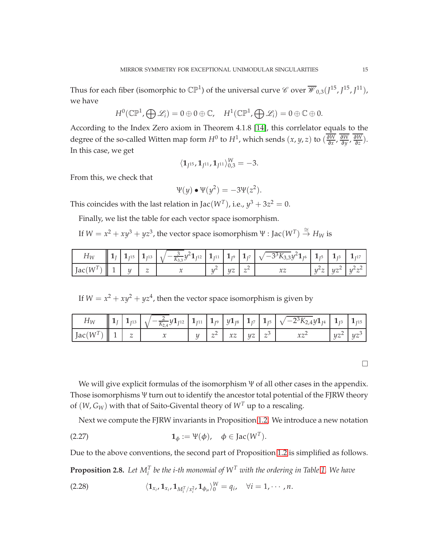Thus for each fiber (isomorphic to  $\mathbb{CP}^1$ ) of the universal curve  $\mathscr C$  over  $\overline{\mathscr W}_{0,3}(J^{15},J^{15},J^{11}),$ we have

$$
H^0(\mathbb{CP}^1,\bigoplus \mathscr{L}_i)=0\oplus 0\oplus \mathbb{C},\quad H^1(\mathbb{CP}^1,\bigoplus \mathscr{L}_i)=0\oplus \mathbb{C}\oplus 0.
$$

According to the Index Zero axiom in Theorem 4.1.8 [\[14\]](#page-42-5), this corrlelator equals to the degree of the so-called Witten map form  $H^0$  to  $H^1$ , which sends  $(x, y, z)$  to  $\left(\frac{\partial W}{\partial x}\right)$ ∂*x* , ∂*W* ∂*y* , ∂*W*  $\frac{\partial W}{\partial z}$ ). In this case, we get

$$
\langle \mathbf{1}_{J^{15}}, \mathbf{1}_{J^{11}}, \mathbf{1}_{J^{11}} \rangle_{0,3}^W = -3.
$$

From this, we check that

$$
\Psi(y) \bullet \Psi(y^2) = -3\Psi(z^2).
$$

This coincides with the last relation in Jac( $W^T$ ), i.e.,  $y^3 + 3z^2 = 0$ .

Finally, we list the table for each vector space isomorphism.

If  $W = x^2 + xy^3 + yz^3$ , the vector space isomorphism  $\Psi : \text{Jac}(W^T) \stackrel{\cong}{\to} H_W$  is

|            |  |               |  |    |                             | $\ 1_{J}\ 1_{J^{15}}\ 1_{J^{13}}\ 1_{J^{13}}\ 1_{\sqrt{-\frac{3}{K_{3,3}}}y^21_{J^{12}}}\ 1_{J^{11}}\ 1_{J^9}\ 1_{J^7}\ 1_{\sqrt{-3^3K_{3,3}}y^21_{J^6}}\ 1_{J^5}\ 1_{J^3}\ 1_{J^{17}}$ |  |                        |
|------------|--|---------------|--|----|-----------------------------|-----------------------------------------------------------------------------------------------------------------------------------------------------------------------------------------|--|------------------------|
| $Jac(W^T)$ |  | $\mathcal{Z}$ |  | UZ | $\frac{1}{2}$ $\frac{2}{1}$ |                                                                                                                                                                                         |  | $y^2z   yz^2   y^2z^2$ |

If  $W = x^2 + xy^2 + yz^4$ , then the vector space isomorphism is given by

|                              |  |  |                       |  | $\left\  1_{J} \right\  1_{J^{13}} \left\  \sqrt{-\tfrac{2}{K_{2,4}}} y 1_{J^{12}} \right\  1_{J^{11}} \left\  1_{J^{9}} \right\  y 1_{J^{8}} \left\  1_{J^{7}} \right\  1_{J^{5}} \left\  \sqrt{-2^{3} K_{2,4}} y 1_{J^{4}} \right\  1_{J^{3}} \left\  1_{J^{15}} \right\ $ |               |
|------------------------------|--|--|-----------------------|--|------------------------------------------------------------------------------------------------------------------------------------------------------------------------------------------------------------------------------------------------------------------------------|---------------|
| $\int \text{Jac}(W^T)$ 1 $z$ |  |  | $z^2$ $xz$ $yz$ $z^3$ |  | $xz^2$                                                                                                                                                                                                                                                                       | $yz^2$ $yz^3$ |

 $\Box$ 

We will give explicit formulas of the isomorphism Ψ of all other cases in the appendix. Those isomorphisms Ψ turn out to identify the ancestor total potential of the FJRW theory of  $(W, G_W)$  with that of Saito-Givental theory of  $W<sup>T</sup>$  up to a rescaling.

Next we compute the FJRW invariants in Proposition [1.2.](#page-4-0) We introduce a new notation

(2.27) 
$$
\mathbf{1}_{\phi} := \Psi(\phi), \quad \phi \in \text{Jac}(W^{T}).
$$

Due to the above conventions, the second part of Proposition [1.2](#page-4-0) is simplified as follows.

<span id="page-14-1"></span>**Proposition 2.8.** Let  $M_i^T$  be the i-th monomial of  $W^T$  with the ordering in Table [1.](#page-3-0) We have

<span id="page-14-0"></span>(2.28) 
$$
\langle \mathbf{1}_{x_i}, \mathbf{1}_{x_i}, \mathbf{1}_{M_i^T/x_i^2}, \mathbf{1}_{\phi_\mu} \rangle_0^W = q_i, \quad \forall i = 1, \cdots, n.
$$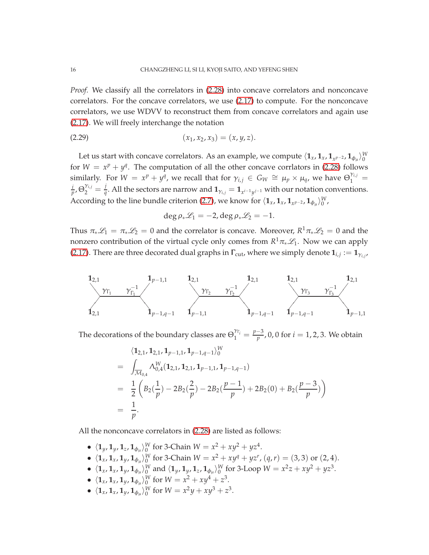*Proof.* We classify all the correlators in [\(2.28\)](#page-14-0) into concave correlators and nonconcave correlators. For the concave correlators, we use [\(2.17\)](#page-10-1) to compute. For the nonconcave correlators, we use WDVV to reconstruct them from concave correlators and again use [\(2.17\)](#page-10-1). We will freely interchange the notation

(2.29) (*x*1, *x*2, *x*3) = (*x*, *y*, *z*).

Let us start with concave correlators. As an example, we compute  $\langle \mathbf{1}_x, \mathbf{1}_x, \mathbf{1}_{x^{p-2}}, \mathbf{1}_{\phi_\mu} \rangle^W_0$ for  $W = x^p + y^q$ . The computation of all the other concave corrlators in [\(2.28\)](#page-14-0) follows similarly. For  $W = x^p + y^q$ , we recall that for  $\gamma_{i,j} \in G_W \cong \mu_p \times \mu_q$ , we have  $\Theta_1^{\gamma_{i,j}} =$ *i*  $\frac{i}{p}$ ,  $\Theta_2^{\gamma_{i,j}} = \frac{j}{q}$  $\frac{1}{q}$ . All the sectors are narrow and  $\mathbf{1}_{\gamma_{i,j}} = \mathbf{1}_{x^{i-1}y^{j-1}}$  with our notation conventions. According to the line bundle criterion [\(2.7\)](#page-8-2), we know for  $\langle \mathbf{1}_x, \mathbf{1}_x, \mathbf{1}_{x^p-2}, \mathbf{1}_{\phi_\mu} \rangle^W_0$ ,

$$
\deg \rho_* \mathscr{L}_1 = -2, \deg \rho_* \mathscr{L}_2 = -1.
$$

Thus  $\pi_*\mathscr{L}_1 = \pi_*\mathscr{L}_2 = 0$  and the correlator is concave. Moreover,  $R^1\pi_*\mathscr{L}_2 = 0$  and the nonzero contribution of the virtual cycle only comes from  $R^1\pi_*\mathscr{L}_1$ . Now we can apply [\(2.17\)](#page-10-1). There are three decorated dual graphs in  $\Gamma_{\text{cut}}$ , where we simply denote  $\mathbf{1}_{i,j} := \mathbf{1}_{\gamma_{i,j}}$ ,



The decorations of the boundary classes are  $\Theta_1^{\gamma_{\Gamma_i}} = \frac{p-3}{p}$ , 0, 0 for  $i = 1, 2, 3$ . We obtain

$$
\langle \mathbf{1}_{2,1}, \mathbf{1}_{2,1}, \mathbf{1}_{p-1,1}, \mathbf{1}_{p-1,q-1} \rangle_{0}^{W}
$$
\n
$$
= \int_{\overline{\mathcal{M}}_{0,4}} \Lambda_{0,4}^{W}(\mathbf{1}_{2,1}, \mathbf{1}_{2,1}, \mathbf{1}_{p-1,1}, \mathbf{1}_{p-1,q-1})
$$
\n
$$
= \frac{1}{2} \left( B_{2}(\frac{1}{p}) - 2B_{2}(\frac{2}{p}) - 2B_{2}(\frac{p-1}{p}) + 2B_{2}(0) + B_{2}(\frac{p-3}{p}) \right)
$$
\n
$$
= \frac{1}{p}.
$$

All the nonconcave correlators in [\(2.28\)](#page-14-0) are listed as follows:

- $\langle \mathbf{1}_y, \mathbf{1}_y, \mathbf{1}_z, \mathbf{1}_{\phi_\mu} \rangle^W_0$  for 3-Chain  $W = x^2 + xy^2 + yz^4$ .
- $\langle \mathbf{1}_x, \mathbf{1}_x, \mathbf{1}_y, \mathbf{1}_{\phi_\mu} \rangle^W_0$  for 3-Chain  $W = x^2 + xy^q + yz^r$ ,  $(q, r) = (3, 3)$  or  $(2, 4)$ .
- $\langle \mathbf{1}_x, \mathbf{1}_x, \mathbf{1}_y, \mathbf{1}_{\phi_\mu} \rangle^W_0$  and  $\langle \mathbf{1}_y, \mathbf{1}_y, \mathbf{1}_z, \mathbf{1}_{\phi_\mu} \rangle^W_0$  for 3-Loop  $W = x^2z + xy^2 + yz^3$ .
- $\langle \mathbf{1}_x, \mathbf{1}_x, \mathbf{1}_y, \mathbf{1}_{\phi_\mu} \rangle^W_0$  for  $W = x^2 + xy^4 + z^3$ .
- $\langle \mathbf{1}_x, \mathbf{1}_x, \mathbf{1}_y, \mathbf{1}_{\phi_\mu} \rangle^W_0$  for  $W = x^2y + xy^3 + z^3$ .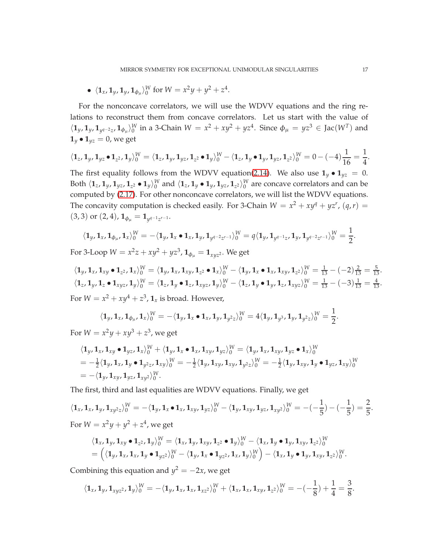•  $\langle \mathbf{1}_x, \mathbf{1}_y, \mathbf{1}_y, \mathbf{1}_{\phi_\mu} \rangle_0^W$  for  $W = x^2y + y^2 + z^4$ .

For the nonconcave correlators, we will use the WDVV equations and the ring relations to reconstruct them from concave correlators. Let us start with the value of  $\langle 1_y, 1_y, 1_{y^{q-2}z}, 1_{\phi_\mu} \rangle_0^W$  in a 3-Chain  $W = x^2 + xy^2 + yz^4$ . Since  $\phi_\mu = yz^3 \in \text{Jac}(W^T)$  and  $\mathbf{1}_y \bullet \mathbf{1}_{yz} = 0$ , we get

$$
\langle \mathbf{1}_z, \mathbf{1}_y, \mathbf{1}_{yz} \bullet \mathbf{1}_{z^2}, \mathbf{1}_y \rangle_0^W = \langle \mathbf{1}_z, \mathbf{1}_y, \mathbf{1}_{yz}, \mathbf{1}_{z^2} \bullet \mathbf{1}_y \rangle_0^W - \langle \mathbf{1}_z, \mathbf{1}_y \bullet \mathbf{1}_y, \mathbf{1}_{yz}, \mathbf{1}_{z^2} \rangle_0^W = 0 - (-4) \frac{1}{16} = \frac{1}{4}.
$$

The first equality follows from the WDVV equation[\(2.14\)](#page-9-4). We also use  $\mathbf{1}_y \bullet \mathbf{1}_{yz} = 0$ . Both  $\langle \mathbf{1}_z,\mathbf{1}_y,\mathbf{1}_{yz},\mathbf{1}_{z^2}\bullet\mathbf{1}_y\rangle_{0}^{W}$  and  $\langle \mathbf{1}_z,\mathbf{1}_y\bullet\mathbf{1}_y,\mathbf{1}_{yz},\mathbf{1}_{z^2}\rangle_{0}^{W}$  are concave correlators and can be computed by [\(2.17\)](#page-10-1). For other nonconcave correlators, we will list the WDVV equations. The concavity computation is checked easily. For 3-Chain  $W = x^2 + xy^q + yz^r$ ,  $(q, r) =$  $(3, 3)$  or  $(2, 4)$ ,  $\mathbf{1}_{\phi_\mu} = \mathbf{1}_{y^{q-1}z^{r-1}}$ .

$$
\langle \mathbf{1}_{y}, \mathbf{1}_{x}, \mathbf{1}_{\phi_{\mu}}, \mathbf{1}_{x} \rangle_{0}^{W} = -\langle \mathbf{1}_{y}, \mathbf{1}_{x} \bullet \mathbf{1}_{x}, \mathbf{1}_{y}, \mathbf{1}_{y^{q-2}z^{r-1}} \rangle_{0}^{W} = q \langle \mathbf{1}_{y}, \mathbf{1}_{y^{q-1}z}, \mathbf{1}_{y}, \mathbf{1}_{y^{q-2}z^{r-1}} \rangle_{0}^{W} = \frac{1}{2}.
$$

For 3-Loop  $W = x^2z + xy^2 + yz^3$ ,  $\mathbf{1}_{\phi_\mu} = \mathbf{1}_{xyz^2}$ . We get

$$
\langle \mathbf{1}_y, \mathbf{1}_x, \mathbf{1}_{xy} \bullet \mathbf{1}_{z^2}, \mathbf{1}_x \rangle_0^W = \langle \mathbf{1}_y, \mathbf{1}_x, \mathbf{1}_{xy}, \mathbf{1}_{z^2} \bullet \mathbf{1}_x \rangle_0^W - \langle \mathbf{1}_y, \mathbf{1}_x \bullet \mathbf{1}_x, \mathbf{1}_{xy}, \mathbf{1}_{z^2} \rangle_0^W = \frac{1}{13} - (-2)\frac{2}{13} = \frac{5}{13}.
$$
  

$$
\langle \mathbf{1}_z, \mathbf{1}_y, \mathbf{1}_z \bullet \mathbf{1}_{xyz}, \mathbf{1}_y \rangle_0^W = \langle \mathbf{1}_z, \mathbf{1}_y \bullet \mathbf{1}_z, \mathbf{1}_{xyz}, \mathbf{1}_y \rangle_0^W - \langle \mathbf{1}_z, \mathbf{1}_y \bullet \mathbf{1}_y, \mathbf{1}_z, \mathbf{1}_{xyz} \rangle_0^W = \frac{1}{13} - (-3)\frac{1}{13} = \frac{4}{13}.
$$
  
For  $W = x^2 + xy^4 + z^3$ ,  $\mathbf{1}_x$  is broad. However,

$$
\langle \mathbf{1}_y, \mathbf{1}_x, \mathbf{1}_{\phi_\mu}, \mathbf{1}_x \rangle_0^W = -\langle \mathbf{1}_y, \mathbf{1}_x \bullet \mathbf{1}_x, \mathbf{1}_y, \mathbf{1}_{y^2 z} \rangle_0^W = 4 \langle \mathbf{1}_y, \mathbf{1}_{y^3}, \mathbf{1}_y, \mathbf{1}_{y^2 z} \rangle_0^W = \frac{1}{2}.
$$

For  $W = x^2y + xy^3 + z^3$ , we get

$$
\langle \mathbf{1}_y, \mathbf{1}_x, \mathbf{1}_{xy} \bullet \mathbf{1}_{yz}, \mathbf{1}_x \rangle_0^W + \langle \mathbf{1}_y, \mathbf{1}_x \bullet \mathbf{1}_x, \mathbf{1}_{xy}, \mathbf{1}_{yz} \rangle_0^W = \langle \mathbf{1}_y, \mathbf{1}_x, \mathbf{1}_{xy}, \mathbf{1}_{yz} \bullet \mathbf{1}_x \rangle_0^W
$$
  
=  $-\frac{1}{2} \langle \mathbf{1}_y, \mathbf{1}_x, \mathbf{1}_y \bullet \mathbf{1}_{y^2z}, \mathbf{1}_{xy} \rangle_0^W = -\frac{1}{2} \langle \mathbf{1}_y, \mathbf{1}_{xy}, \mathbf{1}_{xy}, \mathbf{1}_{y^2z} \rangle_0^W = -\frac{1}{2} \langle \mathbf{1}_y, \mathbf{1}_{xy}, \mathbf{1}_y \bullet \mathbf{1}_{yz}, \mathbf{1}_{xy} \rangle_0^W$   
=  $-\langle \mathbf{1}_y, \mathbf{1}_{xy}, \mathbf{1}_{yz}, \mathbf{1}_{xy^2} \rangle_0^W.$ 

The first, third and last equalities are WDVV equations. Finally, we get

$$
\langle \mathbf{1}_x, \mathbf{1}_x, \mathbf{1}_y, \mathbf{1}_{xy^2z} \rangle_0^W = -\langle \mathbf{1}_y, \mathbf{1}_x \bullet \mathbf{1}_x, \mathbf{1}_{xy}, \mathbf{1}_{yz} \rangle_0^W - \langle \mathbf{1}_y, \mathbf{1}_{xy}, \mathbf{1}_{yz}, \mathbf{1}_{xy^2} \rangle_0^W = -(-\frac{1}{5}) - (-\frac{1}{5}) = \frac{2}{5}
$$
  
For  $W = x^2y + y^2 + z^4$ , we get

$$
\langle \mathbf{1}_x, \mathbf{1}_y, \mathbf{1}_{xy} \bullet \mathbf{1}_{z^2}, \mathbf{1}_y \rangle_0^W = \langle \mathbf{1}_x, \mathbf{1}_y, \mathbf{1}_{xy}, \mathbf{1}_{z^2} \bullet \mathbf{1}_y \rangle_0^W - \langle \mathbf{1}_x, \mathbf{1}_y \bullet \mathbf{1}_y, \mathbf{1}_{xy}, \mathbf{1}_{z^2} \rangle_0^W
$$
  
=  $\left( \langle \mathbf{1}_y, \mathbf{1}_x, \mathbf{1}_x, \mathbf{1}_y \bullet \mathbf{1}_{yz^2} \rangle_0^W - \langle \mathbf{1}_y, \mathbf{1}_x, \mathbf{1}_y \rangle_0^W \right) - \langle \mathbf{1}_x, \mathbf{1}_y \bullet \mathbf{1}_y, \mathbf{1}_{xy}, \mathbf{1}_{z^2} \rangle_0^W.$ 

Combining this equation and  $y^2 = -2x$ , we get

$$
\langle \mathbf{1}_x, \mathbf{1}_y, \mathbf{1}_{xyz^2}, \mathbf{1}_y \rangle_0^W = -\langle \mathbf{1}_y, \mathbf{1}_x, \mathbf{1}_x, \mathbf{1}_{xz^2} \rangle_0^W + \langle \mathbf{1}_x, \mathbf{1}_x, \mathbf{1}_{xy}, \mathbf{1}_{z^2} \rangle_0^W = -(-\frac{1}{8}) + \frac{1}{4} = \frac{3}{8}.
$$

.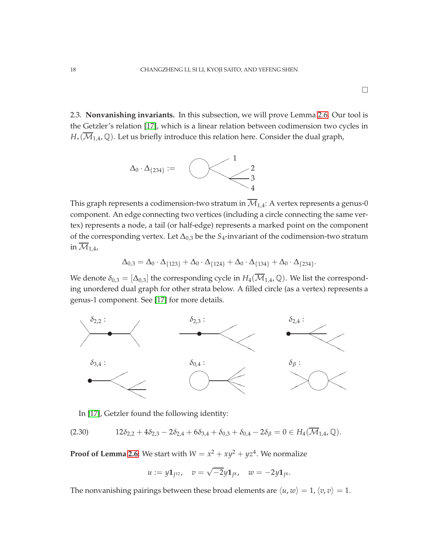<span id="page-17-0"></span>2.3. **Nonvanishing invariants.** In this subsection, we will prove Lemma [2.6.](#page-12-1) Our tool is the Getzler's relation [\[17\]](#page-42-17), which is a linear relation between codimension two cycles in  $H_*(\overline{\mathcal{M}}_{1,4},\mathbb{Q})$ . Let us briefly introduce this relation here. Consider the dual graph,



This graph represents a codimension-two stratum in  $\overline{\mathcal{M}}_{1,4}$ : A vertex represents a genus-0 component. An edge connecting two vertices (including a circle connecting the same vertex) represents a node, a tail (or half-edge) represents a marked point on the component of the corresponding vertex. Let ∆0,3 be the *S*4-invariant of the codimension-two stratum in  $\overline{\mathcal{M}}_{1.4}$ ,

$$
\Delta_{0,3} = \Delta_0 \cdot \Delta_{\{123\}} + \Delta_0 \cdot \Delta_{\{124\}} + \Delta_0 \cdot \Delta_{\{134\}} + \Delta_0 \cdot \Delta_{\{234\}}.
$$

We denote  $\delta_{0,3} = [\Delta_{0,3}]$  the corresponding cycle in  $H_4(\overline{\mathcal{M}}_{1,4}, \mathbb{Q})$ . We list the corresponding unordered dual graph for other strata below. A filled circle (as a vertex) represents a genus-1 component. See [\[17\]](#page-42-17) for more details.



<span id="page-17-1"></span>In [\[17\]](#page-42-17), Getzler found the following identity:

$$
(2.30) \t12\delta_{2,2} + 4\delta_{2,3} - 2\delta_{2,4} + 6\delta_{3,4} + \delta_{0,3} + \delta_{0,4} - 2\delta_{\beta} = 0 \in H_4(\overline{\mathcal{M}}_{1,4}, \mathbb{Q}).
$$

**Proof of Lemma [2.6:](#page-12-1)** We start with  $W = x^2 + xy^2 + yz^4$ . We normalize

$$
u:=y{\bf 1}_{J^{12}},\quad v=\sqrt{-2}y{\bf 1}_{J^8},\quad w=-2y{\bf 1}_{J^4}.
$$

The nonvanishing pairings between these broad elements are  $\langle u, w \rangle = 1, \langle v, v \rangle = 1$ .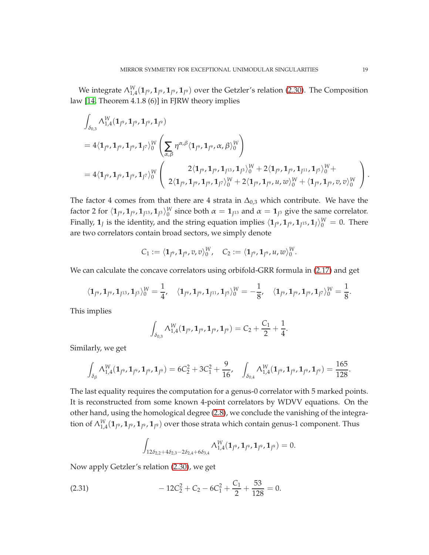We integrate  $\Lambda^W_{1,4}(1_{J^9},1_{J^9},1_{J^9})$  over the Getzler's relation [\(2.30\)](#page-17-1). The Composition law [\[14,](#page-42-5) Theorem 4.1.8 (6)] in FJRW theory implies

$$
\begin{split} &\int_{\delta_{0,3}}\Lambda_{1,4}^{W}(\mathbf{1}_{I^{9}},\mathbf{1}_{I^{9}},\mathbf{1}_{I^{9}},\mathbf{1}_{J^{9}})\\ &=4\langle\mathbf{1}_{J^{9}},\mathbf{1}_{J^{9}},\mathbf{1}_{J^{7}}\rangle_{0}^{W}\left(\sum_{\alpha,\beta}\eta^{\alpha,\beta}\langle\mathbf{1}_{J^{9}},\mathbf{1}_{J^{9}},\alpha,\beta\rangle_{0}^{W}\right)\\ &=4\langle\mathbf{1}_{J^{9}},\mathbf{1}_{J^{9}},\mathbf{1}_{J^{7}}\rangle_{0}^{W}\left(\begin{array}{c}2\langle\mathbf{1}_{J^{9}},\mathbf{1}_{J^{9}},\mathbf{1}_{J^{13}},\mathbf{1}_{J^{3}}\rangle_{0}^{W}+2\langle\mathbf{1}_{J^{9}},\mathbf{1}_{J^{11}},\mathbf{1}_{J^{5}}\rangle_{0}^{W}+\\2\langle\mathbf{1}_{J^{9}},\mathbf{1}_{J^{9}},\mathbf{1}_{J^{9}},\mathbf{1}_{J^{7}}\rangle_{0}^{W}+2\langle\mathbf{1}_{J^{9}},\mathbf{1}_{J^{9}},\boldsymbol{u},\boldsymbol{w}\rangle_{0}^{W}+\langle\mathbf{1}_{J^{9}},\mathbf{1}_{J^{9}},\boldsymbol{v},\boldsymbol{v}\rangle_{0}^{W}\end{array}\right).
$$

The factor 4 comes from that there are 4 strata in  $\Delta_{0,3}$  which contribute. We have the factor 2 for  $\langle 1_{J^9}, 1_{J^1}, 1_{J^3} \rangle_0^W$  since both  $\alpha = 1_{J^1}$  and  $\alpha = 1_{J^3}$  give the same correlator. Finally,  $\mathbf{1}_J$  is the identity, and the string equation implies  $\langle \mathbf{1}_{J^9}, \mathbf{1}_{J^9}, \mathbf{1}_{J^15}, \mathbf{1}_J \rangle_0^W = 0$ . There are two correlators contain broad sectors, we simply denote

$$
C_1:=\langle \mathbf{1}_{J^9},\mathbf{1}_{J^9},v,v\rangle_{0}^{W},\quad C_2:=\langle \mathbf{1}_{J^9},\mathbf{1}_{J^9},u,w\rangle_{0}^{W}.
$$

We can calculate the concave correlators using orbifold-GRR formula in [\(2.17\)](#page-10-1) and get

$$
\langle \mathbf{1}_{J^9}, \mathbf{1}_{J^9}, \mathbf{1}_{J^{13}}, \mathbf{1}_{J^3}\rangle^W_0 = \frac{1}{4}, \quad \langle \mathbf{1}_{J^9}, \mathbf{1}_{J^9}, \mathbf{1}_{J^{11}}, \mathbf{1}_{J^5}\rangle^W_0 = -\frac{1}{8}, \quad \langle \mathbf{1}_{J^9}, \mathbf{1}_{J^9}, \mathbf{1}_{J^9}, \mathbf{1}_{J^7}\rangle^W_0 = \frac{1}{8}.
$$

This implies

$$
\int_{\delta_{0,3}} \Lambda_{1,4}^W(\mathbf{1}_{J^9}, \mathbf{1}_{J^9}, \mathbf{1}_{J^9}, \mathbf{1}_{J^9}) = C_2 + \frac{C_1}{2} + \frac{1}{4}.
$$

Similarly, we get

$$
\int_{\delta_{\beta}} \Lambda_{1,4}^W(\mathbf{1}_{J^9}, \mathbf{1}_{J^9}, \mathbf{1}_{J^9}, \mathbf{1}_{J^9}) = 6C_2^2 + 3C_1^2 + \frac{9}{16}, \quad \int_{\delta_{0,4}} \Lambda_{1,4}^W(\mathbf{1}_{J^9}, \mathbf{1}_{J^9}, \mathbf{1}_{J^9}, \mathbf{1}_{J^9}) = \frac{165}{128}.
$$

The last equality requires the computation for a genus-0 correlator with 5 marked points. It is reconstructed from some known 4-point correlators by WDVV equations. On the other hand, using the homological degree [\(2.8\)](#page-8-1), we conclude the vanishing of the integration of  $\Lambda^W_{1,4}(\mathbf{1}_{J^9}, \mathbf{1}_{J^9}, \mathbf{1}_{J^9})$  over those strata which contain genus-1 component. Thus

<span id="page-18-0"></span>
$$
\int_{12\delta_{2,2}+4\delta_{2,3}-2\delta_{2,4}+6\delta_{3,4}}\Lambda_{1,4}^W(\mathbf{1}_{J^9},\mathbf{1}_{J^9},\mathbf{1}_{J^9},\mathbf{1}_{J^9})=0.
$$

Now apply Getzler's relation [\(2.30\)](#page-17-1), we get

(2.31) 
$$
-12C_2^2 + C_2 - 6C_1^2 + \frac{C_1}{2} + \frac{53}{128} = 0.
$$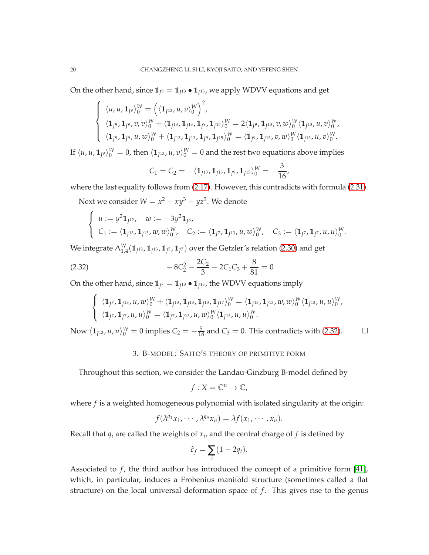On the other hand, since  $\mathbf{1}_{J^9} = \mathbf{1}_{J^{13}} \bullet \mathbf{1}_{J^{13}}$ , we apply WDVV equations and get

$$
\begin{cases} \langle u, u, 1_{J^9} \rangle_0^W = \left( \langle 1_{J^{13}}, u, v \rangle_0^W \right)^2, \\ \langle 1_{J^9}, 1_{J^9}, v, v \rangle_0^W + \langle 1_{J^{13}}, 1_{J^{13}}, 1_{J^9}, 1_{J^{15}} \rangle_0^W = 2 \langle 1_{J^9}, 1_{J^{13}}, v, w \rangle_0^W \langle 1_{J^{13}}, u, v \rangle_0^W, \\ \langle 1_{J^9}, 1_{J^9}, u, w \rangle_0^W + \langle 1_{J^{13}}, 1_{J^{13}}, 1_{J^9}, 1_{J^{15}} \rangle_0^W = \langle 1_{J^9}, 1_{J^{13}}, v, w \rangle_0^W \langle 1_{J^{13}}, u, v \rangle_0^W. \end{cases}
$$

If  $\langle u, u, \mathbf{1}_{J^9}\rangle_0^W=0$ , then  $\langle \mathbf{1}_{J^{13}}, u, v\rangle_0^W=0$  and the rest two equations above implies

$$
C_1 = C_2 = -\langle \mathbf{1}_{J^{13}}, \mathbf{1}_{J^{13}}, \mathbf{1}_{J^9}, \mathbf{1}_{J^{15}} \rangle_0^W = -\frac{3}{16},
$$

where the last equality follows from [\(2.17\)](#page-10-1). However, this contradicts with formula [\(2.31\)](#page-18-0).

Next we consider  $W = x^2 + xy^3 + yz^3$ . We denote

$$
\begin{cases}\n u := y^2 \mathbf{1}_{J^{12}}, & w := -3y^2 \mathbf{1}_{J^6}, \\
 C_1 := \langle \mathbf{1}_{J^{13}}, \mathbf{1}_{J^{13}}, w, w \rangle_0^W, & C_2 := \langle \mathbf{1}_{J^7}, \mathbf{1}_{J^{13}}, u, w \rangle_0^W, & C_3 := \langle \mathbf{1}_{J^7}, \mathbf{1}_{J^7}, u, u \rangle_0^W.\n\end{cases}
$$

We integrate  $\Lambda^W_{1,4}(\mathbf{1}_{J^{13}},\mathbf{1}_{J^{13}},\mathbf{1}_{J^7},\mathbf{1}_{J^7})$  over the Getzler's relation [\(2.30\)](#page-17-1) and get

(2.32) 
$$
-8C_2^2 - \frac{2C_2}{3} - 2C_1C_3 + \frac{8}{81} = 0
$$

On the other hand, since  $\mathbf{1}_{J^7} = \mathbf{1}_{J^{13}} \bullet \mathbf{1}_{J^{13}}$ , the WDVV equations imply

<span id="page-19-1"></span>
$$
\begin{cases} \langle \mathbf{1}_{J^7}, \mathbf{1}_{J^{13}}, u, w \rangle_0^W + \langle \mathbf{1}_{J^{13}}, \mathbf{1}_{J^{13}}, \mathbf{1}_{J^{17}} \rangle_0^W = \langle \mathbf{1}_{J^{13}}, \mathbf{1}_{J^{13}}, w, w \rangle_0^W \langle \mathbf{1}_{J^{13}}, u, u \rangle_0^W, \\ \langle \mathbf{1}_{J^7}, \mathbf{1}_{J^7}, u, u \rangle_0^W = \langle \mathbf{1}_{J^7}, \mathbf{1}_{J^{13}}, u, w \rangle_0^W \langle \mathbf{1}_{J^{13}}, u, u \rangle_0^W. \end{cases}
$$

<span id="page-19-0"></span>Now  $\langle \mathbf{1}_{I^{13}}, u, u \rangle_{0}^{W} = 0$  implies  $C_2 = -\frac{5}{18}$  and  $C_3 = 0$ . This contradicts with [\(2.32\)](#page-19-1). □

# 3. B-MODEL: SAITO'S THEORY OF PRIMITIVE FORM

Throughout this section, we consider the Landau-Ginzburg B-model defined by

$$
f:X=\mathbb{C}^n\to\mathbb{C},
$$

where *f* is a weighted homogeneous polynomial with isolated singularity at the origin:

$$
f(\lambda^{q_1}x_1,\cdots,\lambda^{q_n}x_n)=\lambda f(x_1,\cdots,x_n).
$$

Recall that *q<sup>i</sup>* are called the weights of *x<sup>i</sup>* , and the central charge of *f* is defined by

$$
\hat{c}_f = \sum_i (1 - 2q_i).
$$

Associated to  $f$ , the third author has introduced the concept of a primitive form [\[41\]](#page-43-8), which, in particular, induces a Frobenius manifold structure (sometimes called a flat structure) on the local universal deformation space of *f* . This gives rise to the genus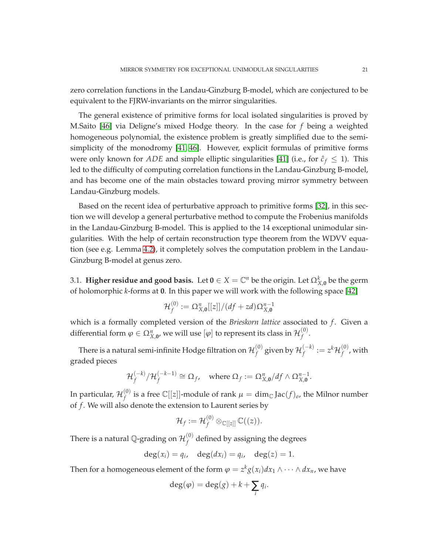zero correlation functions in the Landau-Ginzburg B-model, which are conjectured to be equivalent to the FJRW-invariants on the mirror singularities.

The general existence of primitive forms for local isolated singularities is proved by M.Saito [\[46\]](#page-44-3) via Deligne's mixed Hodge theory. In the case for *f* being a weighted homogeneous polynomial, the existence problem is greatly simplified due to the semisimplicity of the monodromy [\[41,](#page-43-8) [46\]](#page-44-3). However, explicit formulas of primitive forms were only known for *ADE* and simple elliptic singularities [\[41\]](#page-43-8) (i.e., for  $\hat{c}_f \leq 1$ ). This led to the difficulty of computing correlation functions in the Landau-Ginzburg B-model, and has become one of the main obstacles toward proving mirror symmetry between Landau-Ginzburg models.

Based on the recent idea of perturbative approach to primitive forms [\[32\]](#page-43-15), in this section we will develop a general perturbative method to compute the Frobenius manifolds in the Landau-Ginzburg B-model. This is applied to the 14 exceptional unimodular singularities. With the help of certain reconstruction type theorem from the WDVV equation (see e.g. Lemma [4.2\)](#page-30-0), it completely solves the computation problem in the Landau-Ginzburg B-model at genus zero.

3.1. **Higher residue and good basis.** Let  $0 \in X = \mathbb{C}^n$  be the origin. Let  $\Omega_{X,0}^k$  be the germ of holomorphic *k*-forms at **0**. In this paper we will work with the following space [\[42\]](#page-43-21)

$$
\mathcal{H}_f^{(0)} := \Omega_{X,\mathbf{0}}^n[[z]]/(df + zd)\Omega_{X,\mathbf{0}}^{n-1}
$$

which is a formally completed version of the *Brieskorn lattice* associated to *f*. Given a differential form  $\varphi \in \Omega_{X,{\bf 0}}^n$  we will use  $[\varphi]$  to represent its class in  $\mathcal{H}_f^{(0)}$ *f* .

There is a natural semi-infinite Hodge filtration on  $\mathcal{H}_f^{(0)}$  $f_f^{(0)}$  given by  $\mathcal{H}_f^{(-k)} := z^k \mathcal{H}_f^{(0)}$  $f^{(0)}_f$ , with graded pieces

$$
\mathcal{H}_f^{(-k)}/\mathcal{H}_f^{(-k-1)} \cong \Omega_f, \quad \text{where } \Omega_f := \Omega_{X,0}^n/df \wedge \Omega_{X,0}^{n-1}.
$$

In particular,  $\mathcal{H}_f^{(0)}$  $f_f^{(0)}$  is a free C[[z]]-module of rank  $\mu = \dim_\mathbb{C} \text{Jac}(f)_o$ , the Milnor number of *f* . We will also denote the extension to Laurent series by

$$
\mathcal{H}_f:=\mathcal{H}_f^{(0)}\otimes_{\mathbb{C}[[z]]}\mathbb{C}((z)).
$$

There is a natural Q-grading on  $\mathcal{H}_f^{(0)}$  $f_f^{(0)}$  defined by assigning the degrees

$$
\deg(x_i) = q_i, \quad \deg(dx_i) = q_i, \quad \deg(z) = 1.
$$

Then for a homogeneous element of the form  $\varphi = z^k g(x_i) dx_1 \wedge \cdots \wedge dx_n$ , we have

$$
\deg(\varphi) = \deg(g) + k + \sum_i q_i.
$$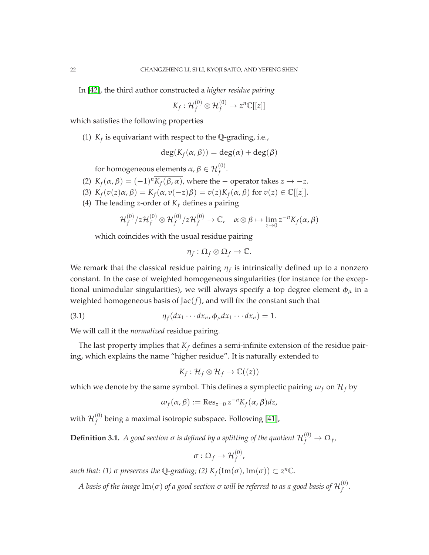In [\[42\]](#page-43-21), the third author constructed a *higher residue pairing*

$$
K_f: \mathcal{H}_f^{(0)} \otimes \mathcal{H}_f^{(0)} \to z^n \mathbb{C}[[z]]
$$

which satisfies the following properties

(1)  $K_f$  is equivariant with respect to the  $\mathbb Q$ -grading, i.e.,

$$
\deg(K_f(\alpha,\beta)) = \deg(\alpha) + \deg(\beta)
$$

for homogeneous elements  $\alpha, \beta \in \mathcal{H}_f^{(0)}.$ 

- (2)  $K_f(\alpha, \beta) = (-1)^n \overline{K_f(\beta, \alpha)}$ , where the operator takes  $z \to -z$ .
- (3)  $K_f(v(z)\alpha, \beta) = K_f(\alpha, v(-z)\beta) = v(z)K_f(\alpha, \beta)$  for  $v(z) \in \mathbb{C}[[z]].$
- (4) The leading *z*-order of  $K_f$  defines a pairing

$$
\mathcal{H}_f^{(0)}/z\mathcal{H}_f^{(0)}\otimes\mathcal{H}_f^{(0)}/z\mathcal{H}_f^{(0)}\to\mathbb{C},\quad\alpha\otimes\beta\mapsto\lim_{z\to 0}z^{-n}K_f(\alpha,\beta)
$$

which coincides with the usual residue pairing

$$
\eta_f:\Omega_f\otimes\Omega_f\to\mathbb{C}.
$$

We remark that the classical residue pairing  $\eta_f$  is intrinsically defined up to a nonzero constant. In the case of weighted homogeneous singularities (for instance for the exceptional unimodular singularities), we will always specify a top degree element  $\phi_{\mu}$  in a weighted homogeneous basis of  $Jac(f)$ , and will fix the constant such that

(3.1) 
$$
\eta_f(dx_1\cdots dx_n,\phi_\mu dx_1\cdots dx_n)=1.
$$

We will call it the *normalized* residue pairing.

The last property implies that  $K_f$  defines a semi-infinite extension of the residue pairing, which explains the name "higher residue". It is naturally extended to

<span id="page-21-0"></span>
$$
K_f: \mathcal{H}_f \otimes \mathcal{H}_f \to \mathbb{C}((z))
$$

which we denote by the same symbol. This defines a symplectic pairing  $\omega_f$  on  $\mathcal{H}_f$  by

$$
\omega_f(\alpha, \beta) := \operatorname{Res}_{z=0} z^{-n} K_f(\alpha, \beta) dz,
$$

with  $\mathcal{H}_f^{(0)}$ *f* being a maximal isotropic subspace. Following [\[41\]](#page-43-8),

 $\bf{Definition 3.1.}$   $A$  good section  $\sigma$  is defined by a splitting of the quotient  $\mathcal{H}_{f}^{(0)}\rightarrow \Omega_{f}$ ,

$$
\sigma:\Omega_f\to\mathcal{H}_f^{(0)},
$$

*such that:* (1)  $\sigma$  *preserves the*  $\mathbb{Q}$ -grading; (2)  $K_f(\text{Im}(\sigma), \text{Im}(\sigma)) \subset z^n \mathbb{C}$ .

A basis of the image  $\text{Im}(\sigma)$  of a good section  $\sigma$  will be referred to as a good basis of  $\mathcal{H}_f^{(0)}$ *f .*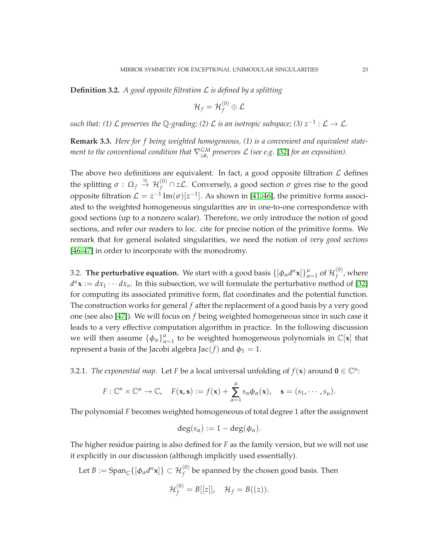**Definition 3.2.** *A good opposite filtration* L *is defined by a splitting*

$$
\mathcal{H}_f=\mathcal{H}_f^{(0)}\oplus\mathcal{L}
$$

 $such$  that: (1)  ${\cal L}$  preserves the  $\mathbb Q$ -grading; (2)  ${\cal L}$  is an isotropic subspace; (3)  $z^{-1}:{\cal L}\to{\cal L}.$ 

**Remark 3.3.** *Here for f being weighted homogeneous, (1) is a convenient and equivalent statement to the conventional condition that*  $\nabla_{z\partial_z}^{\mathrm{GM}}$  preserves  $\mathcal L$  (see e.g. [\[32\]](#page-43-15) for an exposition).

The above two definitions are equivalent. In fact, a good opposite filtration  $\mathcal L$  defines the splitting  $\sigma:\Omega_f\stackrel{\cong}{\to}\mathcal{H}_f^{(0)}\cap z\mathcal{L}.$  Conversely, a good section  $\sigma$  gives rise to the good opposite filtration  $\mathcal{L} = z^{-1} \text{Im}(\sigma) [z^{-1}]$ . As shown in [\[41,](#page-43-8)46], the primitive forms associated to the weighted homogeneous singularities are in one-to-one correspondence with good sections (up to a nonzero scalar). Therefore, we only introduce the notion of good sections, and refer our readers to loc. cite for precise notion of the primitive forms. We remark that for general isolated singularities, we need the notion of *very good sections* [\[46,](#page-44-3) [47\]](#page-44-4) in order to incorporate with the monodromy.

3.2. **The perturbative equation.** We start with a good basis  $\{[\phi_\alpha d^n \mathbf{x}]\}_{\alpha=1}^\mu$  of  $\mathcal{H}_f^{(0)}$  $f^{(0)}$ , where  $d^n\mathbf{x} := dx_1 \cdots dx_n$ . In this subsection, we will formulate the perturbative method of [\[32\]](#page-43-15) for computing its associated primitive form, flat coordinates and the potential function. The construction works for general *f* after the replacement of a good basis by a very good one (see also [\[47\]](#page-44-4)). We will focus on *f* being weighted homogeneous since in such case it leads to a very effective computation algorithm in practice. In the following discussion we will then assume  $\{\phi_\alpha\}_{\alpha=1}^\mu$  to be weighted homogeneous polynomials in  $\mathbb{C}[\mathbf{x}]$  that represent a basis of the Jacobi algebra Jac(*f*) and  $\phi_1 = 1$ .

3.2.1. *The exponential map.* Let *F* be a local universal unfolding of  $f(\mathbf{x})$  around  $\mathbf{0} \in \mathbb{C}^{\mu}$ :

$$
F: \mathbb{C}^n \times \mathbb{C}^{\mu} \to \mathbb{C}, \quad F(\mathbf{x}, \mathbf{s}) := f(\mathbf{x}) + \sum_{\alpha=1}^{\mu} s_{\alpha} \phi_{\alpha}(\mathbf{x}), \quad \mathbf{s} = (s_1, \cdots, s_{\mu}).
$$

The polynomial *F* becomes weighted homogeneous of total degree 1 after the assignment

$$
\deg(s_\alpha) := 1 - \deg(\phi_\alpha).
$$

The higher residue pairing is also defined for *F* as the family version, but we will not use it explicitly in our discussion (although implicitly used essentially).

Let  $B:=\mathrm{Span}_{\mathbb{C}}\{[\phi_\alpha d^n\mathbf{x}]\}\subset \mathcal{H}_f^{(0)}$  be spanned by the chosen good basis. Then

$$
\mathcal{H}_f^{(0)}=B[[z]],\quad \mathcal{H}_f=B((z)).
$$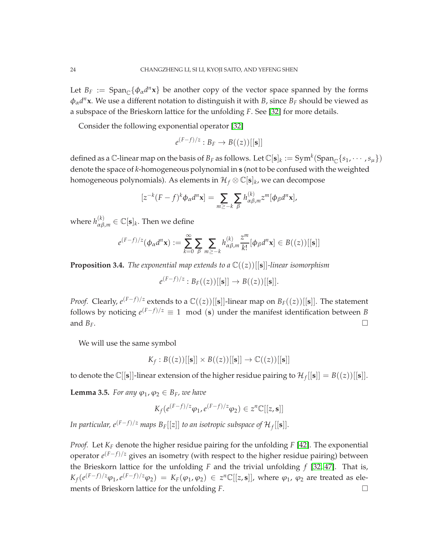Let  $B_F := \text{Span}_{\mathbb{C}}\{\phi_\alpha d^n \mathbf{x}\}\$  be another copy of the vector space spanned by the forms φα*d <sup>n</sup>***x**. We use a different notation to distinguish it with *B*, since *B<sup>F</sup>* should be viewed as a subspace of the Brieskorn lattice for the unfolding *F*. See [\[32\]](#page-43-15) for more details.

Consider the following exponential operator [\[32\]](#page-43-15)

$$
e^{(F-f)/z}:B_F\to B((z))[[\mathbf{s}]]
$$

defined as a  $\mathbb{C}$ -linear map on the basis of  $B_F$  as follows. Let  $\mathbb{C}[\mathbf{s}]_k := \text{Sym}^k(\text{Span}_{\mathbb{C}}\{s_1,\cdots,s_\mu\})$ denote the space of *k*-homogeneous polynomial in **s** (not to be confused with the weighted homogeneous polynomials). As elements in  $\mathcal{H}_f\otimes\mathbb{C}[\mathbf{s}]_k$ , we can decompose

$$
[z^{-k}(F-f)^{k}\phi_{\alpha}d^{n}\mathbf{x}] = \sum_{m\geq -k}\sum_{\beta}h_{\alpha\beta,m}^{(k)}z^{m}[\phi_{\beta}d^{n}\mathbf{x}],
$$

where  $h_{\alpha\beta,m}^{(k)} \in \mathbb{C}[\mathbf{s}]_k$ . Then we define

$$
e^{(F-f)/z}(\phi_{\alpha}d^{n}\mathbf{x}) := \sum_{k=0}^{\infty} \sum_{\beta} \sum_{m \geq -k} h_{\alpha\beta,m}^{(k)} \frac{z^{m}}{k!} [\phi_{\beta}d^{n}\mathbf{x}] \in B((z))[[\mathbf{s}]]
$$

**Proposition 3.4.** *The exponential map extends to a*  $\mathbb{C}((z))$ [[s]]*-linear isomorphism* 

$$
e^{(F-f)/z}: B_F((z))[[\mathbf{s}]] \to B((z))[[\mathbf{s}]].
$$

*Proof.* Clearly,  $e^{(F-f)/z}$  extends to a  $\mathbb{C}((z))[[{\bf s}]]$ -linear map on  $B_F((z))[[{\bf s}]]$ . The statement follows by noticing  $e^{(F-f)/z} \equiv 1 \mod(s)$  under the manifest identification between *B* and  $B_F$ .

We will use the same symbol

$$
K_f: B((z))[[\mathbf{s}]] \times B((z))[[\mathbf{s}]] \to \mathbb{C}((z))[[\mathbf{s}]]
$$

to denote the  $\mathbb{C}[[\mathbf{s}]]$ -linear extension of the higher residue pairing to  $\mathcal{H}_f[[\mathbf{s}]] = B((z))[[\mathbf{s}]]$ .

<span id="page-23-0"></span>**Lemma 3.5.** *For any*  $\varphi_1, \varphi_2 \in B_F$ *, we have* 

$$
K_f(e^{(F-f)/z}\varphi_1, e^{(F-f)/z}\varphi_2) \in z^n \mathbb{C}[[z, \mathbf{s}]]
$$

*In particular, e*<sup>(*F−f)*/*z* maps  $B_F[[z]]$  *to an isotropic subspace of*  $\mathcal{H}_f[[{\bf s}]]$ *.*</sup>

*Proof.* Let *K<sup>F</sup>* denote the higher residue pairing for the unfolding *F* [\[42\]](#page-43-21). The exponential operator  $e^{(F-f)/z}$  gives an isometry (with respect to the higher residue pairing) between the Brieskorn lattice for the unfolding *F* and the trivial unfolding *f* [\[32,](#page-43-15) [47\]](#page-44-4). That is,  $K_f(e^{(F-f)/z}\varphi_1, e^{(F-f)/z}\varphi_2) = K_F(\varphi_1, \varphi_2) \in z^n\mathbb{C}[[z, \mathbf{s}]],$  where  $\varphi_1, \varphi_2$  are treated as elements of Brieskorn lattice for the unfolding *F*.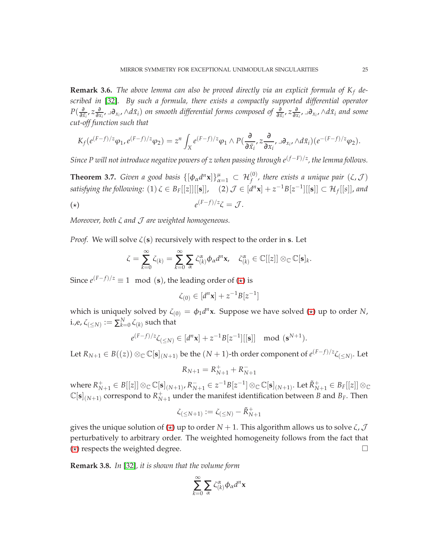**Remark 3.6.** *The above lemma can also be proved directly via an explicit formula of K<sup>f</sup> described in* [\[32\]](#page-43-15)*. By such a formula, there exists a compactly supported differential operator P*( ∂  $\frac{\partial}{\partial \bar{x}_i}$ *,*  $z \frac{\partial}{\partial x}$  $\frac{\partial}{\partial x_i}$ , <sub>→</sub> $\partial_{x_i}$ , ∧*d* $\bar{x}_i$ ) *on smooth differential forms composed of*  $\frac{\partial}{\partial \bar{x}_i}$ ,  $z\frac{\partial}{\partial x}$  $\frac{\partial}{\partial x_i}$ , <sub>→</sub> $\partial_{x_i}$ , ∧d $\bar{x}_i$  and some *cut-off function such that*

$$
K_f(e^{(F-f)/z}\varphi_1, e^{(F-f)/z}\varphi_2) = z^n \int_X e^{(F-f)/z}\varphi_1 \wedge P(\frac{\partial}{\partial \bar{x}_i}, z\frac{\partial}{\partial x_i}, \exists \partial_{x_i}, \forall d\bar{x}_i)(e^{-(F-f)/z}\varphi_2).
$$

*Since P will not introduce negative powers of z when passing through e*(*f*−*F*)/*<sup>z</sup> , the lemma follows.*

**Theorem 3.7.** *Given a good basis*  $\{[\phi_\alpha d^n \mathbf{x}]\}_{\alpha=1}^\mu \subset \mathcal{H}_f^{(0)}$ , there exists a unique pair  $(\zeta, \mathcal{J})$ *satisfying the following*:  $(1) \zeta \in B_F[[z]][[s]], \quad (2) \mathcal{J} \in [d^n \mathbf{x}] + z^{-1}B[z^{-1}][[\mathbf{s}]] \subset \mathcal{H}_f[[s]],$  and (⋆) *e*  $(F-f)/z\zeta = \mathcal{J}.$ 

<span id="page-24-0"></span>*Moreover, both* <sup>ζ</sup> *and* J *are weighted homogeneous.*

*Proof.* We will solve  $\zeta(s)$  recursively with respect to the order in **s**. Let

$$
\zeta = \sum_{k=0}^{\infty} \zeta_{(k)} = \sum_{k=0}^{\infty} \sum_{\alpha} \zeta_{(k)}^{\alpha} \phi_{\alpha} d^{n} \mathbf{x}, \quad \zeta_{(k)}^{\alpha} \in \mathbb{C}[[z]] \otimes_{\mathbb{C}} \mathbb{C}[\mathbf{s}]_{k}.
$$

Since  $e^{(F-f)/z} \equiv 1 \mod(s)$ , the leading order of  $(\star)$  is

$$
\zeta_{(0)} \in [d^n \mathbf{x}] + z^{-1} B[z^{-1}]
$$

which is uniquely solved by  $\zeta_{(0)} = \phi_1 d^n$ **x**. Suppose we have solved ( $\star$ ) up to order *N*, i.,e,  $\zeta_{(\leq N)}:=\sum_{k=0}^{N}\zeta_{(k)}$  such that

$$
e^{(F-f)/z}\zeta_{(\leq N)} \in [d^n \mathbf{x}] + z^{-1}B[z^{-1}][[\mathbf{s}]] \mod (\mathbf{s}^{N+1}).
$$

Let  $R_{N+1}\in B((z))\otimes_{\mathbb{C}}\mathbb{C}[\mathbf{s}]_{(N+1)}$  be the  $(N+1)$ -th order component of  $e^{(F-f)/z}\zeta_{(\leq N)}$ . Let

$$
R_{N+1} = R_{N+1}^+ + R_{N+1}^-
$$

where  $R_{N+1}^+\in B[[z]]\otimes_\mathbb{C}\mathbb{C}[\mathbf{s}]_{(N+1)}, R_{N+1}^-\in z^{-1}B[z^{-1}]\otimes_\mathbb{C}\mathbb{C}[\mathbf{s}]_{(N+1)}.$  Let  $\tilde{R}_{N+1}^+\in B_F[[z]]\otimes_\mathbb{C}$  $\mathbb{C}[\mathbf{s}]_{(N+1)}$  correspond to  $R_N^+$  $_{N+1}^+$  under the manifest identification between *B* and *B*<sub>*F*</sub>. Then

$$
\zeta_{(\leq N+1)}:=\zeta_{(\leq N)}-\tilde{R}_{N+1}^+
$$

gives the unique solution of ( $\star$ ) up to order *N* + 1. This algorithm allows us to solve  $\zeta$ ,  $\mathcal{J}$ perturbatively to arbitrary order. The weighted homogeneity follows from the fact that  $(\star)$  respects the weighted degree.

<span id="page-24-1"></span>**Remark 3.8.** *In* [\[32\]](#page-43-15)*, it is shown that the volume form*

$$
\sum_{k=0}^{\infty} \sum_{\alpha} \zeta_{(k)}^{\alpha} \phi_{\alpha} d^{n} \mathbf{x}
$$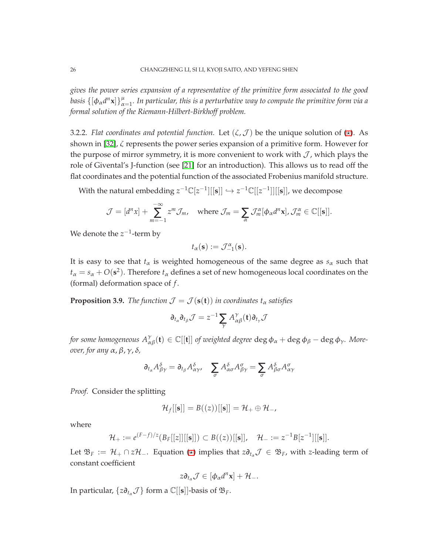*gives the power series expansion of a representative of the primitive form associated to the good* basis  $\{[\phi_\alpha d^n {\bf x}]\}_{\alpha=1}^\mu$ . In particular, this is a perturbative way to compute the primitive form via a *formal solution of the Riemann-Hilbert-Birkhoff problem.*

3.2.2. *Flat coordinates and potential function*. Let  $(\zeta, \mathcal{J})$  be the unique solution of  $(\star)$ . As shown in [\[32\]](#page-43-15), ζ represents the power series expansion of a primitive form. However for the purpose of mirror symmetry, it is more convenient to work with  $J$ , which plays the role of Givental's J-function (see [\[21\]](#page-43-22) for an introduction). This allows us to read off the flat coordinates and the potential function of the associated Frobenius manifold structure.

With the natural embedding  $z^{-1}\mathbb{C}[z^{-1}][[s]] \hookrightarrow z^{-1}\mathbb{C}[[z^{-1}]][[s]]$ , we decompose

$$
\mathcal{J} = [d^n x] + \sum_{m=-1}^{-\infty} z^m \mathcal{J}_m, \quad \text{where } \mathcal{J}_m = \sum_{\alpha} \mathcal{J}_m^{\alpha} [\phi_{\alpha} d^n x], \mathcal{J}_m^{\alpha} \in \mathbb{C}[[\mathbf{s}]].
$$

We denote the  $z^{-1}$ -term by

$$
t_{\alpha}(\mathbf{s}) := \mathcal{J}_{-1}^{\alpha}(\mathbf{s}).
$$

It is easy to see that  $t_\alpha$  is weighted homogeneous of the same degree as  $s_\alpha$  such that  $t_\alpha = s_\alpha + O(\mathbf{s}^2)$ . Therefore  $t_\alpha$  defines a set of new homogeneous local coordinates on the (formal) deformation space of *f* .

<span id="page-25-0"></span>**Proposition 3.9.** *The function*  $\mathcal{J} = \mathcal{J}(\mathbf{s}(\mathbf{t}))$  *in coordinates*  $t_\alpha$  *satisfies* 

$$
\partial_{t_{\alpha}}\partial_{t_{\beta}}\mathcal{J}=z^{-1}\sum_{\gamma}A_{\alpha\beta}^{\gamma}(\mathbf{t})\partial_{t_{\gamma}}\mathcal{J}
$$

*for some homogeneous*  $A_{\alpha\beta}^{\gamma}(\mathbf{t}) \in \mathbb{C}[[\mathbf{t}]]$  *of weighted degree*  $\deg \phi_{\alpha} + \deg \phi_{\beta} - \deg \phi_{\gamma}$ *. Moreover, for any* <sup>α</sup>,β, <sup>γ</sup>, <sup>δ</sup>*,*

$$
\partial_{t_{\alpha}}A^{\delta}_{\beta\gamma} = \partial_{t_{\beta}}A^{\delta}_{\alpha\gamma}, \quad \sum_{\sigma}A^{\delta}_{\alpha\sigma}A^{\sigma}_{\beta\gamma} = \sum_{\sigma}A^{\delta}_{\beta\sigma}A^{\sigma}_{\alpha\gamma}
$$

*Proof.* Consider the splitting

$$
\mathcal{H}_f[[\mathbf{s}]] = B((z))[[\mathbf{s}]] = \mathcal{H}_+ \oplus \mathcal{H}_-,
$$

where

$$
\mathcal{H}_+ := e^{(F-f)/z}(B_F[[z]][[s]]) \subset B((z))[[s]], \quad \mathcal{H}_- := z^{-1}B[z^{-1}][[s]].
$$

Let  $\mathfrak{B}_F := \mathcal{H}_+ \cap z\mathcal{H}_-$ . Equation  $(\star)$  implies that  $z \partial_{t_\alpha} \mathcal{J} \in \mathfrak{B}_F$ , with *z*-leading term of constant coefficient

$$
z\partial_{t_\alpha}\mathcal{J}\in [\phi_\alpha d^n\mathbf{x}]+\mathcal{H}_-.
$$

In particular,  $\{z\partial_{t_\alpha}\mathcal{J}\}\$  form a  $\mathbb{C}[[\mathbf{s}]]$ -basis of  $\mathfrak{B}_F$ .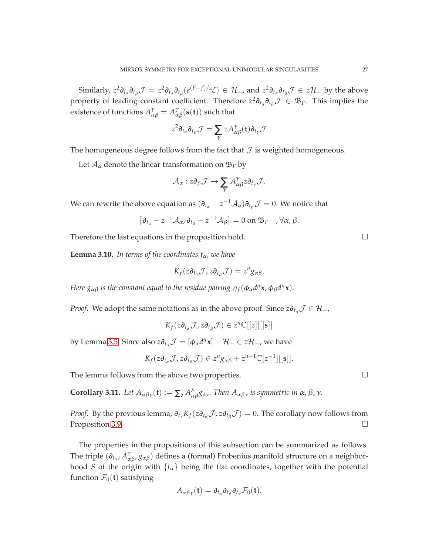Similarly,  $z^2\partial_{t_\alpha}\partial_{t_\beta}\mathcal{J} = z^2\partial_{t_\alpha}\partial_{t_\beta}(e^{(F-f)/z}\zeta) \in \mathcal{H}_+$ , and  $z^2\partial_{t_\alpha}\partial_{t_\beta}\mathcal{J} \in z\mathcal{H}_-$  by the above property of leading constant coefficient. Therefore  $z^2\partial_{t_\alpha}\partial_{t_\beta}\mathcal{J} \in \mathfrak{B}_F$ . This implies the existence of functions  $A_{\alpha\beta}^{\gamma}=A_{\alpha\beta}^{\gamma}(\mathbf{s}(\mathbf{t}))$  such that

$$
z^2 \partial_{t_\alpha} \partial_{t_\beta} \mathcal{J} = \sum_{\gamma} z A_{\alpha\beta}^{\gamma}(\mathbf{t}) \partial_{t_\gamma} \mathcal{J}
$$

The homogeneous degree follows from the fact that  $\mathcal J$  is weighted homogeneous.

Let  $A_{\alpha}$  denote the linear transformation on  $\mathfrak{B}_F$  by

$$
\mathcal{A}_{\alpha}: z \partial_{\beta} \mathcal{J} \rightarrow \sum_{\gamma} A^{\gamma}_{\alpha \beta} z \partial_{t_{\gamma}} \mathcal{J}.
$$

We can rewrite the above equation as  $(\partial_{t_\alpha} - z^{-1}A_\alpha)\partial_{t_\beta}\mathcal{J} = 0$ . We notice that

$$
\left[\partial_{t_{\alpha}}-z^{-1}\mathcal{A}_{\alpha},\partial_{t_{\beta}}-z^{-1}\mathcal{A}_{\beta}\right]=0 \text{ on } \mathfrak{B}_{F} \quad , \forall \alpha, \beta.
$$

Therefore the last equations in the proposition hold.  $\Box$ 

**Lemma 3.10.** *In terms of the coordinates*  $t_\alpha$ *, we have* 

$$
K_f(z\partial_{t_\alpha}\mathcal{J},z\partial_{t_\beta}\mathcal{J})=z^n g_{\alpha\beta}.
$$

*Here*  $g_{\alpha\beta}$  *is the constant equal to the residue pairing*  $\eta_f(\phi_\alpha d^n \mathbf{x}, \phi_\beta d^n \mathbf{x})$ *.* 

*Proof.* We adopt the same notations as in the above proof. Since  $z \partial_{t_\alpha} \mathcal{J} \in \mathcal{H}_+$ ,

$$
K_f(z\partial_{t_\alpha}\mathcal{J},z\partial_{t_\beta}\mathcal{J})\in z^n\mathbb{C}[[z]][[\mathbf{s}]]
$$

by Lemma [3.5.](#page-23-0) Since also  $z\partial_{t_\alpha}\mathcal{J} = [\phi_\alpha d^n\mathbf{x}] + \mathcal{H}_-\in z\mathcal{H}_-$ , we have

$$
K_f(z\partial_{t_\alpha}\mathcal{J}, z\partial_{t_\beta}\mathcal{J}) \in z^n g_{\alpha\beta} + z^{n-1} \mathbb{C}[z^{-1}][[\mathbf{s}]].
$$

The lemma follows from the above two properties.  $\Box$ 

**Corollary 3.11.** Let  $A_{\alpha\beta\gamma}(\mathbf{t}) := \sum_{\delta} A_{\alpha\beta}^{\delta} g_{\delta\gamma}$ . Then  $A_{\alpha\beta\gamma}$  is symmetric in  $\alpha$ ,  $\beta$ ,  $\gamma$ .

*Proof.* By the previous lemma,  $\partial_{t_{\gamma}} K_f(z \partial_{t_{\alpha}} \mathcal{J}, z \partial_{t_{\beta}} \mathcal{J}) = 0$ . The corollary now follows from Proposition 3.9. Proposition [3.9.](#page-25-0)

The properties in the propositions of this subsection can be summarized as follows. The triple  $(\partial_{t_\alpha}, A_{\alpha\beta}^{\gamma}, g_{\alpha\beta})$  defines a (formal) Frobenius manifold structure on a neighborhood *S* of the origin with  $\{t_\alpha\}$  being the flat coordinates, together with the potential function  $\mathcal{F}_0(\mathbf{t})$  satisfying

$$
A_{\alpha\beta\gamma}(\mathbf{t})=\partial_{t_{\alpha}}\partial_{t_{\beta}}\partial_{t_{\gamma}}\mathcal{F}_0(\mathbf{t}).
$$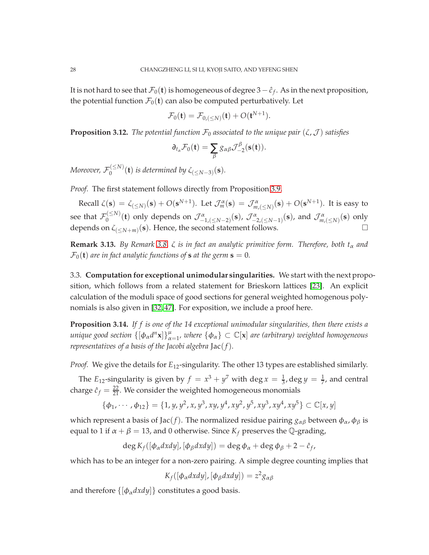It is not hard to see that  $\mathcal{F}_0(\mathbf{t})$  is homogeneous of degree 3  $-\hat{c}_f$ . As in the next proposition, the potential function  $\mathcal{F}_0(t)$  can also be computed perturbatively. Let

$$
\mathcal{F}_0(\mathbf{t}) = \mathcal{F}_{0,(\leq N)}(\mathbf{t}) + O(\mathbf{t}^{N+1}).
$$

<span id="page-27-1"></span>**Proposition 3.12.** *The potential function*  $\mathcal{F}_0$  *associated to the unique pair*  $(\zeta, \mathcal{J})$  *satisfies* 

$$
\partial_{t_{\alpha}}\mathcal{F}_0(\mathbf{t})=\sum_{\beta}g_{\alpha\beta}\mathcal{J}_{-2}^{\beta}(\mathbf{s}(\mathbf{t})).
$$

*Moreover,*  $\mathcal{F}_0^{(\leq N)}(\mathbf{t})$  *is determined by*  $\zeta_{(\leq N-3)}(\mathbf{s})$ *.* 

*Proof.* The first statement follows directly from Proposition [3.9.](#page-25-0)

Recall  $\zeta(\mathbf{s}) = \zeta_{(\leq N)}(\mathbf{s}) + O(\mathbf{s}^{N+1})$ . Let  $\mathcal{J}^{\alpha}_{m}(\mathbf{s}) = \mathcal{J}^{\alpha}_{m,(\leq N)}(\mathbf{s}) + O(\mathbf{s}^{N+1})$ . It is easy to see that  $\mathcal{F}_0^{(\leq N)}(\mathbf{t})$  only depends on  $\mathcal{J}^{\alpha}_{-1,(\leq N-2)}(\mathbf{s})$ ,  $\mathcal{J}^{\alpha}_{-2,(\leq N-1)}(\mathbf{s})$ , and  $\mathcal{J}^{\alpha}_{m,(\leq N)}(\mathbf{s})$  only depends on  $\zeta_{(\leq N+m)}(\mathbf{s})$ . Hence, the second statement follows.

<span id="page-27-2"></span>**Remark 3.13.** *By Remark [3.8,](#page-24-1) ζ is in fact an analytic primitive form. Therefore, both*  $t_{\alpha}$  *and*  $\mathcal{F}_0(\mathbf{t})$  *are in fact analytic functions of* **s** *at the germ*  $\mathbf{s} = 0$ *.* 

3.3. **Computation for exceptional unimodular singularities.** We start with the next proposition, which follows from a related statement for Brieskorn lattices [\[23\]](#page-43-16). An explicit calculation of the moduli space of good sections for general weighted homogenous polynomials is also given in [\[32,](#page-43-15) [47\]](#page-44-4). For exposition, we include a proof here.

<span id="page-27-0"></span>**Proposition 3.14.** *If f is one of the 14 exceptional unimodular singularities, then there exists a*  $u$ nique good section  $\{[\phi_\alpha d^n \mathbf{x}]\}_{\alpha=1}^\mu$ , where  $\{\phi_\alpha\}\subset \mathbb{C}[\mathbf{x}]$  are (arbitrary) weighted homogeneous *representatives of a basis of the Jacobi algebra* Jac(*f*)*.*

*Proof.* We give the details for  $E_{12}$ -singularity. The other 13 types are established similarly.

The *E*<sub>12</sub>-singularity is given by  $f = x^3 + y^7$  with deg  $x = \frac{1}{3}$ , deg  $y = \frac{1}{7}$ , and central charge  $\hat{c}_f = \frac{22}{21}$ . We consider the weighted homogeneous monomials

$$
\{\phi_1, \cdots, \phi_{12}\} = \{1, y, y^2, x, y^3, xy, y^4, xy^2, y^5, xy^3, xy^4, xy^5\} \subset \mathbb{C}[x, y]
$$

which represent a basis of Jac(*f*). The normalized residue pairing  $g_{\alpha\beta}$  between  $\phi_{\alpha}$ ,  $\phi_{\beta}$  is equal to 1 if  $\alpha + \beta = 13$ , and 0 otherwise. Since  $K_f$  preserves the Q-grading,

 $\deg K_f([\phi_\alpha dx dy], [\phi_\beta dx dy]) = \deg \phi_\alpha + \deg \phi_\beta + 2 - \hat{c}_f$ ,

which has to be an integer for a non-zero pairing. A simple degree counting implies that

$$
K_f([\phi_\alpha dx dy], [\phi_\beta dx dy]) = z^2 g_{\alpha\beta}
$$

and therefore  $\{[\phi_\alpha dx dy]\}$  constitutes a good basis.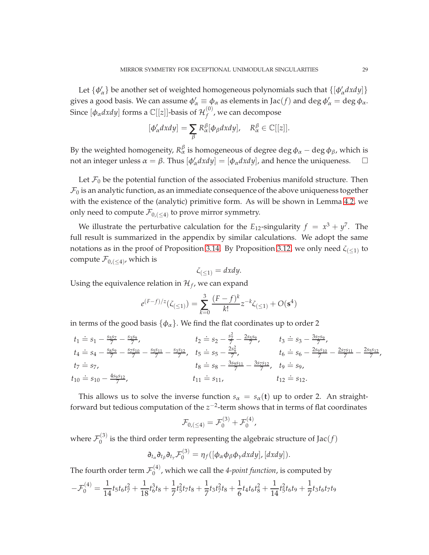Let  $\{\phi'_\alpha\}$  be another set of weighted homogeneous polynomials such that  $\{[\phi'_\alpha dx dy]\}$ gives a good basis. We can assume  $\phi'_\alpha \equiv \phi_\alpha$  as elements in Jac $(f)$  and deg  $\phi'_\alpha = \deg \phi_\alpha$ . Since  $[\phi_{\alpha}$ *dxdy*] forms a  $\mathbb{C}[[z]]$ -basis of  $\mathcal{H}_f^{(0)}$  $f_f^{(0)}$ , we can decompose

$$
[\phi'_{\alpha}dxdy] = \sum_{\beta} R_{\alpha}^{\beta}[\phi_{\beta}dxdy], \quad R_{\alpha}^{\beta} \in \mathbb{C}[[z]].
$$

By the weighted homogeneity,  $R_\alpha^\beta$  is homogeneous of degree deg  $\phi_\alpha$  – deg  $\phi_\beta$ , which is not an integer unless  $\alpha = \beta$ . Thus  $[\phi'_{\alpha} dx dy] = [\phi_{\alpha} dx dy]$ , and hence the uniqueness.  $\square$ 

Let  $\mathcal{F}_0$  be the potential function of the associated Frobenius manifold structure. Then  $\mathcal{F}_0$  is an analytic function, as an immediate consequence of the above uniqueness together with the existence of the (analytic) primitive form. As will be shown in Lemma [4.2,](#page-30-0) we only need to compute  $\mathcal{F}_{0,(\leq4)}$  to prove mirror symmetry.

We illustrate the perturbative calculation for the  $E_{12}$ -singularity  $f = x^3 + y^7$ . The full result is summarized in the appendix by similar calculations. We adopt the same notations as in the proof of Proposition [3.14.](#page-27-0) By Proposition [3.12,](#page-27-1) we only need  $\zeta_{(\leq 1)}$  to compute  $\mathcal{F}_{0,(\leq4)}$ , which is

$$
\zeta_{(\leq 1)} = dxdy.
$$

Using the equivalence relation in  $\mathcal{H}_f$ , we can expand

$$
e^{(F-f)/z}(\zeta_{(\leq 1)}) = \sum_{k=0}^{3} \frac{(F-f)^k}{k!} z^{-k} \zeta_{(\leq 1)} + O(\mathbf{s}^4)
$$

in terms of the good basis  $\{\phi_{\alpha}\}\)$ . We find the flat coordinates up to order 2

$$
t_1 \doteq s_1 - \frac{s_5s_7}{7} - \frac{s_3s_9}{7}, \t t_2 \doteq s_2 - \frac{s_7^2}{7} - \frac{2s_5s_9}{7}, \t t_3 \doteq s_3 - \frac{3s_7s_9}{7}, \n t_4 \doteq s_4 - \frac{s_8s_9}{7} - \frac{s_7s_{10}}{7} - \frac{s_5s_{11}}{7} - \frac{s_3s_{12}}{7}, \t t_5 \doteq s_5 - \frac{2s_9^2}{7}, \t t_6 \doteq s_6 - \frac{2s_9s_{10}}{7} - \frac{2s_7s_{11}}{7} - \frac{2s_5s_{12}}{7}, \n t_7 \doteq s_7, \t t_8 \doteq s_8 - \frac{3s_9s_{11}}{7} - \frac{3s_7s_{12}}{7}, \t t_9 \doteq s_9, \n t_{10} \doteq s_{10} - \frac{4s_9s_{12}}{7}, \t t_{11} \doteq s_{11}, \t t_{12} \doteq s_{12}.
$$

This allows us to solve the inverse function  $s_\alpha = s_\alpha(\mathbf{t})$  up to order 2. An straightforward but tedious computation of the *z*<sup>−2</sup>-term shows that in terms of flat coordinates

$$
\mathcal{F}_{0,(\leq 4)} = \mathcal{F}_0^{(3)} + \mathcal{F}_0^{(4)},
$$

where  $\mathcal{F}_0^{(3)}$  $\binom{10}{0}$  is the third order term representing the algebraic structure of Jac(*f*)

$$
\partial_{t_{\alpha}}\partial_{t_{\beta}}\partial_{t_{\gamma}}\mathcal{F}_0^{(3)}=\eta_f([\phi_{\alpha}\phi_{\beta}\phi_{\gamma}dxdy],[dxdy]).
$$

The fourth order term  $\mathcal{F}^{(4)}_0$ 0 , which we call the *4-point function*, is computed by

$$
-\mathcal{F}_0^{(4)} = \frac{1}{14}t_5t_6t_7^2 + \frac{1}{18}t_6^3t_8 + \frac{1}{7}t_5^2t_7t_8 + \frac{1}{7}t_3t_7^2t_8 + \frac{1}{6}t_4t_6t_8^2 + \frac{1}{14}t_5^2t_6t_9 + \frac{1}{7}t_3t_6t_7t_9
$$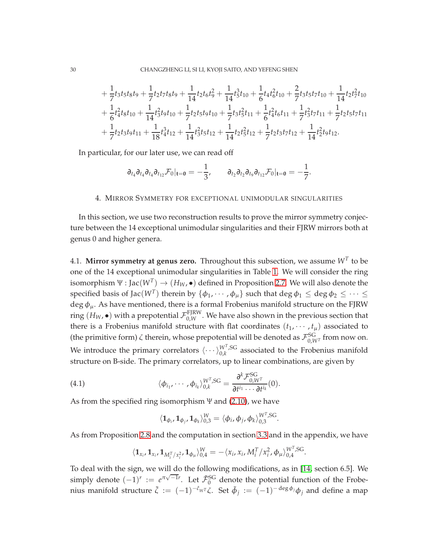$$
+\frac{1}{7}t_3t_5t_8t_9+\frac{1}{7}t_2t_7t_8t_9+\frac{1}{14}t_2t_6t_9^2+\frac{1}{14}t_5^3t_{10}+\frac{1}{6}t_4t_6^2t_{10}+\frac{2}{7}t_3t_5t_7t_{10}+\frac{1}{14}t_2t_7^2t_{10} +\frac{1}{6}t_4^2t_8t_{10}+\frac{1}{14}t_3^2t_9t_{10}+\frac{1}{7}t_2t_5t_9t_{10}+\frac{1}{7}t_3t_5^2t_{11}+\frac{1}{6}t_4^2t_6t_{11}+\frac{1}{7}t_3^2t_7t_{11}+\frac{1}{7}t_2t_5t_7t_{11} +\frac{1}{7}t_2t_3t_9t_{11}+\frac{1}{18}t_4^3t_{12}+\frac{1}{14}t_3^2t_5t_{12}+\frac{1}{14}t_2t_5^2t_{12}+\frac{1}{7}t_2t_3t_7t_{12}+\frac{1}{14}t_2^2t_9t_{12}.
$$

In particular, for our later use, we can read off

$$
\partial_{t_4}\partial_{t_4}\partial_{t_4}\partial_{t_12} \mathcal{F}_0|_{\mathbf{t}=\mathbf{0}}=-\frac{1}{3},\qquad \partial_{t_2}\partial_{t_2}\partial_{t_9}\partial_{t_12} \mathcal{F}_0|_{\mathbf{t}=\mathbf{0}}=-\frac{1}{7}.
$$

### <span id="page-29-0"></span>4. MIRROR SYMMETRY FOR EXCEPTIONAL UNIMODULAR SINGULARITIES

In this section, we use two reconstruction results to prove the mirror symmetry conjecture between the 14 exceptional unimodular singularities and their FJRW mirrors both at genus 0 and higher genera.

4.1. **Mirror symmetry at genus zero.** Throughout this subsection, we assume  $W^T$  to be one of the 14 exceptional unimodular singularities in Table [1.](#page-3-0) We will consider the ring isomorphism  $\Psi : \text{Jac}(W^T) \to (H_W, \bullet)$  defined in Proposition [2.7.](#page-12-3) We will also denote the specified basis of Jac $(W^T)$  therein by  $\{\phi_1, \cdots, \phi_\mu\}$  such that  $\deg \phi_1 \leq \deg \phi_2 \leq \cdots \leq$ deg  $\phi_{\mu}$ . As have mentioned, there is a formal Frobenius manifold structure on the FJRW ring  $(H_W, \bullet)$  with a prepotential  $\mathcal{F}_{0,W}^{\rm{FJKW}}$ . We have also shown in the previous section that there is a Frobenius manifold structure with flat coordinates  $(t_1, \dots, t_\mu)$  associated to (the primitive form)  $\zeta$  therein, whose prepotential will be denoted as  $\mathcal{F}^{\rm SG}_{0,W^T}$  from now on. We introduce the primary correlators  $\langle \cdots \rangle_{0,k}^{W^T,SG}$  $\int_{0,k}^{W^*}$ , associated to the Frobenius manifold structure on B-side. The primary correlators, up to linear combinations, are given by

(4.1) 
$$
\langle \phi_{i_1}, \cdots, \phi_{i_k} \rangle_{0,k}^{W^T,SG} = \frac{\partial^k \mathcal{F}_{0,W^T}^{SG}}{\partial t^{i_1} \cdots \partial t^{i_k}}(0).
$$

As from the specified ring isomorphism  $\Psi$  and [\(2.10\)](#page-9-5), we have

$$
\langle \mathbf{1}_{\phi_i}, \mathbf{1}_{\phi_j}, \mathbf{1}_{\phi_k} \rangle_{0,3}^W = \langle \phi_i, \phi_j, \phi_k \rangle_{0,3}^{W^T,SG}.
$$

As from Proposition [2.8](#page-14-1) and the computation in section [3.3](#page-27-2) and in the appendix, we have

$$
\langle \mathbf{1}_{x_i}, \mathbf{1}_{x_i}, \mathbf{1}_{M_i^T/x_i^2}, \mathbf{1}_{\phi_\mu} \rangle_{0,4}^W = -\langle x_i, x_i, M_i^T/x_i^2, \phi_\mu \rangle_{0,4}^{W^T,\text{SG}}.
$$

To deal with the sign, we will do the following modifications, as in [\[14,](#page-42-5) section 6.5]. We simply denote  $(-1)^r := e^{\pi\sqrt{-1}r}$ . Let  $\tilde{\mathcal{F}}_0^{SG}$  denote the potential function of the Frobenius manifold structure  $\tilde{\zeta} := (-1)^{-\hat{c}_{WT}}\zeta$ . Set  $\tilde{\phi}_j := (-1)^{-\deg \phi_j}\phi_j$  and define a map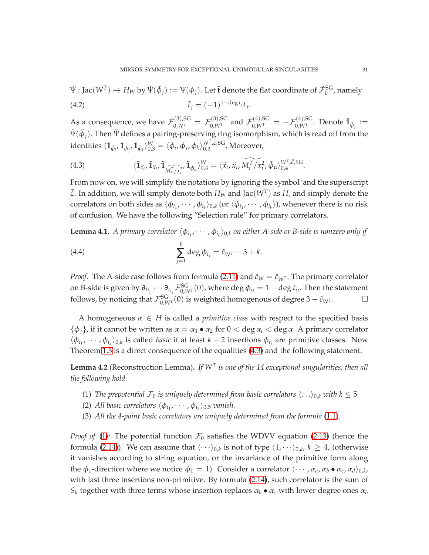$\Psi: \text{Jac}(W^T) \to H_W$  by  $\Psi(\tilde{\phi}_j) := \Psi(\phi_j)$ . Let  $\tilde{\mathbf{t}}$  denote the flat coordinate of  $\tilde{\mathcal{F}}_0^{\text{SG}}$ , namely (4.2)  $\tilde{t}_j = (-1)^{1-\deg t_j} t_j.$ 

As a consequence, we have  $\tilde{\cal F}_{0,W^T}^{(3),\rm SG} = {\cal F}_{0,W^T}^{(3),\rm SG}$  and  $\tilde{\cal F}_{0,W^T}^{(4),\rm SG} = - {\cal F}_{0,W^T}^{(4),\rm SG}.$  Denote  $\tilde{\bf 1}_{\tilde{\phi}_j}:=$  $\tilde{\Psi}(\tilde{\phi}_j)$ . Then  $\tilde{\Psi}$  defines a pairing-preserving ring isomorphism, which is read off from the identities  $\langle \mathbf{\tilde{1}}_{\tilde{\phi}_i}, \mathbf{\tilde{1}}_{\tilde{\phi}_j}, \mathbf{\tilde{1}}_{\tilde{\phi}_k} \rangle_{0,3}^{\text{W}} = \langle \tilde{\phi}_i, \tilde{\phi}_j, \tilde{\phi}_k \rangle_{0,3}^{\text{W}^{\text{T}}, \tilde{\zeta}, \text{SG}}}$ , Moreover,

<span id="page-30-1"></span>(4.3) 
$$
\langle \tilde{\mathbf{1}}_{\tilde{x}_i}, \tilde{\mathbf{1}}_{\tilde{x}_i}, \tilde{\mathbf{1}}_{\widetilde{M_i^T/X_i^2}}, \tilde{\mathbf{1}}_{\tilde{\phi}_{\mu}} \rangle_{0,4}^W = \langle \tilde{x}_i, \tilde{x}_i, \widetilde{M_i^T/X_i^2}, \tilde{\phi}_{\mu} \rangle_{0,4}^{W^T, \tilde{\zeta}, SG}.
$$

From now on, we will simplify the notations by ignoring the symbol˜and the superscript  $\tilde{\zeta}$ . In addition, we will simply denote both  $H_W$  and Jac $(W^T)$  as  $H$ , and simply denote the correlators on both sides as  $\langle \phi_{i_1}, \cdots, \phi_{i_k} \rangle_{0,k}$  (or  $\langle \phi_{i_1}, \cdots, \phi_{i_k} \rangle$ ), whenever there is no risk of confusion. We have the following "Selection rule" for primary correlators.

**Lemma 4.1.** A primary correlator  $\langle \phi_{i_1}, \cdots, \phi_{i_k} \rangle_{0,k}$  on either A-side or B-side is nonzero only if

<span id="page-30-3"></span>(4.4) 
$$
\sum_{j=1}^{k} \deg \phi_{i_j} = \hat{c}_{W^T} - 3 + k.
$$

*Proof.* The A-side case follows from formula [\(2.11\)](#page-9-1) and  $\hat{c}_W = \hat{c}_{W^T}$ . The primary correlator on B-side is given by  $\partial_{t_{i_1}}\cdots\partial_{t_{i_k}}\mathcal F_{0,W^T}^{SG}(0)$ , where  $\deg\phi_{i_j}=1-\deg t_{i_j}.$  Then the statement follows, by noticing that  $\mathcal{F}_{0,W^T}^{SG}(0)$  is weighted homogenous of degree 3 −  $\hat{c}_{W^T}$ .  $\Box$ 

A homogeneous  $\alpha \in H$  is called a *primitive class* with respect to the specified basis  $\{\phi_i\}$ , if it cannot be written as  $\alpha = \alpha_1 \bullet \alpha_2$  for  $0 < \deg \alpha_i < \deg \alpha$ . A primary correlator  $\langle \phi_{i_1}, \cdots, \phi_{i_k} \rangle_{0,k}$  is called *basic* if at least *k* − 2 insertions  $\phi_{i_j}$  are primitive classes. Now Theorem [1.3](#page-4-2) is a direct consequence of the equalities [\(4.3\)](#page-30-1) and the following statement:

<span id="page-30-2"></span><span id="page-30-0"></span>**Lemma 4.2** (Reconstruction Lemma)**.** *If W<sup>T</sup> is one of the 14 exceptional singularities, then all the following hold.*

- <span id="page-30-4"></span>(1) *The prepotential*  $\mathcal{F}_0$  *is uniquely determined from basic correlators*  $\langle \ldots \rangle_{0,k}$  *with*  $k \leq 5$ *.*
- <span id="page-30-5"></span>(2) *All basic correlators*  $\langle \phi_{i_1}, \cdots, \phi_{i_5} \rangle_{0,5}$  *vanish.*
- (3) *All the 4-point basic correlators are uniquely determined from the formula* [\(1.1\)](#page-4-1)*.*

*Proof of* [\(1\)](#page-30-2): The potential function  $\mathcal{F}_0$  satisfies the WDVV equation [\(2.13\)](#page-9-3) (hence the formula [\(2.14\)](#page-9-4)). We can assume that  $\langle \cdots \rangle_{0,k}$  is not of type  $\langle 1, \cdots \rangle_{0,k}$ ,  $k \geq 4$ , (otherwise it vanishes according to string equation, or the invariance of the primitive form along the  $\phi_1$ -direction where we notice  $\phi_1 = 1$ ). Consider a correlator  $\langle \cdots, \alpha_a, \alpha_b \bullet \alpha_c, \alpha_d \rangle_{0,k}$ with last three insertions non-primitive. By formula [\(2.14\)](#page-9-4), such correlator is the sum of  $S_k$  together with three terms whose insertion replaces  $\alpha_b \bullet \alpha_c$  with lower degree ones  $\alpha_b$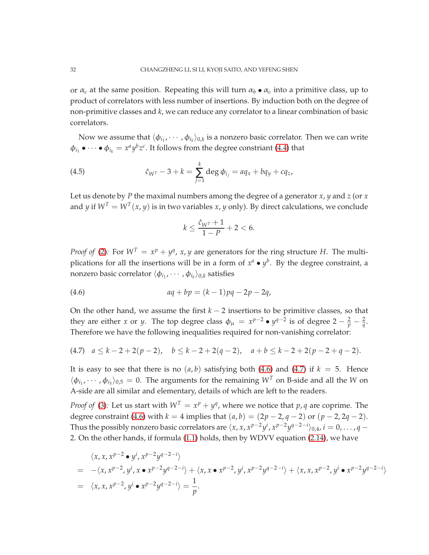or  $\alpha_c$  at the same position. Repeating this will turn  $\alpha_b \bullet \alpha_c$  into a primitive class, up to product of correlators with less number of insertions. By induction both on the degree of non-primitive classes and *k*, we can reduce any correlator to a linear combination of basic correlators.

Now we assume that  $\langle \phi_{i_1}, \cdots, \phi_{i_k} \rangle_{0,k}$  is a nonzero basic correlator. Then we can write  $\phi_{i_1} \bullet \cdots \bullet \phi_{i_k} = x^a y^b z^c$ . It follows from the degree constriant [\(4.4\)](#page-30-3) that

(4.5) 
$$
\hat{c}_{W^T} - 3 + k = \sum_{j=1}^k \deg \phi_{i_j} = a q_x + b q_y + c q_z,
$$

Let us denote by *P* the maximal numbers among the degree of a generator *x*, *y* and *z* (or *x* and *y* if  $W^T = W^T(x, y)$  is in two variables *x*, *y* only). By direct calculations, we conclude

<span id="page-31-2"></span><span id="page-31-0"></span>
$$
k\leq \frac{\hat{c}_{W^T}+1}{1-P}+2<6.
$$

*Proof of* [\(2\)](#page-30-4): For  $W^T = x^p + y^q$ , x, y are generators for the ring structure *H*. The multiplications for all the insertions will be in a form of  $x^a \bullet y^b$ . By the degree constraint, a nonzero basic correlator  $\langle \phi_{i_1}, \cdots, \phi_{i_k} \rangle_{0,k}$  satisfies

(4.6) 
$$
aq + bp = (k-1)pq - 2p - 2q,
$$

On the other hand, we assume the first  $k - 2$  insertions to be primitive classes, so that they are either *x* or *y*. The top degree class  $\phi_{\mu} = x^{p-2} \bullet y^{q-2}$  is of degree  $2 - \frac{2}{p} - \frac{2}{q}$ . Therefore we have the following inequalities required for non-vanishing correlator:

<span id="page-31-1"></span>
$$
(4.7) \quad a \le k - 2 + 2(p - 2), \quad b \le k - 2 + 2(q - 2), \quad a + b \le k - 2 + 2(p - 2 + q - 2).
$$

It is easy to see that there is no  $(a, b)$  satisfying both [\(4.6\)](#page-31-0) and [\(4.7\)](#page-31-1) if  $k = 5$ . Hence  $\langle \phi_{i_1}, \cdots, \phi_{i_5} \rangle_{0,5} = 0$ . The arguments for the remaining  $W^T$  on B-side and all the *W* on A-side are all similar and elementary, details of which are left to the readers.

*Proof of* [\(3\)](#page-30-5): Let us start with  $W^T = x^p + y^q$ , where we notice that  $p, q$  are coprime. The degree constraint [\(4.6\)](#page-31-0) with *k* = 4 implies that  $(a, b) = (2p − 2, q − 2)$  or  $(p − 2, 2q − 2)$ . Thus the possibly nonzero basic correlators are  $\langle x, x, x^{p-2}y^i, x^{p-2}y^{q-2-i}\rangle_{0,4}$ ,  $i=0,\ldots,q-1$ 2. On the other hands, if formula [\(1.1\)](#page-4-1) holds, then by WDVV equation [\(2.14\)](#page-9-4), we have

$$
\langle x, x, x^{p-2} \bullet y^{i}, x^{p-2}y^{q-2-i} \rangle
$$
  
= -\langle x, x^{p-2}, y^{i}, x \bullet x^{p-2}y^{q-2-i} \rangle + \langle x, x \bullet x^{p-2}, y^{i}, x^{p-2}y^{q-2-i} \rangle + \langle x, x, x^{p-2}, y^{i} \bullet x^{p-2}y^{q-2-i} \rangle  
= \langle x, x, x^{p-2}, y^{i} \bullet x^{p-2}y^{q-2-i} \rangle = \frac{1}{p}.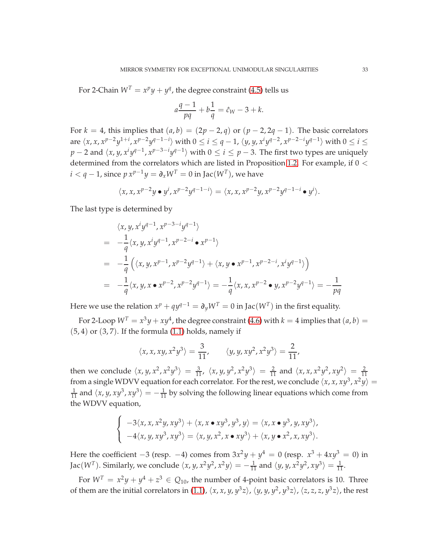For 2-Chain  $W^T = x^p y + y^q$ , the degree constraint [\(4.5\)](#page-31-2) tells us

$$
a\frac{q-1}{pq} + b\frac{1}{q} = \hat{c}_W - 3 + k.
$$

For  $k = 4$ , this implies that  $(a, b) = (2p - 2, q)$  or  $(p - 2, 2q - 1)$ . The basic correlators are  $\langle x, x, x^{p-2}y^{1+i}, x^{p-2}y^{q-1-i}\rangle$  with  $0 \le i \le q-1$ ,  $\langle y, y, x^i y^{q-2}, x^{p-2-i}y^{q-1}\rangle$  with  $0 \le i \le q-1$  $p-2$  and  $\langle x, y, x^i y^{q-1}, x^{p-3-i} y^{q-1} \rangle$  with  $0 \le i \le p-3$ . The first two types are uniquely determined from the correlators which are listed in Proposition [1.2.](#page-4-0) For example, if  $0 <$  $i < q - 1$ , since  $p x^{p-1} y = \partial_x W^T = 0$  in Jac $(W^T)$ , we have

$$
\langle x, x, x^{p-2}y \bullet y^i, x^{p-2}y^{q-1-i} \rangle = \langle x, x, x^{p-2}y, x^{p-2}y^{q-1-i} \bullet y^i \rangle.
$$

The last type is determined by

$$
\langle x, y, x^{i}y^{q-1}, x^{p-3-i}y^{q-1} \rangle
$$
  
=  $-\frac{1}{q} \langle x, y, x^{i}y^{q-1}, x^{p-2-i} \bullet x^{p-1} \rangle$   
=  $-\frac{1}{q} \left( \langle x, y, x^{p-1}, x^{p-2}y^{q-1} \rangle + \langle x, y \bullet x^{p-1}, x^{p-2-i}, x^{i}y^{q-1} \rangle \right)$   
=  $-\frac{1}{q} \langle x, y, x \bullet x^{p-2}, x^{p-2}y^{q-1} \rangle = -\frac{1}{q} \langle x, x, x^{p-2} \bullet y, x^{p-2}y^{q-1} \rangle = -\frac{1}{pq}$ 

Here we use the relation  $x^p + qy^{q-1} = \partial_y W^T = 0$  in Jac $(W^T)$  in the first equality.

For 2-Loop  $W^T = x^3y + xy^4$ , the degree constraint [\(4.6\)](#page-31-0) with  $k = 4$  implies that  $(a, b) =$  $(5, 4)$  or  $(3, 7)$ . If the formula  $(1.1)$  holds, namely if

$$
\langle x, x, xy, x^2y^3 \rangle = \frac{3}{11}, \qquad \langle y, y, xy^2, x^2y^3 \rangle = \frac{2}{11},
$$

then we conclude  $\langle x, y, x^2, x^2y^3 \rangle = \frac{3}{11}$ ,  $\langle x, y, y^2, x^2y^3 \rangle = \frac{2}{11}$  and  $\langle x, x, x^2y^2, xy^2 \rangle = \frac{2}{11}$ from a single WDVV equation for each correlator. For the rest, we conclude  $\langle x, x, xy^3, x^2y \rangle =$  $\frac{1}{11}$  and  $\langle x, y, xy^3, xy^3 \rangle = -\frac{1}{11}$  by solving the following linear equations which come from the WDVV equation,

$$
\begin{cases}\n-3\langle x,x,x^2y,xy^3\rangle + \langle x,x\bullet xy^3,y^3,y\rangle = \langle x,x\bullet y^3,y,xy^3\rangle, \\
-4\langle x,y,xy^3,xy^3\rangle = \langle x,y,x^2,x\bullet xy^3\rangle + \langle x,y\bullet x^2,x,xy^3\rangle.\n\end{cases}
$$

Here the coefficient −3 (resp. −4) comes from  $3x^2y + y^4 = 0$  (resp.  $x^3 + 4xy^3 = 0$ ) in Jac( $W^T$ ). Similarly, we conclude  $\langle x, y, x^2y^2, x^2y \rangle = -\frac{1}{11}$  and  $\langle y, y, x^2y^2, xy^3 \rangle = \frac{1}{11}$ .

For  $W^T = x^2y + y^4 + z^3 \in Q_{10}$ , the number of 4-point basic correlators is 10. Three of them are the initial correlators in [\(1.1\)](#page-4-1),  $\langle x, x, y, y^3z \rangle$ ,  $\langle y, y, y^2, y^3z \rangle$ ,  $\langle z, z, z, y^3z \rangle$ , the rest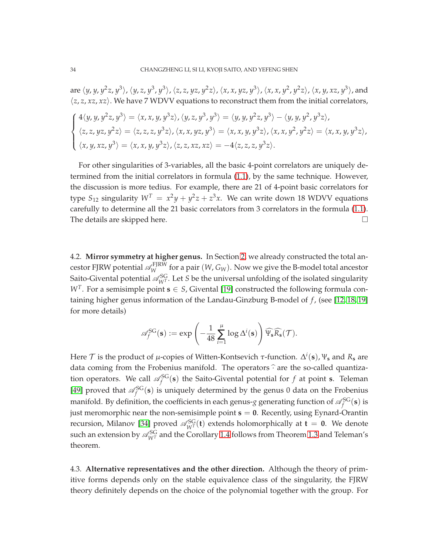are  $\langle y, y, y^2z, y^3 \rangle$ ,  $\langle y, z, y^3, y^3 \rangle$ ,  $\langle z, z, yz, y^2z \rangle$ ,  $\langle x, x, yz, y^3 \rangle$ ,  $\langle x, x, y^2, y^2z \rangle$ ,  $\langle x, y, xz, y^3 \rangle$ , and  $\langle z, z, xz, xz \rangle$ . We have 7 WDVV equations to reconstruct them from the initial correlators,

$$
\begin{cases} 4\langle y, y, y^2z, y^3 \rangle = \langle x, x, y, y^3z \rangle, \langle y, z, y^3, y^3 \rangle = \langle y, y, y^2z, y^3 \rangle - \langle y, y, y^2, y^3z \rangle, \\ \langle z, z, yz, y^2z \rangle = \langle z, z, z, y^3z \rangle, \langle x, x, yz, y^3 \rangle = \langle x, x, y, y^3z \rangle, \langle x, x, y^2, y^2z \rangle = \langle x, x, y, y^3z \rangle, \\ \langle x, y, xz, y^3 \rangle = \langle x, x, y, y^3z \rangle, \langle z, z, xz, xz \rangle = -4 \langle z, z, z, y^3z \rangle. \end{cases}
$$

For other singularities of 3-variables, all the basic 4-point correlators are uniquely determined from the initial correlators in formula [\(1.1\)](#page-4-1), by the same technique. However, the discussion is more tedius. For example, there are 21 of 4-point basic correlators for type  $S_{12}$  singularity  $W^T = x^2y + y^2z + z^3x$ . We can write down 18 WDVV equations carefully to determine all the 21 basic correlators from 3 correlators in the formula [\(1.1\)](#page-4-1). The details are skipped here.

4.2. **Mirror symmetry at higher genus.** In Section [2,](#page-6-0) we already constructed the total ancestor FJRW potential  $\mathscr{A}_{W}^{\text{FJRW}}$  for a pair  $(W,G_W)$ . Now we give the B-model total ancestor Saito-Givental potential  $\mathscr{A}_{W^T}^{SG}$ . Let *S* be the universal unfolding of the isolated singularity *W*<sup>*T*</sup>. For a semisimple point **s**  $\in$  *S*, Givental [\[19\]](#page-43-9) constructed the following formula containing higher genus information of the Landau-Ginzburg B-model of *f* , (see [\[12,](#page-42-9) [18,](#page-42-18) [19\]](#page-43-9) for more details)

$$
\mathscr{A}_f^{\text{SG}}(\mathbf{s}) := \exp \left(-\frac{1}{48} \sum_{i=1}^\mu \log \Delta^i(\mathbf{s})\right) \widehat{\Psi_\mathbf{s} R_\mathbf{s}}(\mathcal{T}).
$$

Here  $\mathcal{T}$  is the product of  $\mu$ -copies of Witten-Kontsevich  $\tau$ -function.  $\Delta^i(\mathbf{s})$ ,  $\Psi_{\mathbf{s}}$  and  $R_{\mathbf{s}}$  are data coming from the Frobenius manifold. The operators  $\hat{\cdot}$  are the so-called quantization operators. We call  $\mathscr{A}_f^{SG}(\mathbf{s})$  the Saito-Givental potential for  $f$  at point **s**. Teleman [\[49\]](#page-44-2) proved that  $\mathscr{A}_f^{\rm SG}(s)$  is uniquely determined by the genus 0 data on the Frobenius manifold. By definition, the coefficients in each genus-*g* generating function of  $\mathscr{A}_f^{\rm SG}(\bf s)$  is just meromorphic near the non-semisimple point  $s = 0$ . Recently, using Eynard-Orantin recursion, Milanov [\[34\]](#page-43-10) proved  $\mathscr{A}_{W^T}^{SG}(\mathbf{t})$  extends holomorphically at  $\mathbf{t} = \mathbf{0}$ . We denote such an extension by  $\mathscr{A}_{W^T}^{SG}$  and the Corollary [1.4](#page-5-1) follows from Theorem [1.3](#page-4-2) and Teleman's theorem.

4.3. **Alternative representatives and the other direction.** Although the theory of primitive forms depends only on the stable equivalence class of the singularity, the FJRW theory definitely depends on the choice of the polynomial together with the group. For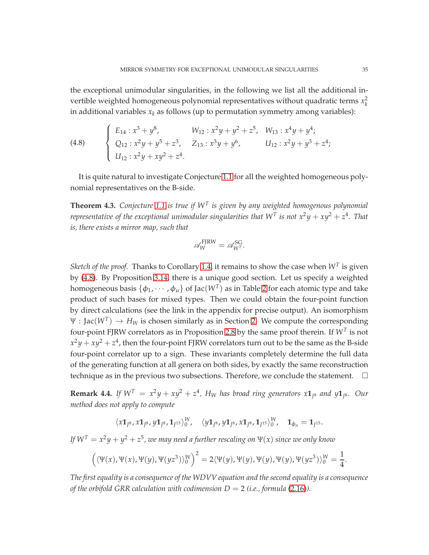the exceptional unimodular singularities, in the following we list all the additional invertible weighted homogeneous polynomial representatives without quadratic terms  $x_k^2$ in additional variables  $x_k$  as follows (up to permutation symmetry among variables):

<span id="page-34-1"></span>(4.8) 
$$
\begin{cases} E_{14}: x^3 + y^8, & W_{12}: x^2y + y^2 + z^5, & W_{13}: x^4y + y^4; \\ Q_{12}: x^2y + y^5 + z^3, & Z_{13}: x^3y + y^6, & U_{12}: x^2y + y^3 + z^4; \\ U_{12}: x^2y + xy^2 + z^4. & \end{cases}
$$

It is quite natural to investigate Conjecture [1.1](#page-2-0) for all the weighted homogeneous polynomial representatives on the B-side.

<span id="page-34-0"></span>**Theorem 4.3.** *Conjecture [1.1](#page-2-0) is true if W<sup>T</sup> is given by any weighted homogenous polynomial representative of the exceptional unimodular singularities that*  $W<sup>T</sup>$  *is not*  $x<sup>2</sup>y + xy<sup>2</sup> + z<sup>4</sup>$ *. That is, there exists a mirror map, such that*

$$
\mathcal{A}_W^{\text{FJRW}} = \mathcal{A}_{W^T}^{\text{SG}}.
$$

*Sketch of the proof.* Thanks to Corollary [1.4,](#page-5-1) it remains to show the case when  $W<sup>T</sup>$  is given by [\(4.8\)](#page-34-1). By Proposition [3.14,](#page-27-0) there is a unique good section. Let us specify a weighted homogeneous basis  $\{\phi_1, \cdots, \phi_\mu\}$  of Jac $(W^T)$  as in Table [2](#page-10-0) for each atomic type and take product of such bases for mixed types. Then we could obtain the four-point function by direct calculations (see the link in the appendix for precise output). An isomorphism  $\Psi : \text{Jac}(W^T) \to H_W$  is chosen similarly as in Section [2.](#page-6-0) We compute the corresponding four-point FJRW correlators as in Proposition [2.8](#page-14-1) by the same proof therein. If  $W^T$  is not  $x^2y+xy^2+z^4$ , then the four-point FJRW correlators turn out to be the same as the B-side four-point correlator up to a sign. These invariants completely determine the full data of the generating function at all genera on both sides, by exactly the same reconstruction technique as in the previous two subsections. Therefore, we conclude the statement.  $\Box$ 

**Remark 4.4.** If  $W^T = x^2y + xy^2 + z^4$ ,  $H_W$  has broad ring generators  $x\mathbf{1}_{\tilde{J}^8}$  and  $y\mathbf{1}_{\tilde{J}^8}$ . Our *method does not apply to compute*

$$
\langle x\mathbf{1}_{J^8}, x\mathbf{1}_{J^8}, y\mathbf{1}_{J^8}, \mathbf{1}_{J^{15}}\rangle^W_0, \quad \langle y\mathbf{1}_{J^8}, y\mathbf{1}_{J^8}, x\mathbf{1}_{J^8}, \mathbf{1}_{J^{15}}\rangle^W_0, \quad \mathbf{1}_{\phi_\mu} = \mathbf{1}_{J^{15}}.
$$

*If*  $W^T = x^2y + y^2 + z^5$  *, we may need a further rescaling on*  $\Psi(x)$  *since we only know* 

$$
(\langle \Psi(x), \Psi(x), \Psi(y), \Psi(yz^3) \rangle_0^W)^2 = 2 \langle \Psi(y), \Psi(y), \Psi(y), \Psi(yz^3) \rangle_0^W = \frac{1}{4}
$$

*The first equality is a consequence of the WDVV equation and the second equality is a consequence of the orbifold GRR calculation with codimension*  $D = 2$  *(i.e., formula [\(2.16\)](#page-9-2)).* 

.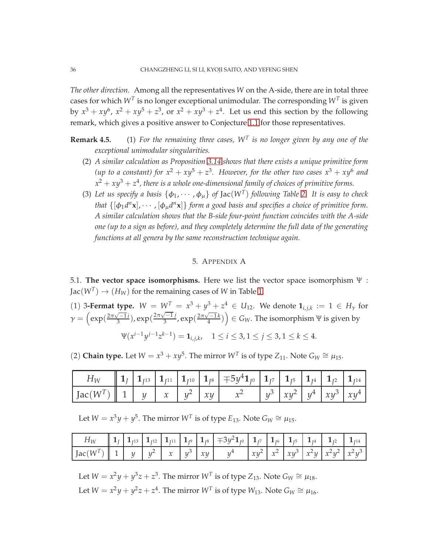*The other direction.* Among all the representatives *W* on the A-side, there are in total three cases for which  $W^T$  is no longer exceptional unimodular. The corresponding  $W^T$  is given by  $x^3 + xy^6$ ,  $x^2 + xy^5 + z^3$ , or  $x^2 + xy^3 + z^4$ . Let us end this section by the following remark, which gives a positive answer to Conjecture [1.1](#page-2-0) for those representatives.

- **Remark 4.5.** (1) *For the remaining three cases, W<sup>T</sup> is no longer given by any one of the exceptional unimodular singularities.*
	- (2) *A similar calculation as Proposition [3.14](#page-27-0) shows that there exists a unique primitive form* (up to a constant) for  $x^2 + xy^5 + z^3$ . However, for the other two cases  $x^3 + xy^6$  and  $x^2 + xy^3 + z^4$ , there is a whole one-dimensional family of choices of primitive forms.
	- (3) Let us specify a basis  $\{\phi_1, \dots, \phi_\mu\}$  of  $Jac(W^T)$  following Table [2.](#page-10-0) It is easy to check *that*  $\{[\phi_1 d^n \mathbf{x}], \cdots, [\phi_\mu d^n \mathbf{x}]\}$  *form a good basis and specifies a choice of primitive form. A similar calculation shows that the B-side four-point function coincides with the A-side one (up to a sign as before), and they completely determine the full data of the generating functions at all genera by the same reconstruction technique again.*

## 5. APPENDIX A

<span id="page-35-0"></span>5.1. **The vector space isomorphisms.** Here we list the vector space isomorphism Ψ :  $\text{Jac}(W^T) \to (H_W)$  for the remaining cases of W in Table [1.](#page-3-0)

(1) 3-**Fermat type.**  $W = W^T = x^3 + y^3 + z^4 \in U_{12}$ . We denote  $\mathbf{1}_{i,j,k} := 1 \in H_{\gamma}$  for  $\gamma = \left(\exp(\frac{2\pi\sqrt{-1}i}{3}), \exp(\frac{2\pi\sqrt{-1}j}{3}, \exp(\frac{2\pi\sqrt{-1}k}{4})\right) \in G_W$ . The isomorphism Ψ is given by  $\Psi(x^{i-1}y^{j-1}z^{k-1}) = \mathbf{1}_{i,j,k}, \quad 1 \leq i \leq 3, 1 \leq j \leq 3, 1 \leq k \leq 4.$ 

(2) **Chain type.** Let  $W = x^3 + xy^5$ . The mirror  $W^T$  is of type  $Z_{11}$ . Note  $G_W \cong \mu_{15}$ .

| $H_W$                                                                                                                                                                                                                                              |  |  | $\ 1_{J}\ 1_{J^{13}}\ 1_{J^{11}}\ 1_{J^{10}}\ 1_{J^{8}}\ 1_{J^{8}}\ 1_{J^{0}}\ 1_{J^{7}}\ 1_{J^{5}}\ 1_{J^{4}}\ 1_{J^{2}}\ 1_{J^{14}}$ |  |  |  |
|----------------------------------------------------------------------------------------------------------------------------------------------------------------------------------------------------------------------------------------------------|--|--|----------------------------------------------------------------------------------------------------------------------------------------|--|--|--|
| $\left  \int \text{Jac}(W^T) \right  \left  1 \right  \left  y \right  \left  x \right  \left  y^2 \right  \left  xy \right  \left  x^2 \right  \left  y^3 \right  \left  xy^2 \right  \left  y^4 \right  \left  xy^3 \right  \left  xy^4 \right $ |  |  |                                                                                                                                        |  |  |  |

Let  $W = x^3y + y^5$ . The mirror  $W^T$  is of type  $E_{13}$ . Note  $G_W \cong \mu_{15}$ .

|                                                                                                                                                         |  |  |  | $H_W$ $\left[\begin{array}{c c c c c} 1 & 1 & 1 \end{array}\right]$ $\left[\begin{array}{c c c} 1 & 1 & 1 \end{array}\right]$ $\left[\begin{array}{c c c} 1 & 1 & 1 \end{array}\right]$ $\left[\begin{array}{c c c} 1 & 1 & 1 \end{array}\right]$ $\left[\begin{array}{c c c} 1 & 1 & 1 \end{array}\right]$ $\left[\begin{array}{c c c} 1 & 1 & 1 \end{array}\right]$ $\left[\begin{array}{c c c} 1 & 1 & 1 \end{array$ |  |  |                                                                                                 |
|---------------------------------------------------------------------------------------------------------------------------------------------------------|--|--|--|-------------------------------------------------------------------------------------------------------------------------------------------------------------------------------------------------------------------------------------------------------------------------------------------------------------------------------------------------------------------------------------------------------------------------|--|--|-------------------------------------------------------------------------------------------------|
| $\left  \text{Jac}(W^T) \right  \left  1 \right  \left  y \right  \left  y^2 \right  \left  x \right  \left  y^3 \right  xy \right  \left  y^4 \right $ |  |  |  |                                                                                                                                                                                                                                                                                                                                                                                                                         |  |  | $\left  xy^{2} \right  x^{2} \left  xy^{3} \right  x^{2}y \left  x^{2}y^{2} \right  x^{2}y^{3}$ |

Let  $W = x^2y + y^3z + z^3$ . The mirror  $W^T$  is of type  $Z_{13}$ . Note  $G_W \cong \mu_{18}$ . Let  $W = x^2y + y^2z + z^4$ . The mirror  $W^T$  is of type  $W_{13}$ . Note  $G_W \cong \mu_{16}$ .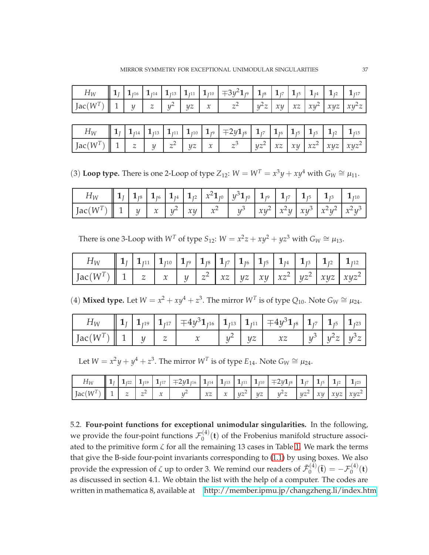| $H_W$                                                                                                                                                                                                                                              |  |  |  | $\ 1_{J} 1_{J^{16}} 1_{J^{14}} 1_{J^{13}} 1_{J^{11}} 1_{J^{10}} $ $\mp 3y^21_{J^9} 1_{J^8} 1_{J^7} 1_{J^5} 1_{J^4} 1_{J^2} 1_{J^{17}}$ |  |  |  |
|----------------------------------------------------------------------------------------------------------------------------------------------------------------------------------------------------------------------------------------------------|--|--|--|----------------------------------------------------------------------------------------------------------------------------------------|--|--|--|
| $\left  \int \mathrm{Jac}(W^T) \right  \left  1 \right  \left  y \right  \left  z \right  \left  y^2 \right  \left  yz \right  \left  x \right  \left  z^2 \right  \left  y^2z \right  xy \left  xz \right  xy^2 \left  xyz \right  xy^2z \right $ |  |  |  |                                                                                                                                        |  |  |  |

|                                                                                                                                                                                                                                                                |  |  |  | $H_W$ $\left[\begin{array}{c c c c c} 1_J & 1_{J^{14}} & 1_{J^{13}} & 1_{J^{11}} & 1_{J^{10}} & 1_{J^9} & \end{array}\right]$ $\left.\begin{array}{c c c c} 1_{J^7} & 1_{J^6} & 1_{J^5} & 1_{J^3} & 1_{J^2} & 1_{J^{15}} \end{array}\right]$ |  |  |  |
|----------------------------------------------------------------------------------------------------------------------------------------------------------------------------------------------------------------------------------------------------------------|--|--|--|----------------------------------------------------------------------------------------------------------------------------------------------------------------------------------------------------------------------------------------------|--|--|--|
| $\left  \text{ Jac}(W^T) \right  \left  1 \right  \left  z \right  \left  y \right  \left  z^2 \right  \left  yz \right  \left  x \right  \left  z^3 \right  \left  yz^2 \right  \left  xz \right  \left  xy \right  \left  xz^2 \right  \left  xyz^2 \right $ |  |  |  |                                                                                                                                                                                                                                              |  |  |  |

(3) Loop type. There is one 2-Loop of type  $Z_{12}$ :  $W = W^T = x^3y + xy^4$  with  $G_W \cong \mu_{11}$ .

| $H_W$                                                                                                                                                                                                                                                                                                                                                                                                                                                                                                                                                                                                    |  |  |  |  |  |  |
|----------------------------------------------------------------------------------------------------------------------------------------------------------------------------------------------------------------------------------------------------------------------------------------------------------------------------------------------------------------------------------------------------------------------------------------------------------------------------------------------------------------------------------------------------------------------------------------------------------|--|--|--|--|--|--|
| $\left \right. \left.\left.\right. \right. \left.\left.\left. \right. \right  \left.\left. \right. \right  \left.\left. \right. \right  \left.\left. \right. \right  \left.\left. \right. \right  \left.\left. \right. \right  \left.\left. \right. \right  \left.\left. \right. \right  \left.\left. \right. \right  \left.\left. \right. \right  \left.\left. \right. \right  \left.\left. \right. \right  \left.\left. \right. \right  \left.\left. \right. \right  \left.\left. \right  \left.\left. \right  \left.\left. \right. \right  \left.\left. \right  \left.\left. \right  \right. \right $ |  |  |  |  |  |  |

There is one 3-Loop with  $W^T$  of type  $S_{12}$ :  $W = x^2z + xy^2 + yz^3$  with  $G_W \cong \mu_{13}$ .

| $H_W = \begin{bmatrix} 1 \ 1 \end{bmatrix} \begin{bmatrix} 1 \ 1 \end{bmatrix} \begin{bmatrix} 1 \ 1 \end{bmatrix} \begin{bmatrix} 1 \ 1 \end{bmatrix} \begin{bmatrix} 1 \ 1 \end{bmatrix} \begin{bmatrix} 1 \ 1 \end{bmatrix} \begin{bmatrix} 1 \ 1 \end{bmatrix} \begin{bmatrix} 1 \ 1 \end{bmatrix} \begin{bmatrix} 1 \ 1 \end{bmatrix} \begin{bmatrix} 1 \ 1 \end{bmatrix} \begin{bmatrix} 1 \ 1 \end{bmatrix} \begin{bmatrix} 1 \ 1 \end{bmatrix} \begin{bmatrix} 1 \ 1 \end$ |  |  |  |  |  |  |
|------------------------------------------------------------------------------------------------------------------------------------------------------------------------------------------------------------------------------------------------------------------------------------------------------------------------------------------------------------------------------------------------------------------------------------------------------------------------------------|--|--|--|--|--|--|
| $\left  \int \text{Jac}(W^T) \right  \left  1 \right  \left  z \right  \left  x \right  \left  y \right  \left  z^2 \right  \left  xz \right  \left  yz \right  \left  xy \right  \left  xz^2 \right  \left  xyz \right  \left  xyz^2 \right $                                                                                                                                                                                                                                     |  |  |  |  |  |  |

(4) **Mixed type.** Let  $W = x^2 + xy^4 + z^3$ . The mirror  $W^T$  is of type  $Q_{10}$ . Note  $G_W \cong \mu_{24}$ .

| $H_W$                                                                               |  | $\ 1_{J}\ 1_{J^{19}}\ 1_{J^{17}}\ $ $\mp 4y^31_{J^{16}}\ 1_{J^{13}}\ 1_{J^{11}}\ $ $\mp 4y^31_{J^8}\ 1_{J^7}\ 1_{J^5}\ 1_{J^{23}}$ |  |                                                           |  |  |
|-------------------------------------------------------------------------------------|--|------------------------------------------------------------------------------------------------------------------------------------|--|-----------------------------------------------------------|--|--|
| $\left  \text{Jac}(W^T) \right  \left  1 \right  \left  y \right  \left  z \right $ |  |                                                                                                                                    |  | $x \mid y^2 \mid yz \mid xz \mid y^3 \mid y^2z \mid y^3z$ |  |  |

Let  $W = x^2y + y^4 + z^3$ . The mirror  $W^T$  is of type  $E_{14}$ . Note  $G_W \cong \mu_{24}$ .

|                                                                                                                                                                                                                                                                                        |  |  | $\ 1_{1}\ 1_{1^{22}}\ 1_{1^{19}}\ 1_{1^{17}}\  \mp 2y1_{1^{16}}\ 1_{1^{14}}\ 1_{1^{13}}\ 1_{1^{11}}\ 1_{1^{10}}\  \mp 2y1_{1^8}\ 1_{1^7}\ 1_{1^5}\ 1_{1^2}\ 1_{1^{23}}$ |  |  |  |  |  |
|----------------------------------------------------------------------------------------------------------------------------------------------------------------------------------------------------------------------------------------------------------------------------------------|--|--|-------------------------------------------------------------------------------------------------------------------------------------------------------------------------|--|--|--|--|--|
| $\left  \text{ Jac}(W^T) \; \right  \; 1 \; \left  \; z \; \right  \; z^2 \; \left  \; x \; \right  \; y^2 \; \left  \; x z \; \right  \; x \; \left  \; y z^2 \; \right  \; yz \; \left  \; y^2 z \; \right  \; yz^2 \; \left  \; xy \; \right  \; xyz \; \left  \; xyz^2 \; \right $ |  |  |                                                                                                                                                                         |  |  |  |  |  |

5.2. **Four-point functions for exceptional unimodular singularities.** In the following, we provide the four-point functions  $\mathcal{F}_0^{(4)}$  $\int_0^{(4)}$  (**t**) of the Frobenius manifold structure associated to the primitive form  $\zeta$  for all the remaining 13 cases in Table [1.](#page-3-0) We mark the terms that give the B-side four-point invariants corresponding to [\(1.1\)](#page-4-1) by using boxes. We also provide the expression of  $\zeta$  up to order 3. We remind our readers of  $\tilde{\mathcal{F}}^{(4)}_0$  $\mathcal{F}_0^{(4)}(\tilde{\mathbf{t}}) = -\mathcal{F}_0^{(4)}(\mathbf{t})$ as discussed in section 4.1. We obtain the list with the help of a computer. The codes are written in mathematica 8, available at<http://member.ipmu.jp/changzheng.li/index.htm>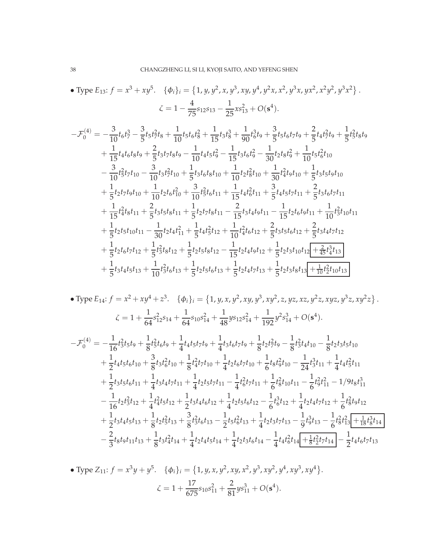• Type 
$$
E_{13}
$$
:  $f = x^3 + xy^5$ . { $\phi_i$ }<sub>i</sub> = {1, y, y<sup>2</sup>, x, y<sup>3</sup>, xy, y<sup>4</sup>, y<sup>2</sup>x, x<sup>2</sup>, y<sup>3</sup>x, yx<sup>2</sup>, x<sup>2</sup>y<sup>2</sup>, y<sup>3</sup>x<sup>2</sup>}  
\n $\zeta = 1 - \frac{4}{75}s_{12}s_{13} - \frac{1}{25}xs_{13}^2 + O(s^4)$ .

$$
-\mathcal{F}_{0}^{(4)} = -\frac{3}{10}t_{6}t_{7}^{3} - \frac{3}{5}t_{5}t_{7}^{2}t_{8} + \frac{1}{10}t_{5}t_{6}t_{8}^{2} + \frac{1}{15}t_{3}t_{8}^{3} + \frac{1}{90}t_{6}^{3}t_{9} + \frac{3}{5}t_{5}t_{6}t_{7}t_{9} + \frac{2}{5}t_{4}t_{7}^{2}t_{9} + \frac{1}{5}t_{5}^{2}t_{8}t_{9}
$$
\n
$$
+\frac{1}{15}t_{4}t_{6}t_{8}t_{9} + \frac{2}{5}t_{3}t_{7}t_{8}t_{9} - \frac{1}{10}t_{4}t_{5}t_{9}^{2} - \frac{1}{15}t_{3}t_{6}t_{9}^{2} - \frac{1}{30}t_{2}t_{8}t_{9}^{2} + \frac{1}{10}t_{5}t_{6}^{2}t_{10}
$$
\n
$$
-\frac{3}{10}t_{5}^{2}t_{7}t_{10} - \frac{3}{10}t_{3}t_{7}^{2}t_{10} + \frac{1}{5}t_{3}t_{6}t_{8}t_{10} + \frac{1}{10}t_{2}t_{8}^{2}t_{10} + \frac{1}{30}t_{4}^{2}t_{9}t_{10} + \frac{1}{5}t_{3}t_{5}t_{9}t_{10}
$$
\n
$$
+\frac{1}{5}t_{2}t_{7}t_{9}t_{10} + \frac{1}{10}t_{2}t_{6}t_{10}^{2} + \frac{3}{10}t_{5}^{2}t_{6}t_{11} + \frac{1}{15}t_{4}t_{6}^{2}t_{11} + \frac{3}{5}t_{4}t_{5}t_{7}t_{11} + \frac{2}{5}t_{3}t_{6}t_{7}t_{11}
$$
\n
$$
+\frac{1}{15}t_{4}^{2}t_{8}t_{11} + \frac{2}{5}t_{3}t_{5}t_{8}t_{11} + \frac{1}{5}t_{2}t_{7}t_{8}t_{11} - \frac{2}{15}t_{3}t_{4
$$

• Type 
$$
E_{14}
$$
:  $f = x^2 + xy^4 + z^3$ . { $\phi_i\}_i = \{1, y, x, y^2, xy, y^3, xy^2, z, yz, xz, y^2z, xyz, y^3z, xy^2z\}$ .  
\n $\zeta = 1 + \frac{1}{64}s_{12}^2s_{14} + \frac{1}{64}s_{10}s_{14}^2 + \frac{1}{48}ys_{12}s_{14}^2 + \frac{1}{192}y^2s_{14}^3 + O(s^4)$ .  
\n $-\mathcal{F}_0^{(4)} = -\frac{1}{16}t_3^2t_5t_9 + \frac{1}{8}t_5^2t_6t_9 + \frac{1}{4}t_4t_5t_7t_9 + \frac{1}{4}t_3t_6t_7t_9 + \frac{1}{8}t_2t_7^2t_9 - \frac{1}{8}t_3^2t_4t_{10} - \frac{1}{8}t_2t_3t_5t_{10}$   
\n $+ \frac{1}{2}t_4t_5t_6t_{10} + \frac{3}{8}t_3t_6^2t_{10} + \frac{1}{8}t_4^2t_7t_{10} + \frac{1}{4}t_2t_6t_7t_{10} + \frac{1}{6}t_8t_9^2t_{10} - \frac{1}{24}t_3^3t_{11} + \frac{1}{4}t_4t_5^2t_{11}$   
\n $+ \frac{1}{2}t_3t_5t_6t_{11} + \frac{1}{4}t_3t_4t_7t_{11} + \frac{1}{4}t_2t_5t_7t_{11} - \frac{1}{4}t_6^2t_7t_{11} + \frac{1}{6}t_8^2t_{10}t_{11} - \frac{1}{6}t_9^2t_{11}^2 - \frac{1}{9}t_9^2t_{11}^3 - \frac{1}{16}t_2t_3^2t_{12} + \frac{1}{4}t_4^2t_5t_{12} + \frac{1}{2}t_3t_4t_6t_{12} + \frac{1}{4}t_2t_5t_6t_{12} - \frac{1}{6}t_9^3t_{12} +$ 

• Type Z<sub>11</sub>: 
$$
f = x^3y + y^5
$$
. { $\phi_i$ }<sub>i</sub> = {1, y, x, y<sup>2</sup>, xy, x<sup>2</sup>, y<sup>3</sup>, xy<sup>2</sup>, y<sup>4</sup>, xy<sup>3</sup>, xy<sup>4</sup>}.  
\n
$$
\zeta = 1 + \frac{17}{675}s_{10}s_{11}^2 + \frac{2}{81}ys_{11}^3 + O(s^4).
$$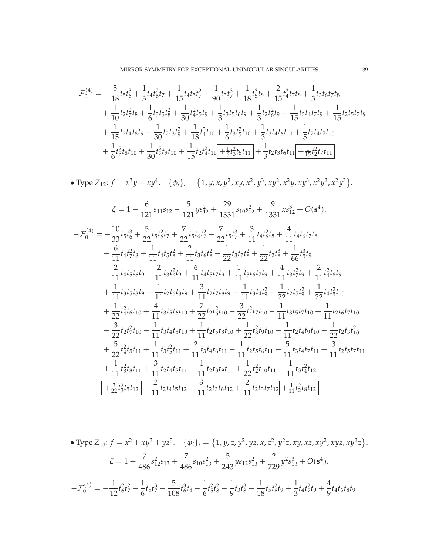MIRROR SYMMETRY FOR EXCEPTIONAL UNIMODULAR SINGULARITIES 39

$$
-\mathcal{F}_0^{(4)} = -\frac{5}{18}t_5t_6^3 + \frac{1}{3}t_4t_6^2t_7 + \frac{1}{15}t_4t_5t_7^2 - \frac{1}{90}t_3t_7^3 + \frac{1}{18}t_5^3t_8 + \frac{2}{15}t_4^2t_7t_8 + \frac{1}{3}t_3t_6t_7t_8
$$
  
+  $\frac{1}{10}t_2t_7^2t_8 + \frac{1}{6}t_3t_5t_8^2 + \frac{1}{30}t_4^2t_5t_9 + \frac{1}{3}t_3t_5t_6t_9 + \frac{1}{3}t_2t_6^2t_9 - \frac{1}{15}t_3t_4t_7t_9 + \frac{1}{15}t_2t_5t_7t_9$   
+  $\frac{1}{15}t_2t_4t_8t_9 - \frac{1}{30}t_2t_3t_9^2 + \frac{1}{18}t_4^3t_{10} + \frac{1}{6}t_3t_5^2t_{10} + \frac{1}{3}t_3t_4t_6t_{10} + \frac{1}{5}t_2t_4t_7t_{10}$   
+  $\frac{1}{6}t_3^2t_8t_{10} + \frac{1}{30}t_2^2t_9t_{10} + \frac{1}{15}t_2t_4^2t_{11} + \frac{1}{6}t_3^2t_5t_{11} + \frac{1}{3}t_2t_3t_6t_{11} + \frac{1}{15}t_2^2t_7t_{11}$ 

• Type 
$$
Z_{12}
$$
:  $f = x^3y + xy^4$ . { $\phi_i\}_i = \{1, y, x, y^2, xy, x^2, y^3, xy^2, x^2y, xy^3, x^2y^2, x^2y^3\}$ .

$$
\zeta = 1 - \frac{6}{121}s_{11}s_{12} - \frac{5}{121}ys_{12}^2 + \frac{29}{1331}s_{10}s_{12}^2 + \frac{9}{1331}xs_{12}^3 + O(s^4).
$$
  
\n
$$
-\mathcal{F}_0^{(4)} = -\frac{10}{33}t_5t_6^3 + \frac{5}{22}t_5t_6^2t_7 + \frac{7}{22}t_5t_6t_7^2 - \frac{7}{22}t_5t_7^3 + \frac{3}{11}t_4t_6^2t_8 + \frac{4}{11}t_4t_6t_7t_8
$$
  
\n
$$
-\frac{6}{11}t_4t_7^2t_8 + \frac{1}{11}t_4t_5t_8^2 + \frac{2}{11}t_3t_6t_8^2 - \frac{1}{22}t_3t_7t_8^2 + \frac{1}{22}t_2t_8^3 + \frac{1}{66}t_5^3t_9
$$
  
\n
$$
-\frac{2}{11}t_4t_5t_6t_9 - \frac{2}{11}t_3t_6^2t_9 + \frac{6}{11}t_4t_5t_7t_9 + \frac{1}{11}t_3t_6t_7t_9 + \frac{4}{11}t_3t_7^2t_9 + \frac{2}{11}t_4^2t_8t_9
$$
  
\n
$$
+\frac{1}{11}t_3t_5t_8t_9 - \frac{1}{11}t_2t_6t_8t_9 + \frac{3}{11}t_2t_7t_8t_9 - \frac{1}{11}t_3t_4t_9^2 - \frac{1}{22}t_2t_5t_9^2 + \frac{1}{22}t_4t_5^2t_{10}
$$
  
\n
$$
+\frac{1}{22}t_4^2t_6t_{10} + \frac{4}{11}t_3t_5t_6t_{10} + \frac{7}{22}t_2t_6^2t_{10} - \frac{3}{22}t_4^2t_7t_{10} - \frac{1}{11}t_3t_5t_7t_{10} + \frac{1}{11}t_2t_6t_
$$

• Type Z<sub>13</sub>: 
$$
f = x^2 + xy^3 + yz^3
$$
. { $\phi_i\}_i = \{1, y, z, y^2, yz, x, z^2, y^2z, xy, xz, xy^2, xyz, xy^2z\}$ .  
\n
$$
\zeta = 1 + \frac{7}{486}s_{12}^2s_{13} + \frac{7}{486}s_{10}s_{13}^2 + \frac{5}{243}ys_{12}s_{13}^2 + \frac{2}{729}y^2s_{13}^3 + O(s^4).
$$
\n
$$
-\mathcal{F}_0^{(4)} = -\frac{1}{12}t_6^2t_7^2 - \frac{1}{6}t_5t_7^3 - \frac{5}{108}t_6^3t_8 - \frac{1}{6}t_5^2t_8^2 - \frac{1}{9}t_3t_8^3 - \frac{1}{18}t_5t_6^2t_9 + \frac{1}{3}t_4t_7^2t_9 + \frac{4}{9}t_4t_6t_8t_9
$$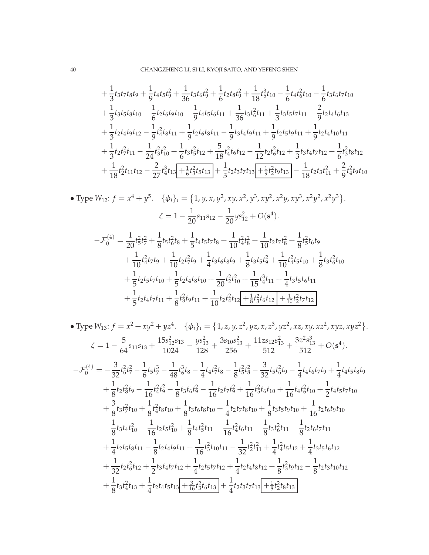$$
+\frac{1}{3}t_3t_7t_8t_9+\frac{1}{9}t_4t_5t_9^2+\frac{1}{36}t_3t_6t_9^2+\frac{1}{6}t_2t_8t_9^2+\frac{1}{18}t_5^3t_{10}-\frac{1}{6}t_4t_6^2t_{10}-\frac{1}{6}t_3t_6t_7t_{10}
$$
  
 
$$
+\frac{1}{3}t_3t_5t_8t_{10}-\frac{1}{6}t_2t_6t_9t_{10}+\frac{1}{9}t_4t_5t_6t_{11}+\frac{1}{36}t_3t_6^2t_{11}+\frac{1}{3}t_3t_5t_7t_{11}+\frac{2}{9}t_2t_4t_6t_{13}
$$
  
 
$$
+\frac{1}{3}t_2t_4t_9t_{12}-\frac{1}{9}t_4^2t_8t_{11}+\frac{1}{9}t_2t_6t_8t_{11}-\frac{1}{9}t_3t_4t_9t_{11}+\frac{1}{9}t_2t_5t_9t_{11}+\frac{1}{9}t_2t_4t_{10}t_{11}
$$
  
 
$$
+\frac{1}{3}t_2t_7^2t_{11}-\frac{1}{24}t_3^2t_{10}^2+\frac{1}{6}t_3t_5^2t_{12}+\frac{5}{18}t_4^2t_6t_{12}-\frac{1}{12}t_2t_6^2t_{12}+\frac{1}{3}t_3t_4t_7t_{12}+\frac{1}{6}t_3^2t_8t_{12}
$$
  
 
$$
+\frac{1}{18}t_2^2t_{11}t_{12}-\frac{2}{27}t_4^3t_{13}+\frac{1}{6}t_3^2t_5t_{13}+\frac{1}{3}t_2t_3t_7t_{13}+\frac{1}{9}t_2^2t_9t_{13}-\frac{1}{18}t_2t_3t_1^2+\frac{2}{9}t_4^2t_9t_{10}
$$

• Type 
$$
W_{12}
$$
:  $f = x^4 + y^5$ . { $\phi_i\}_i = \{1, y, x, y^2, xy, x^2, y^3, xy^2, x^2y, xy^3, x^2y^2, x^2y^3\}$ .  
\n
$$
\zeta = 1 - \frac{1}{20}s_{11}s_{12} - \frac{1}{20}ys_{12}^2 + O(s^4).
$$
\n
$$
-\mathcal{F}_0^{(4)} = \frac{1}{20}t_5^2t_7^2 + \frac{1}{8}t_5t_6^2t_8 + \frac{1}{5}t_4t_5t_7t_8 + \frac{1}{10}t_4^2t_8^2 + \frac{1}{10}t_2t_7t_8^2 + \frac{1}{8}t_5^2t_6t_9 + \frac{1}{10}t_4^2t_7t_9 + \frac{1}{10}t_2t_7^2t_9 + \frac{1}{4}t_3t_6t_8t_9 + \frac{1}{8}t_3t_5t_9^2 + \frac{1}{10}t_4^2t_5t_{10} + \frac{1}{8}t_3t_6^2t_{10} + \frac{1}{5}t_2t_5t_7t_{10} + \frac{1}{5}t_2t_4t_8t_{10} + \frac{1}{20}t_2^2t_{10}^2 + \frac{1}{15}t_4^3t_{11} + \frac{1}{4}t_3t_5t_6t_{11} + \frac{1}{5}t_2t_4t_7t_{11} + \frac{1}{8}t_5^2t_9t_{11} + \frac{1}{10}t_2t_4^2t_{12} + \frac{1}{8}t_3^2t_6t_{12} + \frac{1}{10}t_2^2t_7t_{12}
$$

• Type W<sub>13</sub>: 
$$
f = x^2 + xy^2 + yz^4
$$
. { $\phi_i\}_i = \{1, z, y, z^2, yz, x, z^3, yz^2, xz, xy, xz^2, xyz, xyz^2\}$ .  
\n
$$
\zeta = 1 - \frac{5}{64}s_{11}s_{13} + \frac{15s_{12}^2s_{13}}{1024} - \frac{ys_{13}^2}{128} + \frac{3s_{10}s_{13}^2}{256} + \frac{11zs_{12}s_{13}^2}{512} + \frac{3z^2s_{13}^3}{512} + O(s^4).
$$
\n
$$
-\mathcal{F}_0^{(4)} = -\frac{3}{32}t_6^2t_7^2 - \frac{1}{6}t_5t_7^3 - \frac{1}{48}t_6^3t_8 - \frac{1}{4}t_4t_7^2t_8 - \frac{1}{8}t_5^2t_8^2 - \frac{3}{32}t_5t_6^2t_9 - \frac{1}{4}t_4t_6t_7t_9 + \frac{1}{4}t_4t_5t_8t_9 + \frac{1}{8}t_2t_8^2t_9 - \frac{1}{16}t_4^2t_9^2 - \frac{1}{8}t_3t_6t_9^2 - \frac{1}{16}t_2t_7t_9^2 + \frac{1}{16}t_5^2t_6t_{10} + \frac{1}{16}t_4t_6^2t_{10} + \frac{1}{2}t_4t_5t_7t_{10}
$$
\n
$$
+ \frac{3}{8}t_3t_7^2t_{10} + \frac{1}{8}t_4^2t_8t_{10} + \frac{1}{8}t_3t_6t_8t_{10} + \frac{1}{4}t_2t_7t_8t_{10} + \frac{1}{8}t_3t_5t_9t_{10} + \frac{1}{16}t_2t_6t_9t_{10}
$$
\n
$$
- \frac{1}{8}t_3t_4t_{10}^2 - \frac{1}{16}t_2t_5t_{10}^2 + \frac{1}{8}t_4t_5^2t_{11} - \frac{1}{16}t_4^
$$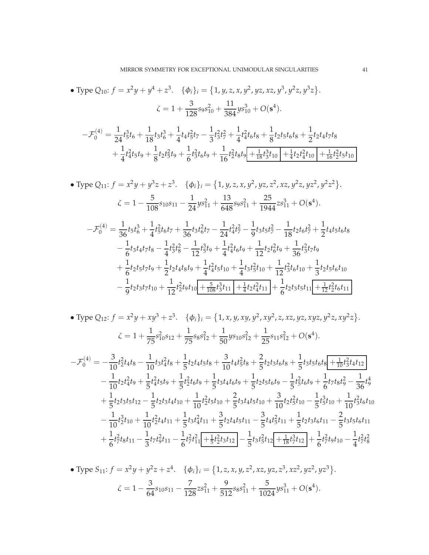• Type Q<sub>10</sub>: 
$$
f = x^2y + y^4 + z^3
$$
. { $\phi_i\}_i = \{1, y, z, x, y^2, yz, xz, y^3, y^2z, y^3z\}$ .  
\n
$$
\zeta = 1 + \frac{3}{128}s_9s_{10}^2 + \frac{11}{384}ys_{10}^3 + O(s^4).
$$
\n
$$
-\mathcal{F}_0^{(4)} = \frac{1}{24}t_5^3t_6 + \frac{1}{18}t_3t_6^3 + \frac{1}{4}t_4t_5^2t_7 - \frac{1}{3}t_3^2t_7^2 + \frac{1}{4}t_4^2t_6t_8 + \frac{1}{8}t_2t_5t_6t_8 + \frac{1}{2}t_2t_4t_7t_8 + \frac{1}{4}t_4^2t_5t_9 + \frac{1}{8}t_2t_5^2t_9 + \frac{1}{6}t_3^2t_6t_9 + \frac{1}{16}t_2^2t_8t_9 + \frac{1}{18}t_3^3t_{10} + \frac{1}{4}t_2t_4^2t_{10} + \frac{1}{16}t_2^2t_5t_{10}
$$

• Type 
$$
Q_{11}
$$
:  $f = x^2y + y^3z + z^3$ . { $\phi_i\}_i = \{1, y, z, x, y^2, yz, z^2, xz, y^2z, yz^2, y^2z^2\}$ .  
\n
$$
\zeta = 1 - \frac{5}{108}s_{10}s_{11} - \frac{1}{24}ys_{11}^2 + \frac{13}{648}s_{9}s_{11}^2 + \frac{25}{1944}zs_{11}^3 + O(s^4).
$$
\n
$$
-\mathcal{F}_0^{(4)} = \frac{1}{36}t_5t_6^3 + \frac{1}{4}t_5^2t_6t_7 + \frac{1}{36}t_3t_6^2t_7 - \frac{1}{24}t_4^2t_7^2 - \frac{1}{9}t_3t_5t_7^2 - \frac{1}{18}t_2t_6t_7^2 + \frac{1}{2}t_4t_5t_6t_8 - \frac{1}{6}t_3t_4t_7t_8 - \frac{1}{4}t_3^2t_8^2 - \frac{1}{12}t_5^3t_9 + \frac{1}{4}t_4^2t_6t_9 + \frac{1}{12}t_2t_6^2t_9 + \frac{1}{36}t_3^2t_7t_9 + \frac{1}{6}t_2t_5t_7t_9 + \frac{1}{2}t_2t_4t_8t_9 + \frac{1}{4}t_4^2t_5t_{10} + \frac{1}{4}t_3t_5^2t_{10} + \frac{1}{12}t_3^2t_6t_{10} + \frac{1}{3}t_2t_5t_6t_{10} - \frac{1}{9}t_2t_3t_7t_{10} + \frac{1}{12}t_2^2t_9t_{10} + \frac{5}{108}t_3^3t_{11} + \frac{1}{4}t_2t_4^2t_{11} + \frac{1}{6}t_2t_3t_5t_{11} + \frac{1}{12}t_2^2t_6t_{11}
$$

• Type Q<sub>12</sub>: 
$$
f = x^2y + xy^3 + z^3
$$
. { $\phi_i$ }<sub>i</sub> = {1, x, y, xy, y<sup>2</sup>, xy<sup>2</sup>, z, xz, yz, xyz, y<sup>2</sup>z, xy<sup>2</sup>z}.  
\n
$$
\zeta = 1 + \frac{1}{75}s_{10}^2s_{12} + \frac{1}{75}s_8s_{12}^2 + \frac{1}{50}ys_{10}s_{12}^2 + \frac{1}{25}s_{11}s_{12}^2 + O(s^4).
$$

$$
-\mathcal{F}_0^{(4)} = -\frac{3}{10}t_2^2t_4t_8 - \frac{1}{10}t_3t_4^2t_8 + \frac{1}{5}t_2t_4t_5t_8 + \frac{3}{10}t_4t_5^2t_8 + \frac{2}{5}t_2t_3t_6t_8 + \frac{1}{5}t_3t_5t_6t_8 + \frac{1}{10}t_3^2t_4t_{12} -\frac{1}{10}t_2t_4^2t_9 + \frac{1}{5}t_4^2t_5t_9 + \frac{1}{5}t_2^2t_6t_9 + \frac{1}{5}t_3t_4t_6t_9 + \frac{1}{5}t_2t_5t_6t_9 - \frac{1}{5}t_5^2t_6t_9 + \frac{1}{6}t_7t_8t_9^2 - \frac{1}{36}t_9^4 +\frac{1}{5}t_2t_3t_5t_{12} - \frac{1}{5}t_2t_3t_4t_{10} + \frac{1}{10}t_2^2t_5t_{10} + \frac{2}{5}t_3t_4t_5t_{10} + \frac{3}{10}t_2t_5^2t_{10} - \frac{1}{5}t_3^3t_{10} + \frac{1}{10}t_3^2t_6t_{10} -\frac{1}{10}t_2^3t_{10} + \frac{1}{10}t_2^2t_4t_{11} + \frac{1}{5}t_3t_4^2t_{11} + \frac{3}{5}t_2t_4t_5t_{11} - \frac{3}{5}t_4t_5^2t_{11} + \frac{1}{5}t_2t_3t_6t_{11} - \frac{2}{5}t_3t_5t_6t_{11} +\frac{1}{6}t_7^2t_8t_{11} - \frac{1}{3}t_7t_9^2t_{11} - \frac{1}{6}t_7^2t_1^2 + \frac{1}{5}t_2^2t_3t_{12} - \frac{1}{5}t_3t_5^2t_{12} + \frac{1}{18}t_7^3t_{12} + \frac{1}{6}t_7^2t_9t_{10} - \frac{1}{
$$

• Type 
$$
S_{11}
$$
:  $f = x^2y + y^2z + z^4$ . { $\phi_i\}_i = \{1, z, x, y, z^2, xz, yz, z^3, xz^2, yz^2, yz^3\}$ .  
\n
$$
\zeta = 1 - \frac{3}{64}s_{10}s_{11} - \frac{7}{128}zs_{11}^2 + \frac{9}{512}s_8s_{11}^2 + \frac{5}{1024}ys_{11}^3 + O(s^4).
$$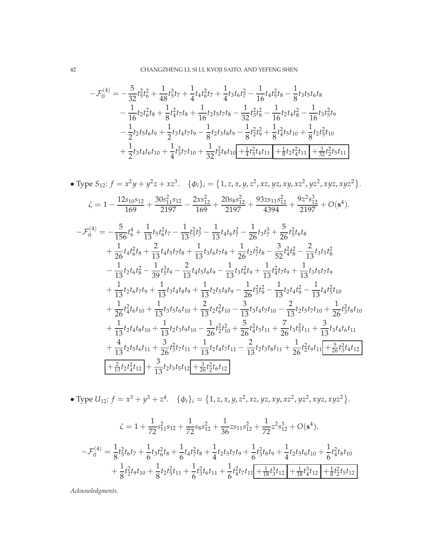$$
-\mathcal{F}_0^{(4)} = -\frac{5}{32}t_5^2t_6^2 + \frac{1}{48}t_5^3t_7 + \frac{1}{4}t_4t_6^2t_7 + \frac{1}{4}t_3t_6t_7^2 - \frac{1}{16}t_4t_5^2t_8 - \frac{1}{8}t_3t_5t_6t_8
$$
  

$$
-\frac{1}{16}t_2t_6^2t_8 + \frac{1}{8}t_4^2t_7t_8 + \frac{1}{16}t_2t_5t_7t_8 - \frac{1}{32}t_3^2t_8^2 - \frac{1}{16}t_2t_4t_8^2 - \frac{1}{16}t_3t_5^2t_9
$$
  

$$
-\frac{1}{2}t_2t_5t_6t_9 + \frac{1}{2}t_3t_4t_7t_9 - \frac{1}{8}t_2t_3t_8t_9 - \frac{1}{8}t_2^2t_9^2 + \frac{1}{8}t_4^2t_5t_{10} + \frac{1}{8}t_2t_5^2t_{10}
$$
  

$$
+\frac{1}{2}t_3t_4t_6t_{10} + \frac{1}{4}t_3^2t_7t_{10} + \frac{1}{32}t_2^2t_8t_{10} + \frac{1}{4}t_3^2t_4t_{11} + \frac{1}{8}t_2t_4^2t_{11} + \frac{3}{32}t_2^2t_5t_{11}
$$

• Type 
$$
S_{12}
$$
:  $f = x^2y + y^2z + xz^3$ . { $\phi_i\}_i = \{1, z, x, y, z^2, xz, yz, xy, xz^2, yz^2, xyz, xyz^2\}$ .  
\n
$$
\zeta = 1 - \frac{12s_{10}s_{12}}{169} + \frac{30s_{11}^2s_{12}}{2197} - \frac{2xs_{12}^2}{169} + \frac{20s_{8}s_{12}^2}{2197} + \frac{93z_{511}s_{12}^2}{4394} + \frac{9z^2s_{12}^3}{2197} + O(s^4).
$$
\n
$$
-\mathcal{F}_0^{(4)} = -\frac{5}{156}t_6^4 + \frac{1}{13}t_5t_6^2t_7 - \frac{1}{13}t_5^2t_7^2 - \frac{1}{13}t_4t_6t_7^2 - \frac{1}{26}t_3t_7^3 + \frac{5}{26}t_5^2t_6t_8
$$
\n
$$
+\frac{1}{26}t_4t_6^2t_8 + \frac{2}{13}t_4t_5t_7t_8 + \frac{1}{13}t_3t_6t_7t_8 + \frac{1}{26}t_2t_7^2t_8 - \frac{3}{52}t_4^2t_8^2 - \frac{2}{13}t_3t_5t_8^2
$$
\n
$$
-\frac{1}{13}t_2t_6t_8^2 - \frac{1}{39}t_5^3t_9 - \frac{2}{13}t_4t_5t_6t_9 - \frac{1}{13}t_3t_6^2t_9 + \frac{1}{13}t_4^2t_7t_9 + \frac{1}{13}t_3t_5t_7t_9
$$
\n
$$
+\frac{1}{13}t_2t_6t_7t_9 + \frac{1}{13}t_3t_4t_8t_9 + \frac{1}{13}t_2t_5t_8t_9 - \frac{1}{26}t_3^2t_9^2 - \frac{1}{13}t_2t_4t_9^2 - \frac{1}{13}t_4t_5^2t_{10}
$$
\n
$$
+\
$$

• Type 
$$
U_{12}
$$
:  $f = x^3 + y^3 + z^4$ . { $\phi_i$ }<sub>i</sub> = {1, z, x, y, z^2, xz, yz, xy, xz^2, yz^2, xyz, xyz^2 }.

$$
\zeta = 1 + \frac{1}{72}s_{11}^2s_{12} + \frac{1}{72}s_8s_{12}^2 + \frac{1}{36}zs_{11}s_{12}^2 + \frac{1}{72}z^2s_{12}^3 + O(s^4).
$$
  

$$
-\mathcal{F}_0^{(4)} = \frac{1}{8}t_5^2t_6t_7 + \frac{1}{6}t_3t_6^2t_8 + \frac{1}{6}t_4t_7^2t_8 + \frac{1}{4}t_2t_5t_7t_9 + \frac{1}{6}t_3^2t_8t_9 + \frac{1}{4}t_2t_5t_6t_{10} + \frac{1}{6}t_4^2t_8t_{10}
$$
  

$$
+\frac{1}{8}t_2^2t_9t_{10} + \frac{1}{8}t_2t_5^2t_{11} + \frac{1}{6}t_3^2t_6t_{11} + \frac{1}{6}t_4^2t_7t_{11}\boxed{+\frac{1}{18}t_3^3t_{12} + \frac{1}{18}t_4^3t_{12} + \frac{1}{8}t_2^2t_5t_{12}}
$$

*Acknowledgments.*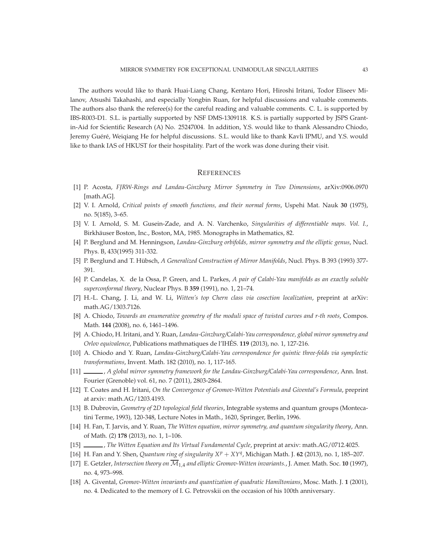The authors would like to thank Huai-Liang Chang, Kentaro Hori, Hiroshi Iritani, Todor Eliseev Milanov, Atsushi Takahashi, and especially Yongbin Ruan, for helpful discussions and valuable comments. The authors also thank the referee(s) for the careful reading and valuable comments. C. L. is supported by IBS-R003-D1. S.L. is partially supported by NSF DMS-1309118. K.S. is partially supported by JSPS Grantin-Aid for Scientific Research (A) No. 25247004. In addition, Y.S. would like to thank Alessandro Chiodo, Jeremy Guéré, Weiqiang He for helpful discussions. S.L. would like to thank Kavli IPMU, and Y.S. would like to thank IAS of HKUST for their hospitality. Part of the work was done during their visit.

#### <span id="page-42-0"></span>**REFERENCES**

- <span id="page-42-15"></span>[1] P. Acosta, *FJRW-Rings and Landau-Ginzburg Mirror Symmetry in Two Dimensions*, arXiv:0906.0970 [math.AG].
- <span id="page-42-11"></span>[2] V. I. Arnold, *Critical points of smooth functions, and their normal forms*, Uspehi Mat. Nauk **30** (1975), no. 5(185), 3–65.
- <span id="page-42-10"></span>[3] V. I. Arnold, S. M. Gusein-Zade, and A. N. Varchenko, *Singularities of differentiable maps. Vol. I.*, Birkhäuser Boston, Inc., Boston, MA, 1985. Monographs in Mathematics, 82.
- <span id="page-42-3"></span>[4] P. Berglund and M. Henningson, *Landau-Ginzburg orbifolds, mirror symmetry and the elliptic genus*, Nucl. Phys. B, 433(1995) 311-332.
- <span id="page-42-2"></span>[5] P. Berglund and T. Hübsch, *A Generalized Construction of Mirror Manifolds*, Nucl. Phys. B 393 (1993) 377-391.
- <span id="page-42-1"></span>[6] P. Candelas, X. de la Ossa, P. Green, and L. Parkes, *A pair of Calabi-Yau manifolds as an exactly soluble superconformal theory*, Nuclear Phys. B **359** (1991), no. 1, 21–74.
- <span id="page-42-7"></span>[7] H.-L. Chang, J. Li, and W. Li, *Witten's top Chern class via cosection localization*, preprint at arXiv: math.AG/1303.7126.
- <span id="page-42-14"></span>[8] A. Chiodo, *Towards an enumerative geometry of the moduli space of twisted curves and r-th roots*, Compos. Math. **144** (2008), no. 6, 1461–1496.
- <span id="page-42-12"></span>[9] A. Chiodo, H. Iritani, and Y. Ruan, *Landau-Ginzburg/Calabi-Yau correspondence, global mirror symmetry and Orlov equivalence*, Publications mathmatiques de l'IHES. ´ **119** (2013), no. 1, 127-216.
- <span id="page-42-8"></span>[10] A. Chiodo and Y. Ruan, *Landau-Ginzburg/Calabi-Yau correspondence for quintic three-folds via symplectic transformations*, Invent. Math. 182 (2010), no. 1, 117-165.
- <span id="page-42-4"></span>[11] , *A global mirror symmetry framework for the Landau-Ginzburg/Calabi-Yau correspondence*, Ann. Inst. Fourier (Grenoble) vol. 61, no. 7 (2011), 2803-2864.
- <span id="page-42-9"></span>[12] T. Coates and H. Iritani, *On the Convergence of Gromov-Witten Potentials and Givental's Formula*, preprint at arxiv: math.AG/1203.4193.
- <span id="page-42-13"></span>[13] B. Dubrovin, *Geometry of* 2*D topological field theories*, Integrable systems and quantum groups (Montecatini Terme, 1993), 120-348, Lecture Notes in Math., 1620, Springer, Berlin, 1996.
- <span id="page-42-5"></span>[14] H. Fan, T. Jarvis, and Y. Ruan, *The Witten equation, mirror symmetry, and quantum singularity theory*, Ann. of Math. (2) **178** (2013), no. 1, 1–106.
- <span id="page-42-6"></span>[15] , *The Witten Equation and Its Virtual Fundamental Cycle*, preprint at arxiv: math.AG/0712.4025.
- <span id="page-42-16"></span>[16] H. Fan and Y. Shen, *Quantum ring of singularity X<sup>p</sup>* + *XY<sup>q</sup>* , Michigan Math. J. **62** (2013), no. 1, 185–207.
- <span id="page-42-17"></span>[17] E. Getzler, *Intersection theory on* M1,4 *and elliptic Gromov-Witten invariants.*, J. Amer. Math. Soc. **10** (1997), no. 4, 973–998.
- <span id="page-42-18"></span>[18] A. Givental, *Gromov-Witten invariants and quantization of quadratic Hamiltonians*, Mosc. Math. J. **1** (2001), no. 4. Dedicated to the memory of I. G. Petrovskii on the occasion of his 100th anniversary.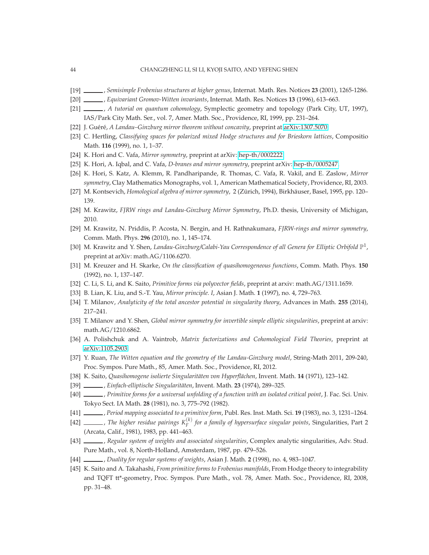- <span id="page-43-9"></span>[19] , *Semisimple Frobenius structures at higher genus*, Internat. Math. Res. Notices **23** (2001), 1265-1286.
- <span id="page-43-0"></span>[20] , *Equivariant Gromov-Witten invariants*, Internat. Math. Res. Notices **13** (1996), 613–663.
- <span id="page-43-22"></span>[21] , *A tutorial on quantum cohomology*, Symplectic geometry and topology (Park City, UT, 1997), IAS/Park City Math. Ser., vol. 7, Amer. Math. Soc., Providence, RI, 1999, pp. 231–264.
- <span id="page-43-18"></span>[22] J. Gu´er´e, *A Landau–Ginzburg mirror theorem without concavity*, preprint at [arXiv:1307.5070.](http://arxiv.org/abs/1307.5070)
- <span id="page-43-16"></span>[23] C. Hertling, *Classifying spaces for polarized mixed Hodge structures and for Brieskorn lattices*, Compositio Math. **116** (1999), no. 1, 1–37.
- <span id="page-43-5"></span>[24] K. Hori and C. Vafa, *Mirror symmetry*, preprint at arXiv: [hep-th/0002222.](http://arxiv.org/abs/hep-th/0002222)
- [25] K. Hori, A. Iqbal, and C. Vafa, *D-branes and mirror symmetry*, preprint arXiv: [hep-th/0005247.](http://arxiv.org/abs/hep-th/0005247)
- <span id="page-43-3"></span>[26] K. Hori, S. Katz, A. Klemm, R. Pandharipande, R. Thomas, C. Vafa, R. Vakil, and E. Zaslow, *Mirror symmetry*, Clay Mathematics Monographs, vol. 1, American Mathematical Society, Providence, RI, 2003.
- <span id="page-43-2"></span>[27] M. Kontsevich, *Homological algebra of mirror symmetry*, 2 (Zürich, 1994), Birkhäuser, Basel, 1995, pp. 120– 139.
- <span id="page-43-4"></span>[28] M. Krawitz, *FJRW rings and Landau-Ginzburg Mirror Symmetry*, Ph.D. thesis, University of Michigan, 2010.
- <span id="page-43-20"></span>[29] M. Krawitz, N. Priddis, P. Acosta, N. Bergin, and H. Rathnakumara, *FJRW-rings and mirror symmetry*, Comm. Math. Phys. **296** (2010), no. 1, 145–174.
- <span id="page-43-13"></span>[30] M. Krawitz and Y. Shen, *Landau-Ginzburg/Calabi-Yau Correspondence of all Genera for Elliptic Orbifold*  $\mathbb{P}^1$ , preprint at arXiv: math.AG/1106.6270.
- <span id="page-43-19"></span>[31] M. Kreuzer and H. Skarke, *On the classification of quasihomogeneous functions*, Comm. Math. Phys. **150** (1992), no. 1, 137–147.
- <span id="page-43-15"></span>[32] C. Li, S. Li, and K. Saito, *Primitive forms via polyvector fields*, preprint at arxiv: math.AG/1311.1659.
- <span id="page-43-1"></span>[33] B. Lian, K. Liu, and S.-T. Yau, *Mirror principle. I*, Asian J. Math. **1** (1997), no. 4, 729–763.
- <span id="page-43-10"></span>[34] T. Milanov, *Analyticity of the total ancestor potential in singularity theory*, Advances in Math. **255** (2014), 217–241.
- <span id="page-43-14"></span>[35] T. Milanov and Y. Shen, *Global mirror symmetry for invertible simple elliptic singularities*, preprint at arxiv: math.AG/1210.6862.
- <span id="page-43-6"></span>[36] A. Polishchuk and A. Vaintrob, *Matrix factorizations and Cohomological Field Theories*, preprint at [arXiv:1105.2903.](http://arxiv.org/abs/1105.2903)
- <span id="page-43-7"></span>[37] Y. Ruan, *The Witten equation and the geometry of the Landau-Ginzburg model*, String-Math 2011, 209-240, Proc. Sympos. Pure Math., 85, Amer. Math. Soc., Providence, RI, 2012.
- <span id="page-43-11"></span>[38] K. Saito, *Quasihomogene isolierte Singularitäten von Hyperflächen*, Invent. Math. 14 (1971), 123–142.
- [39] , *Einfach-elliptische Singularitäten*, Invent. Math. 23 (1974), 289–325.
- [40] , *Primitive forms for a universal unfolding of a function with an isolated critical point*, J. Fac. Sci. Univ. Tokyo Sect. IA Math. **28** (1981), no. 3, 775–792 (1982).
- <span id="page-43-8"></span>[41] , *Period mapping associated to a primitive form*, Publ. Res. Inst. Math. Sci. **19** (1983), no. 3, 1231–1264.
- <span id="page-43-21"></span>[42]  $\_\_\_\_\_$ , The higher residue pairings  $K_F^{(k)}$  for a family of hypersurface singular points, Singularities, Part 2 (Arcata, Calif., 1981), 1983, pp. 441–463.
- <span id="page-43-12"></span>[43] , *Regular system of weights and associated singularities*, Complex analytic singularities, Adv. Stud. Pure Math., vol. 8, North-Holland, Amsterdam, 1987, pp. 479–526.
- <span id="page-43-17"></span>[44] , *Duality for regular systems of weights*, Asian J. Math. **2** (1998), no. 4, 983–1047.
- [45] K. Saito and A. Takahashi, *From primitive forms to Frobenius manifolds*, From Hodge theory to integrability and TQFT tt\*-geometry, Proc. Sympos. Pure Math., vol. 78, Amer. Math. Soc., Providence, RI, 2008, pp. 31–48.